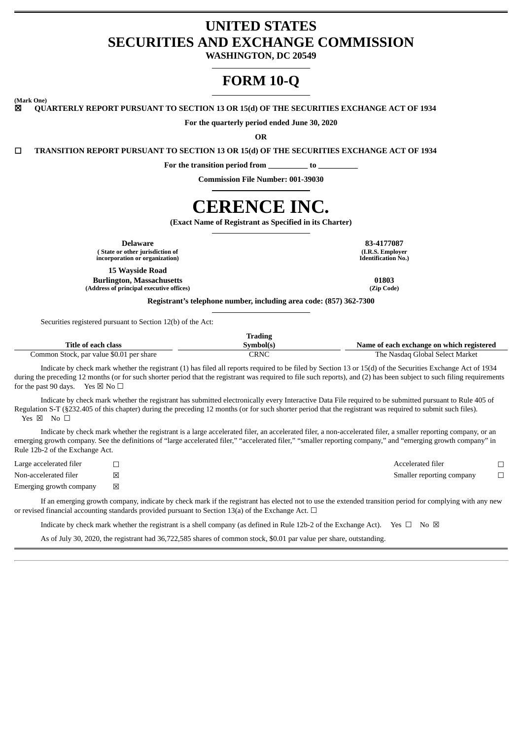## **UNITED STATES SECURITIES AND EXCHANGE COMMISSION**

**WASHINGTON, DC 20549**

# **FORM 10-Q**

**(Mark One)**

☒ **QUARTERLY REPORT PURSUANT TO SECTION 13 OR 15(d) OF THE SECURITIES EXCHANGE ACT OF 1934**

**For the quarterly period ended June 30, 2020**

**OR**

☐ **TRANSITION REPORT PURSUANT TO SECTION 13 OR 15(d) OF THE SECURITIES EXCHANGE ACT OF 1934**

**For the transition period from \_\_\_\_\_\_\_\_\_\_ to \_\_\_\_\_\_\_\_\_\_**

**Commission File Number: 001-39030**

# **CERENCE INC.**

**(Exact Name of Registrant as Specified in its Charter)**

**( State or other jurisdiction of incorporation or organization)**

**15 Wayside Road Burlington, Massachusetts 01803**

**(Address of principal executive offices) (Zip Code)**

**Delaware 83-4177087 (I.R.S. Employer Identification No.)**

**Registrant's telephone number, including area code: (857) 362-7300**

Securities registered pursuant to Section 12(b) of the Act:

|                                          | Trading   |                                           |
|------------------------------------------|-----------|-------------------------------------------|
| Title of each class                      | Svmbol(s) | Name of each exchange on which registered |
| Common Stock, par value \$0.01 per share | CRNC      | The Nasdag Global Select Market           |

Indicate by check mark whether the registrant (1) has filed all reports required to be filed by Section 13 or 15(d) of the Securities Exchange Act of 1934 during the preceding 12 months (or for such shorter period that the registrant was required to file such reports), and (2) has been subject to such filing requirements for the past 90 days. Yes  $\boxtimes$  No  $\Box$ 

Indicate by check mark whether the registrant has submitted electronically every Interactive Data File required to be submitted pursuant to Rule 405 of Regulation S-T (§232.405 of this chapter) during the preceding 12 months (or for such shorter period that the registrant was required to submit such files). Yes ⊠ No □

Indicate by check mark whether the registrant is a large accelerated filer, an accelerated filer, a non-accelerated filer, a smaller reporting company, or an emerging growth company. See the definitions of "large accelerated filer," "accelerated filer," "smaller reporting company," and "emerging growth company" in Rule 12b-2 of the Exchange Act.

Large accelerated filer ☐ Accelerated filer ☐ Non-accelerated filer <br>
□ Smaller reporting company □ Emerging growth company  $\boxtimes$ 

If an emerging growth company, indicate by check mark if the registrant has elected not to use the extended transition period for complying with any new or revised financial accounting standards provided pursuant to Section 13(a) of the Exchange Act.  $\Box$ 

Indicate by check mark whether the registrant is a shell company (as defined in Rule 12b-2 of the Exchange Act). Yes  $\Box$  No  $\boxtimes$ 

As of July 30, 2020, the registrant had 36,722,585 shares of common stock, \$0.01 par value per share, outstanding.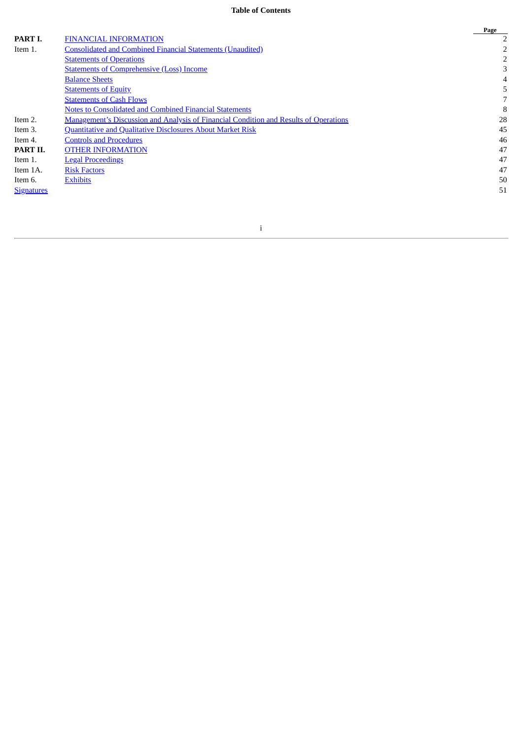## **Table of Contents**

|                   |                                                                                              | Page           |
|-------------------|----------------------------------------------------------------------------------------------|----------------|
| PART I.           | <b>FINANCIAL INFORMATION</b>                                                                 | $\overline{2}$ |
| Item 1.           | <b>Consolidated and Combined Financial Statements (Unaudited)</b>                            |                |
|                   | <b>Statements of Operations</b>                                                              |                |
|                   | <b>Statements of Comprehensive (Loss) Income</b>                                             | 3              |
|                   | <b>Balance Sheets</b>                                                                        |                |
|                   | <b>Statements of Equity</b>                                                                  | 5              |
|                   | <b>Statements of Cash Flows</b>                                                              |                |
|                   | Notes to Consolidated and Combined Financial Statements                                      | 8              |
| Item 2.           | <b>Management's Discussion and Analysis of Financial Condition and Results of Operations</b> | 28             |
| Item 3.           | Quantitative and Qualitative Disclosures About Market Risk                                   | 45             |
| Item 4.           | <b>Controls and Procedures</b>                                                               | 46             |
| PART II.          | <b>OTHER INFORMATION</b>                                                                     | 47             |
| Item 1.           | <b>Legal Proceedings</b>                                                                     | 47             |
| Item 1A.          | <b>Risk Factors</b>                                                                          | 47             |
| Item 6.           | <b>Exhibits</b>                                                                              | 50             |
| <b>Signatures</b> |                                                                                              | 51             |

## i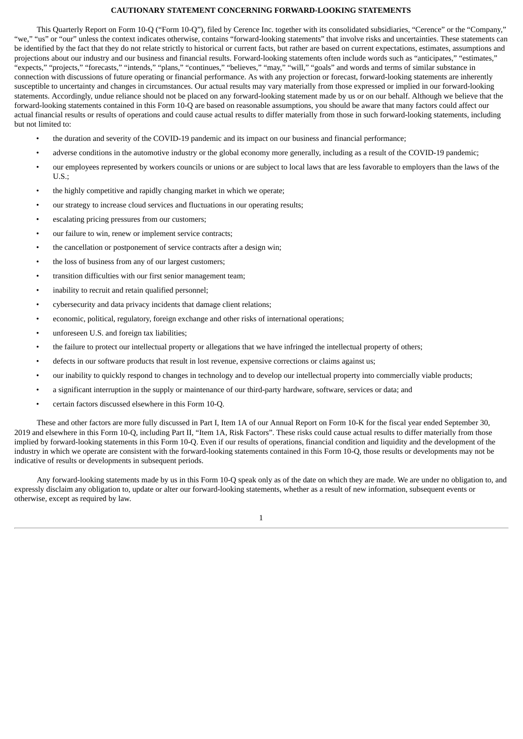## **CAUTIONARY STATEMENT CONCERNING FORWARD-LOOKING STATEMENTS**

This Quarterly Report on Form 10-Q ("Form 10-Q"), filed by Cerence Inc. together with its consolidated subsidiaries, "Cerence" or the "Company," "we," "us" or "our" unless the context indicates otherwise, contains "forward-looking statements" that involve risks and uncertainties. These statements can be identified by the fact that they do not relate strictly to historical or current facts, but rather are based on current expectations, estimates, assumptions and projections about our industry and our business and financial results. Forward-looking statements often include words such as "anticipates," "estimates," "expects," "projects," "forecasts," "intends," "plans," "continues," "believes," "may," "will," "goals" and words and terms of similar substance in connection with discussions of future operating or financial performance. As with any projection or forecast, forward-looking statements are inherently susceptible to uncertainty and changes in circumstances. Our actual results may vary materially from those expressed or implied in our forward-looking statements. Accordingly, undue reliance should not be placed on any forward-looking statement made by us or on our behalf. Although we believe that the forward-looking statements contained in this Form 10-Q are based on reasonable assumptions, you should be aware that many factors could affect our actual financial results or results of operations and could cause actual results to differ materially from those in such forward-looking statements, including but not limited to:

- the duration and severity of the COVID-19 pandemic and its impact on our business and financial performance;
- adverse conditions in the automotive industry or the global economy more generally, including as a result of the COVID-19 pandemic;
- our employees represented by workers councils or unions or are subject to local laws that are less favorable to employers than the laws of the U.S.;
- the highly competitive and rapidly changing market in which we operate;
- our strategy to increase cloud services and fluctuations in our operating results;
- escalating pricing pressures from our customers;
- our failure to win, renew or implement service contracts;
- the cancellation or postponement of service contracts after a design win;
- the loss of business from any of our largest customers;
- transition difficulties with our first senior management team:
- inability to recruit and retain qualified personnel;
- cybersecurity and data privacy incidents that damage client relations;
- economic, political, regulatory, foreign exchange and other risks of international operations;
- unforeseen U.S. and foreign tax liabilities;
- the failure to protect our intellectual property or allegations that we have infringed the intellectual property of others;
- defects in our software products that result in lost revenue, expensive corrections or claims against us;
- our inability to quickly respond to changes in technology and to develop our intellectual property into commercially viable products;
- a significant interruption in the supply or maintenance of our third-party hardware, software, services or data; and
- certain factors discussed elsewhere in this Form 10-Q.

These and other factors are more fully discussed in Part I, Item 1A of our Annual Report on Form 10-K for the fiscal year ended September 30, 2019 and elsewhere in this Form 10-Q, including Part II, "Item 1A, Risk Factors". These risks could cause actual results to differ materially from those implied by forward-looking statements in this Form 10-Q. Even if our results of operations, financial condition and liquidity and the development of the industry in which we operate are consistent with the forward-looking statements contained in this Form 10-Q, those results or developments may not be indicative of results or developments in subsequent periods.

Any forward-looking statements made by us in this Form 10-Q speak only as of the date on which they are made. We are under no obligation to, and expressly disclaim any obligation to, update or alter our forward-looking statements, whether as a result of new information, subsequent events or otherwise, except as required by law.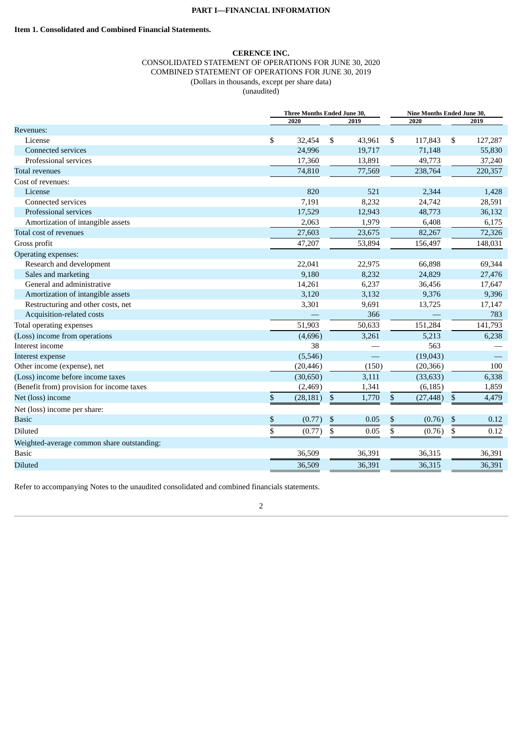## **PART I—FINANCIAL INFORMATION**

## <span id="page-3-1"></span><span id="page-3-0"></span>**Item 1. Consolidated and Combined Financial Statements.**

## **CERENCE INC.** CONSOLIDATED STATEMENT OF OPERATIONS FOR JUNE 30, 2020 COMBINED STATEMENT OF OPERATIONS FOR JUNE 30, 2019 (Dollars in thousands, except per share data) (unaudited)

<span id="page-3-2"></span>

|                                            |              | Three Months Ended June 30, |                           |        | Nine Months Ended June 30, |           |    |         |
|--------------------------------------------|--------------|-----------------------------|---------------------------|--------|----------------------------|-----------|----|---------|
|                                            |              | 2020                        |                           | 2019   |                            | 2020      |    | 2019    |
| Revenues:                                  |              |                             |                           |        |                            |           |    |         |
| License                                    | \$           | 32,454                      | \$                        | 43,961 | \$                         | 117,843   | \$ | 127,287 |
| Connected services                         |              | 24,996                      |                           | 19,717 |                            | 71,148    |    | 55,830  |
| Professional services                      |              | 17,360                      |                           | 13,891 |                            | 49,773    |    | 37,240  |
| <b>Total revenues</b>                      |              | 74,810                      |                           | 77,569 |                            | 238,764   |    | 220,357 |
| Cost of revenues:                          |              |                             |                           |        |                            |           |    |         |
| License                                    |              | 820                         |                           | 521    |                            | 2,344     |    | 1,428   |
| Connected services                         |              | 7,191                       |                           | 8,232  |                            | 24,742    |    | 28,591  |
| Professional services                      |              | 17,529                      |                           | 12,943 |                            | 48,773    |    | 36,132  |
| Amortization of intangible assets          |              | 2,063                       |                           | 1,979  |                            | 6,408     |    | 6,175   |
| Total cost of revenues                     |              | 27,603                      |                           | 23,675 |                            | 82,267    |    | 72,326  |
| Gross profit                               |              | 47,207                      |                           | 53,894 |                            | 156,497   |    | 148,031 |
| Operating expenses:                        |              |                             |                           |        |                            |           |    |         |
| Research and development                   |              | 22,041                      |                           | 22,975 |                            | 66,898    |    | 69,344  |
| Sales and marketing                        |              | 9,180                       |                           | 8,232  |                            | 24,829    |    | 27,476  |
| General and administrative                 |              | 14,261                      |                           | 6,237  |                            | 36,456    |    | 17,647  |
| Amortization of intangible assets          |              | 3,120                       |                           | 3,132  |                            | 9,376     |    | 9,396   |
| Restructuring and other costs, net         |              | 3,301                       |                           | 9,691  |                            | 13,725    |    | 17,147  |
| Acquisition-related costs                  |              |                             |                           | 366    |                            |           |    | 783     |
| Total operating expenses                   |              | 51,903                      |                           | 50,633 |                            | 151,284   |    | 141,793 |
| (Loss) income from operations              |              | (4,696)                     |                           | 3,261  |                            | 5,213     |    | 6,238   |
| Interest income                            |              | 38                          |                           |        |                            | 563       |    |         |
| Interest expense                           |              | (5,546)                     |                           |        |                            | (19,043)  |    |         |
| Other income (expense), net                |              | (20, 446)                   |                           | (150)  |                            | (20, 366) |    | 100     |
| (Loss) income before income taxes          |              | (30,650)                    |                           | 3,111  |                            | (33, 633) |    | 6,338   |
| (Benefit from) provision for income taxes  |              | (2,469)                     |                           | 1,341  |                            | (6, 185)  |    | 1,859   |
| Net (loss) income                          | \$           | (28, 181)                   | \$                        | 1,770  | $\$$                       | (27, 448) | \$ | 4,479   |
| Net (loss) income per share:               |              |                             |                           |        |                            |           |    |         |
| <b>Basic</b>                               | $\mathbb{S}$ | (0.77)                      | $\boldsymbol{\mathsf{S}}$ | 0.05   | \$                         | (0.76)    | \$ | 0.12    |
| <b>Diluted</b>                             | \$           | (0.77)                      | \$                        | 0.05   | \$                         | (0.76)    | \$ | 0.12    |
| Weighted-average common share outstanding: |              |                             |                           |        |                            |           |    |         |
| <b>Basic</b>                               |              | 36,509                      |                           | 36,391 |                            | 36,315    |    | 36,391  |
| <b>Diluted</b>                             |              | 36,509                      |                           | 36,391 |                            | 36,315    |    | 36,391  |

Refer to accompanying Notes to the unaudited consolidated and combined financials statements.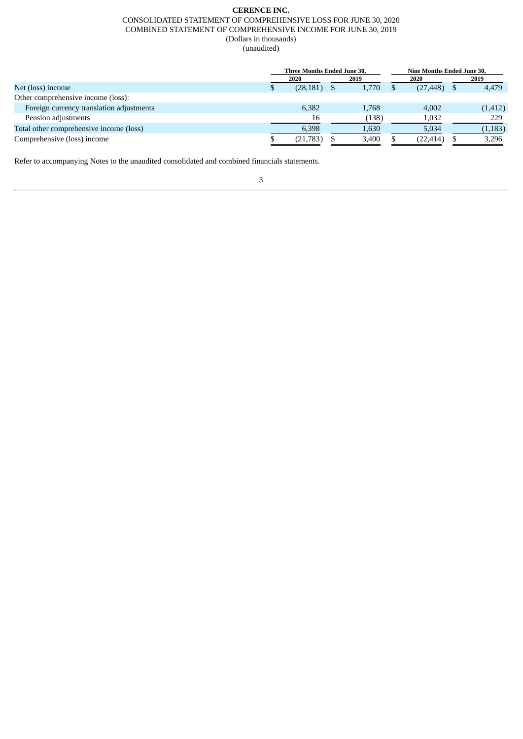## **CERENCE INC.** CONSOLIDATED STATEMENT OF COMPREHENSIVE LOSS FOR JUNE 30, 2020 COMBINED STATEMENT OF COMPREHENSIVE INCOME FOR JUNE 30, 2019 (Dollars in thousands) (unaudited)

<span id="page-4-0"></span>

|                                          | Three Months Ended June 30, |           |  |       |  | Nine Months Ended June 30, |      |          |  |  |  |  |
|------------------------------------------|-----------------------------|-----------|--|-------|--|----------------------------|------|----------|--|--|--|--|
|                                          | 2020<br>2019                |           |  | 2020  |  |                            | 2019 |          |  |  |  |  |
| Net (loss) income                        |                             | (28, 181) |  | 1,770 |  | $(27, 448)$ \$             |      | 4,479    |  |  |  |  |
| Other comprehensive income (loss):       |                             |           |  |       |  |                            |      |          |  |  |  |  |
| Foreign currency translation adjustments |                             | 6,382     |  | 1,768 |  | 4.002                      |      | (1, 412) |  |  |  |  |
| Pension adjustments                      |                             | 16        |  | (138) |  | 1,032                      |      | 229      |  |  |  |  |
| Total other comprehensive income (loss)  |                             | 6,398     |  | 1,630 |  | 5,034                      |      | (1, 183) |  |  |  |  |
| Comprehensive (loss) income              |                             | (21,783)  |  | 3,400 |  | (22, 414)                  |      | 3,296    |  |  |  |  |

Refer to accompanying Notes to the unaudited consolidated and combined financials statements.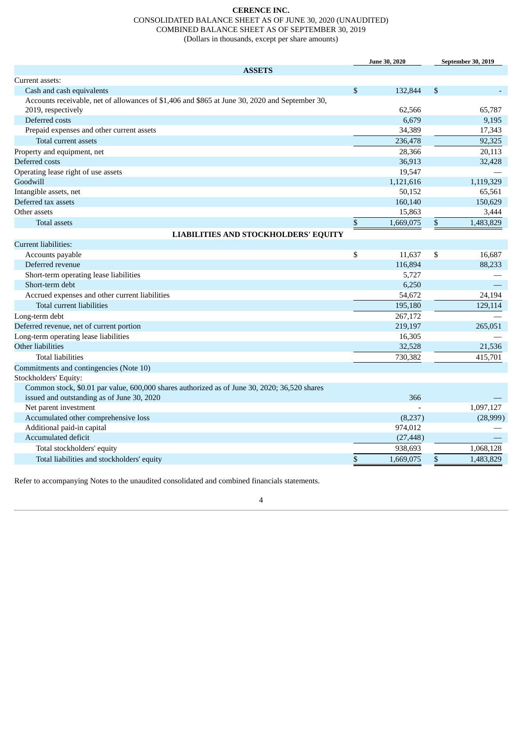## **CERENCE INC.** CONSOLIDATED BALANCE SHEET AS OF JUNE 30, 2020 (UNAUDITED) COMBINED BALANCE SHEET AS OF SEPTEMBER 30, 2019 (Dollars in thousands, except per share amounts)

<span id="page-5-0"></span>

|                                                                                                | June 30, 2020   | September 30, 2019 |
|------------------------------------------------------------------------------------------------|-----------------|--------------------|
| <b>ASSETS</b>                                                                                  |                 |                    |
| Current assets:                                                                                |                 |                    |
| Cash and cash equivalents                                                                      | \$<br>132,844   | \$                 |
| Accounts receivable, net of allowances of \$1,406 and \$865 at June 30, 2020 and September 30, |                 |                    |
| 2019, respectively                                                                             | 62,566          | 65,787             |
| Deferred costs                                                                                 | 6,679           | 9,195              |
| Prepaid expenses and other current assets                                                      | 34,389          | 17,343             |
| Total current assets                                                                           | 236,478         | 92,325             |
| Property and equipment, net                                                                    | 28,366          | 20,113             |
| Deferred costs                                                                                 | 36,913          | 32,428             |
| Operating lease right of use assets                                                            | 19,547          |                    |
| Goodwill                                                                                       | 1,121,616       | 1,119,329          |
| Intangible assets, net                                                                         | 50,152          | 65,561             |
| Deferred tax assets                                                                            | 160,140         | 150,629            |
| Other assets                                                                                   | 15,863          | 3,444              |
| <b>Total assets</b>                                                                            | \$<br>1,669,075 | \$<br>1,483,829    |
| <b>LIABILITIES AND STOCKHOLDERS' EQUITY</b>                                                    |                 |                    |
| <b>Current liabilities:</b>                                                                    |                 |                    |
| Accounts payable                                                                               | \$<br>11,637    | \$<br>16,687       |
| Deferred revenue                                                                               | 116,894         | 88,233             |
| Short-term operating lease liabilities                                                         | 5,727           |                    |
| Short-term debt                                                                                | 6,250           |                    |
| Accrued expenses and other current liabilities                                                 | 54,672          | 24,194             |
| Total current liabilities                                                                      | 195,180         | 129,114            |
| Long-term debt                                                                                 | 267,172         |                    |
| Deferred revenue, net of current portion                                                       | 219,197         | 265,051            |
| Long-term operating lease liabilities                                                          | 16,305          |                    |
| Other liabilities                                                                              | 32,528          | 21,536             |
| <b>Total liabilities</b>                                                                       | 730,382         | 415,701            |
| Commitments and contingencies (Note 10)                                                        |                 |                    |
| Stockholders' Equity:                                                                          |                 |                    |
| Common stock, \$0.01 par value, 600,000 shares authorized as of June 30, 2020; 36,520 shares   |                 |                    |
| issued and outstanding as of June 30, 2020                                                     | 366             |                    |
| Net parent investment                                                                          |                 | 1,097,127          |
| Accumulated other comprehensive loss                                                           | (8,237)         | (28,999)           |
| Additional paid-in capital                                                                     | 974,012         |                    |
| <b>Accumulated deficit</b>                                                                     | (27, 448)       |                    |
| Total stockholders' equity                                                                     | 938,693         | 1,068,128          |
| Total liabilities and stockholders' equity                                                     | \$<br>1,669,075 | \$<br>1,483,829    |

Refer to accompanying Notes to the unaudited consolidated and combined financials statements.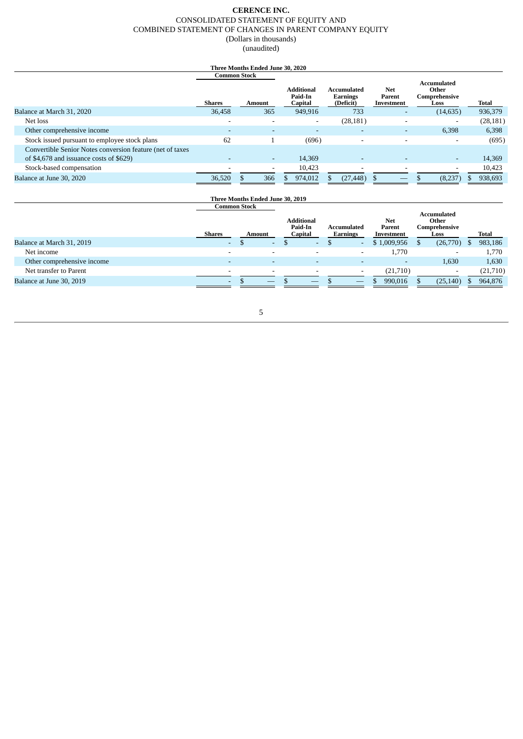## **CERENCE INC.** CONSOLIDATED STATEMENT OF EQUITY AND COMBINED STATEMENT OF CHANGES IN PARENT COMPANY EQUITY (Dollars in thousands) (unaudited)

## **Three Months Ended June 30, 2020**

<span id="page-6-0"></span>

|                                                           | Common Stock  |                          |                                         |                                             |                                    |                                                      |               |
|-----------------------------------------------------------|---------------|--------------------------|-----------------------------------------|---------------------------------------------|------------------------------------|------------------------------------------------------|---------------|
|                                                           | <b>Shares</b> | Amount                   | <b>Additional</b><br>Paid-In<br>Capital | Accumulated<br><b>Earnings</b><br>(Deficit) | <b>Net</b><br>Parent<br>Investment | <b>Accumulated</b><br>Other<br>Comprehensive<br>Loss | Total         |
| Balance at March 31, 2020                                 | 36,458        | 365                      | 949,916                                 | 733                                         | $\overline{\phantom{a}}$           | (14, 635)                                            | 936,379       |
| Net loss                                                  | -             |                          | $\overline{\phantom{0}}$                | (28, 181)                                   |                                    | $\overline{\phantom{a}}$                             | (28, 181)     |
| Other comprehensive income                                | -             | -                        | $\overline{\phantom{a}}$                |                                             | -                                  | 6,398                                                | 6,398         |
| Stock issued pursuant to employee stock plans             | 62            |                          | (696)                                   |                                             |                                    |                                                      | (695)         |
| Convertible Senior Notes conversion feature (net of taxes |               |                          |                                         |                                             |                                    |                                                      |               |
| of \$4,678 and issuance costs of \$629)                   |               | $\sim$                   | 14.369                                  | $\overline{\phantom{a}}$                    |                                    | $\sim$                                               | 14,369        |
| Stock-based compensation                                  |               | $\overline{\phantom{a}}$ | 10,423                                  |                                             |                                    | $\overline{\phantom{0}}$                             | 10,423        |
| Balance at June 30, 2020                                  | 36,520        | 366                      | 974,012                                 | (27, 448)                                   | —                                  | (8,237)                                              | 938,693<br>S. |

#### **Three Months Ended June 30, 2019**

|                            | Common Stock     |                          |                                  |                                 |                                    |                                               |          |
|----------------------------|------------------|--------------------------|----------------------------------|---------------------------------|------------------------------------|-----------------------------------------------|----------|
|                            | <b>Shares</b>    | Amount                   | Additional<br>Paid-In<br>Capital | Accumulated<br>Earnings         | <b>Net</b><br>Parent<br>Investment | Accumulated<br>Other<br>Comprehensive<br>Loss | Total    |
| Balance at March 31, 2019  | $\sim$           | $\sim$                   | ۰.                               |                                 | \$1,009,956                        | (26,770)                                      | 983,186  |
| Net income                 |                  | $\overline{\phantom{0}}$ |                                  |                                 | 1,770                              | $\overline{\phantom{a}}$                      | 1,770    |
| Other comprehensive income |                  | -                        |                                  |                                 | $\overline{\phantom{a}}$           | 1,630                                         | 1,630    |
| Net transfer to Parent     | -                | $\overline{\phantom{a}}$ |                                  |                                 | (21,710)                           | $\overline{\phantom{0}}$                      | (21,710) |
| Balance at June 30, 2019   | $\sim$ 100 $\pm$ |                          |                                  | $\hspace{0.1mm}-\hspace{0.1mm}$ | 990,016                            | (25, 140)                                     | 964,876  |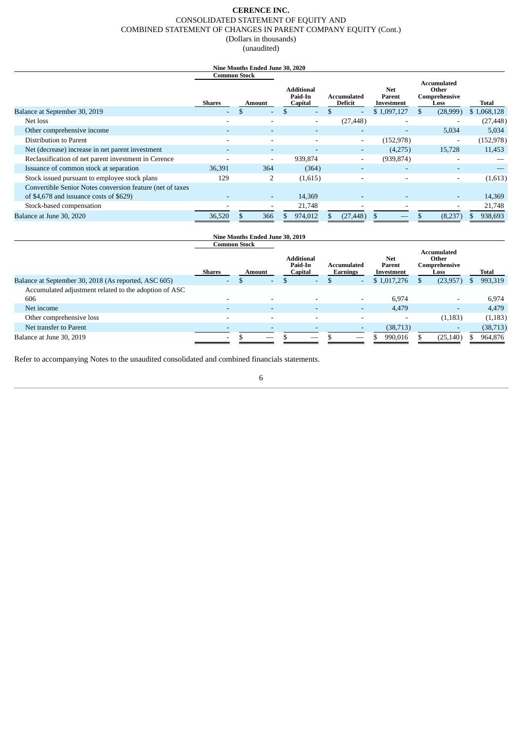## **CERENCE INC.** CONSOLIDATED STATEMENT OF EQUITY AND COMBINED STATEMENT OF CHANGES IN PARENT COMPANY EQUITY (Cont.) (Dollars in thousands) (unaudited)

## **Nine Months Ended June 30, 2020**

|                                                           | <b>Common Stock</b>      |                          |    |                                         |                          |                                    |                                               |             |
|-----------------------------------------------------------|--------------------------|--------------------------|----|-----------------------------------------|--------------------------|------------------------------------|-----------------------------------------------|-------------|
|                                                           | <b>Shares</b>            | Amount                   |    | <b>Additional</b><br>Paid-In<br>Capital | Accumulated<br>Deficit   | <b>Net</b><br>Parent<br>Investment | Accumulated<br>Other<br>Comprehensive<br>Loss | Total       |
| Balance at September 30, 2019                             | ٠                        | \$                       |    |                                         |                          | \$1,097,127                        | (28,999)                                      | \$1,068,128 |
| Net loss                                                  | $\overline{\phantom{0}}$ |                          |    |                                         | (27, 448)                | -                                  |                                               | (27, 448)   |
| Other comprehensive income                                |                          | $\overline{\phantom{0}}$ |    | -                                       |                          | $\overline{\phantom{a}}$           | 5,034                                         | 5,034       |
| Distribution to Parent                                    |                          | ۰                        |    |                                         | $\blacksquare$           | (152, 978)                         |                                               | (152, 978)  |
| Net (decrease) increase in net parent investment          | -                        | -                        |    |                                         | ۰                        | (4,275)                            | 15,728                                        | 11,453      |
| Reclassification of net parent investment in Cerence      |                          | $\overline{\phantom{a}}$ |    | 939,874                                 | $\blacksquare$           | (939, 874)                         | $\overline{\phantom{a}}$                      |             |
| Issuance of common stock at separation                    | 36,391                   | 364                      |    | (364)                                   | $\overline{\phantom{a}}$ | $\overline{\phantom{a}}$           | $\overline{\phantom{a}}$                      |             |
| Stock issued pursuant to employee stock plans             | 129                      | 2                        |    | (1,615)                                 |                          | $\overline{\phantom{a}}$           | $\overline{\phantom{a}}$                      | (1,613)     |
| Convertible Senior Notes conversion feature (net of taxes |                          |                          |    |                                         |                          |                                    |                                               |             |
| of \$4,678 and issuance costs of \$629)                   |                          | ۰.                       |    | 14,369                                  |                          | -                                  | $\sim$                                        | 14,369      |
| Stock-based compensation                                  |                          | -                        |    | 21,748                                  |                          |                                    |                                               | 21,748      |
| Balance at June 30, 2020                                  | 36,520                   | 366                      | S. | 974,012                                 | (27, 448)                |                                    | (8,237)                                       | 938,693     |

#### **Nine Months Ended June 30, 2019 Common Stock**

|                                                       | Common otoer             |                          |                                         |                                |                                    |                                                      |   |           |
|-------------------------------------------------------|--------------------------|--------------------------|-----------------------------------------|--------------------------------|------------------------------------|------------------------------------------------------|---|-----------|
|                                                       | <b>Shares</b>            | Amount                   | <b>Additional</b><br>Paid-In<br>Capital | Accumulated<br><b>Earnings</b> | <b>Net</b><br>Parent<br>Investment | <b>Accumulated</b><br>Other<br>Comprehensive<br>Loss |   | Total     |
| Balance at September 30, 2018 (As reported, ASC 605)  | ٠.                       | $\sim$                   | ۰.                                      | ۰.                             | \$1,017,276                        | \$<br>(23, 957)                                      | S | 993,319   |
| Accumulated adjustment related to the adoption of ASC |                          |                          |                                         |                                |                                    |                                                      |   |           |
| 606                                                   |                          |                          |                                         |                                | 6,974                              |                                                      |   | 6,974     |
| Net income                                            | -                        |                          |                                         | $\overline{\phantom{a}}$       | 4,479                              | ۰                                                    |   | 4,479     |
| Other comprehensive loss                              | $\overline{\phantom{a}}$ | -                        | ۰                                       |                                | $\overline{\phantom{a}}$           | (1, 183)                                             |   | (1,183)   |
| Net transfer to Parent                                | $\overline{\phantom{a}}$ | $\overline{\phantom{a}}$ |                                         | -                              | (38,713)                           | $\overline{\phantom{a}}$                             |   | (38, 713) |
| Balance at June 30, 2019                              | $\sim$                   |                          |                                         |                                | 990,016                            | (25, 140)                                            |   | 964,876   |

Refer to accompanying Notes to the unaudited consolidated and combined financials statements.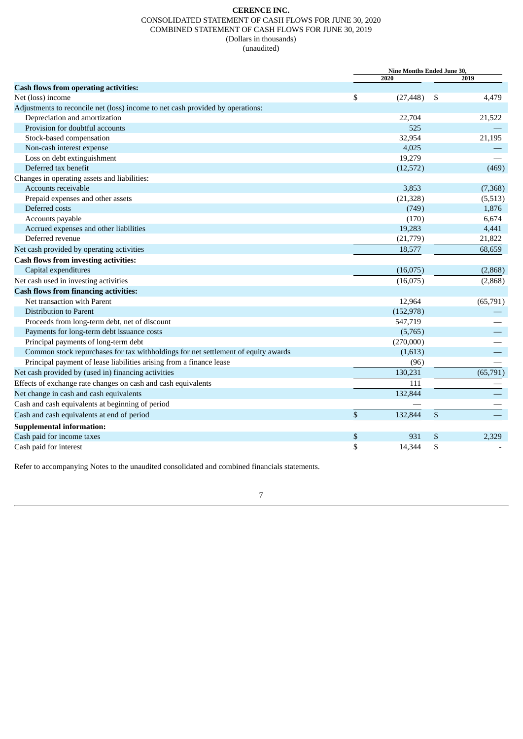## **CERENCE INC.** CONSOLIDATED STATEMENT OF CASH FLOWS FOR JUNE 30, 2020 COMBINED STATEMENT OF CASH FLOWS FOR JUNE 30, 2019 (Dollars in thousands) (unaudited)

<span id="page-8-0"></span>

|                                                                                   | <b>Nine Months Ended June 30,</b> |            |    |           |  |  |
|-----------------------------------------------------------------------------------|-----------------------------------|------------|----|-----------|--|--|
|                                                                                   |                                   | 2020       |    | 2019      |  |  |
| <b>Cash flows from operating activities:</b>                                      |                                   |            |    |           |  |  |
| Net (loss) income                                                                 | \$                                | (27, 448)  | \$ | 4,479     |  |  |
| Adjustments to reconcile net (loss) income to net cash provided by operations:    |                                   |            |    |           |  |  |
| Depreciation and amortization                                                     |                                   | 22,704     |    | 21,522    |  |  |
| Provision for doubtful accounts                                                   |                                   | 525        |    |           |  |  |
| Stock-based compensation                                                          |                                   | 32,954     |    | 21,195    |  |  |
| Non-cash interest expense                                                         |                                   | 4,025      |    |           |  |  |
| Loss on debt extinguishment                                                       |                                   | 19,279     |    |           |  |  |
| Deferred tax benefit                                                              |                                   | (12, 572)  |    | (469)     |  |  |
| Changes in operating assets and liabilities:                                      |                                   |            |    |           |  |  |
| Accounts receivable                                                               |                                   | 3,853      |    | (7,368)   |  |  |
| Prepaid expenses and other assets                                                 |                                   | (21, 328)  |    | (5,513)   |  |  |
| Deferred costs                                                                    |                                   | (749)      |    | 1,876     |  |  |
| Accounts payable                                                                  |                                   | (170)      |    | 6,674     |  |  |
| Accrued expenses and other liabilities                                            |                                   | 19,283     |    | 4,441     |  |  |
| Deferred revenue                                                                  |                                   | (21,779)   |    | 21,822    |  |  |
| Net cash provided by operating activities                                         |                                   | 18,577     |    | 68,659    |  |  |
| <b>Cash flows from investing activities:</b>                                      |                                   |            |    |           |  |  |
| Capital expenditures                                                              |                                   | (16,075)   |    | (2,868)   |  |  |
| Net cash used in investing activities                                             |                                   | (16,075)   |    | (2,868)   |  |  |
| <b>Cash flows from financing activities:</b>                                      |                                   |            |    |           |  |  |
| Net transaction with Parent                                                       |                                   | 12,964     |    | (65, 791) |  |  |
| <b>Distribution to Parent</b>                                                     |                                   | (152, 978) |    |           |  |  |
| Proceeds from long-term debt, net of discount                                     |                                   | 547,719    |    |           |  |  |
| Payments for long-term debt issuance costs                                        |                                   | (5,765)    |    |           |  |  |
| Principal payments of long-term debt                                              |                                   | (270,000)  |    |           |  |  |
| Common stock repurchases for tax withholdings for net settlement of equity awards |                                   | (1,613)    |    |           |  |  |
| Principal payment of lease liabilities arising from a finance lease               |                                   | (96)       |    |           |  |  |
| Net cash provided by (used in) financing activities                               |                                   | 130,231    |    | (65, 791) |  |  |
| Effects of exchange rate changes on cash and cash equivalents                     |                                   | 111        |    |           |  |  |
| Net change in cash and cash equivalents                                           |                                   | 132,844    |    |           |  |  |
| Cash and cash equivalents at beginning of period                                  |                                   |            |    |           |  |  |
| Cash and cash equivalents at end of period                                        | \$                                | 132,844    | \$ |           |  |  |
| <b>Supplemental information:</b>                                                  |                                   |            |    |           |  |  |
| Cash paid for income taxes                                                        | \$                                | 931        | \$ | 2,329     |  |  |
| Cash paid for interest                                                            | \$                                | 14,344     | \$ |           |  |  |

7

Refer to accompanying Notes to the unaudited consolidated and combined financials statements.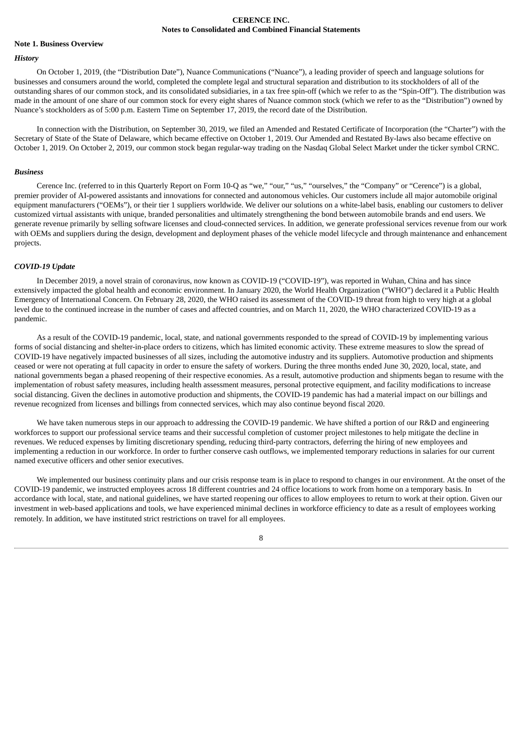## **CERENCE INC. Notes to Consolidated and Combined Financial Statements**

## <span id="page-9-0"></span>**Note 1. Business Overview**

## *History*

On October 1, 2019, (the "Distribution Date"), Nuance Communications ("Nuance"), a leading provider of speech and language solutions for businesses and consumers around the world, completed the complete legal and structural separation and distribution to its stockholders of all of the outstanding shares of our common stock, and its consolidated subsidiaries, in a tax free spin-off (which we refer to as the "Spin-Off"). The distribution was made in the amount of one share of our common stock for every eight shares of Nuance common stock (which we refer to as the "Distribution") owned by Nuance's stockholders as of 5:00 p.m. Eastern Time on September 17, 2019, the record date of the Distribution.

In connection with the Distribution, on September 30, 2019, we filed an Amended and Restated Certificate of Incorporation (the "Charter") with the Secretary of State of the State of Delaware, which became effective on October 1, 2019. Our Amended and Restated By-laws also became effective on October 1, 2019. On October 2, 2019, our common stock began regular-way trading on the Nasdaq Global Select Market under the ticker symbol CRNC.

#### *Business*

Cerence Inc. (referred to in this Quarterly Report on Form 10-Q as "we," "our," "us," "ourselves," the "Company" or "Cerence") is a global, premier provider of AI-powered assistants and innovations for connected and autonomous vehicles. Our customers include all major automobile original equipment manufacturers ("OEMs"), or their tier 1 suppliers worldwide. We deliver our solutions on a white-label basis, enabling our customers to deliver customized virtual assistants with unique, branded personalities and ultimately strengthening the bond between automobile brands and end users. We generate revenue primarily by selling software licenses and cloud-connected services. In addition, we generate professional services revenue from our work with OEMs and suppliers during the design, development and deployment phases of the vehicle model lifecycle and through maintenance and enhancement projects.

## *COVID-19 Update*

In December 2019, a novel strain of coronavirus, now known as COVID-19 ("COVID-19"), was reported in Wuhan, China and has since extensively impacted the global health and economic environment. In January 2020, the World Health Organization ("WHO") declared it a Public Health Emergency of International Concern. On February 28, 2020, the WHO raised its assessment of the COVID-19 threat from high to very high at a global level due to the continued increase in the number of cases and affected countries, and on March 11, 2020, the WHO characterized COVID-19 as a pandemic.

As a result of the COVID-19 pandemic, local, state, and national governments responded to the spread of COVID-19 by implementing various forms of social distancing and shelter-in-place orders to citizens, which has limited economic activity. These extreme measures to slow the spread of COVID-19 have negatively impacted businesses of all sizes, including the automotive industry and its suppliers. Automotive production and shipments ceased or were not operating at full capacity in order to ensure the safety of workers. During the three months ended June 30, 2020, local, state, and national governments began a phased reopening of their respective economies. As a result, automotive production and shipments began to resume with the implementation of robust safety measures, including health assessment measures, personal protective equipment, and facility modifications to increase social distancing. Given the declines in automotive production and shipments, the COVID-19 pandemic has had a material impact on our billings and revenue recognized from licenses and billings from connected services, which may also continue beyond fiscal 2020.

We have taken numerous steps in our approach to addressing the COVID-19 pandemic. We have shifted a portion of our R&D and engineering workforces to support our professional service teams and their successful completion of customer project milestones to help mitigate the decline in revenues. We reduced expenses by limiting discretionary spending, reducing third-party contractors, deferring the hiring of new employees and implementing a reduction in our workforce. In order to further conserve cash outflows, we implemented temporary reductions in salaries for our current named executive officers and other senior executives.

We implemented our business continuity plans and our crisis response team is in place to respond to changes in our environment. At the onset of the COVID-19 pandemic, we instructed employees across 18 different countries and 24 office locations to work from home on a temporary basis. In accordance with local, state, and national guidelines, we have started reopening our offices to allow employees to return to work at their option. Given our investment in web-based applications and tools, we have experienced minimal declines in workforce efficiency to date as a result of employees working remotely. In addition, we have instituted strict restrictions on travel for all employees.

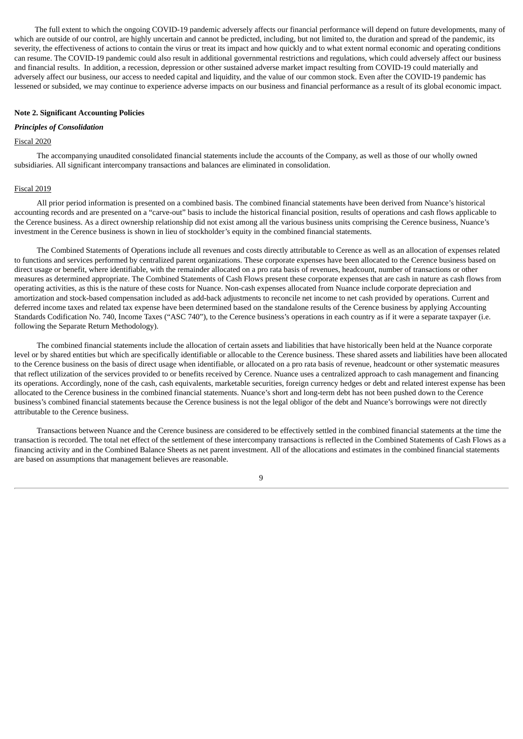The full extent to which the ongoing COVID-19 pandemic adversely affects our financial performance will depend on future developments, many of which are outside of our control, are highly uncertain and cannot be predicted, including, but not limited to, the duration and spread of the pandemic, its severity, the effectiveness of actions to contain the virus or treat its impact and how quickly and to what extent normal economic and operating conditions can resume. The COVID-19 pandemic could also result in additional governmental restrictions and regulations, which could adversely affect our business and financial results. In addition, a recession, depression or other sustained adverse market impact resulting from COVID-19 could materially and adversely affect our business, our access to needed capital and liquidity, and the value of our common stock. Even after the COVID-19 pandemic has lessened or subsided, we may continue to experience adverse impacts on our business and financial performance as a result of its global economic impact.

## **Note 2. Significant Accounting Policies**

#### *Principles of Consolidation*

#### Fiscal 2020

The accompanying unaudited consolidated financial statements include the accounts of the Company, as well as those of our wholly owned subsidiaries. All significant intercompany transactions and balances are eliminated in consolidation.

#### Fiscal 2019

All prior period information is presented on a combined basis. The combined financial statements have been derived from Nuance's historical accounting records and are presented on a "carve-out" basis to include the historical financial position, results of operations and cash flows applicable to the Cerence business. As a direct ownership relationship did not exist among all the various business units comprising the Cerence business, Nuance's investment in the Cerence business is shown in lieu of stockholder's equity in the combined financial statements.

The Combined Statements of Operations include all revenues and costs directly attributable to Cerence as well as an allocation of expenses related to functions and services performed by centralized parent organizations. These corporate expenses have been allocated to the Cerence business based on direct usage or benefit, where identifiable, with the remainder allocated on a pro rata basis of revenues, headcount, number of transactions or other measures as determined appropriate. The Combined Statements of Cash Flows present these corporate expenses that are cash in nature as cash flows from operating activities, as this is the nature of these costs for Nuance. Non-cash expenses allocated from Nuance include corporate depreciation and amortization and stock-based compensation included as add-back adjustments to reconcile net income to net cash provided by operations. Current and deferred income taxes and related tax expense have been determined based on the standalone results of the Cerence business by applying Accounting Standards Codification No. 740, Income Taxes ("ASC 740"), to the Cerence business's operations in each country as if it were a separate taxpayer (i.e. following the Separate Return Methodology).

The combined financial statements include the allocation of certain assets and liabilities that have historically been held at the Nuance corporate level or by shared entities but which are specifically identifiable or allocable to the Cerence business. These shared assets and liabilities have been allocated to the Cerence business on the basis of direct usage when identifiable, or allocated on a pro rata basis of revenue, headcount or other systematic measures that reflect utilization of the services provided to or benefits received by Cerence. Nuance uses a centralized approach to cash management and financing its operations. Accordingly, none of the cash, cash equivalents, marketable securities, foreign currency hedges or debt and related interest expense has been allocated to the Cerence business in the combined financial statements. Nuance's short and long-term debt has not been pushed down to the Cerence business's combined financial statements because the Cerence business is not the legal obligor of the debt and Nuance's borrowings were not directly attributable to the Cerence business.

Transactions between Nuance and the Cerence business are considered to be effectively settled in the combined financial statements at the time the transaction is recorded. The total net effect of the settlement of these intercompany transactions is reflected in the Combined Statements of Cash Flows as a financing activity and in the Combined Balance Sheets as net parent investment. All of the allocations and estimates in the combined financial statements are based on assumptions that management believes are reasonable.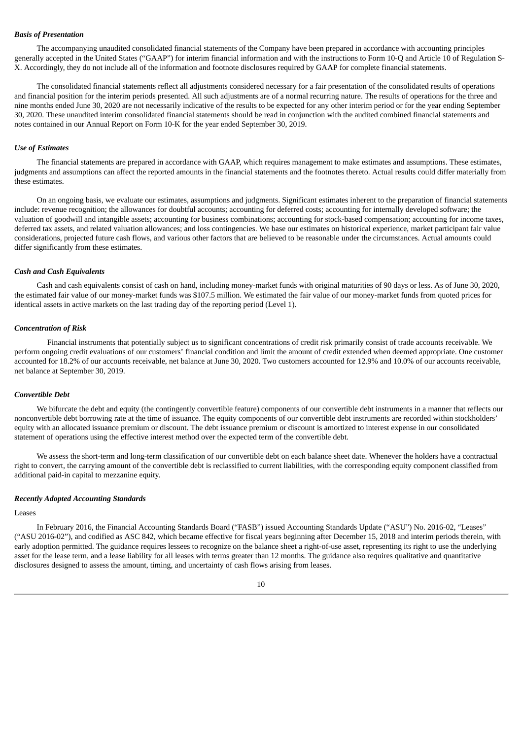## *Basis of Presentation*

The accompanying unaudited consolidated financial statements of the Company have been prepared in accordance with accounting principles generally accepted in the United States ("GAAP") for interim financial information and with the instructions to Form 10-Q and Article 10 of Regulation S-X. Accordingly, they do not include all of the information and footnote disclosures required by GAAP for complete financial statements.

The consolidated financial statements reflect all adjustments considered necessary for a fair presentation of the consolidated results of operations and financial position for the interim periods presented. All such adjustments are of a normal recurring nature. The results of operations for the three and nine months ended June 30, 2020 are not necessarily indicative of the results to be expected for any other interim period or for the year ending September 30, 2020. These unaudited interim consolidated financial statements should be read in conjunction with the audited combined financial statements and notes contained in our Annual Report on Form 10-K for the year ended September 30, 2019.

## *Use of Estimates*

The financial statements are prepared in accordance with GAAP, which requires management to make estimates and assumptions. These estimates, judgments and assumptions can affect the reported amounts in the financial statements and the footnotes thereto. Actual results could differ materially from these estimates.

On an ongoing basis, we evaluate our estimates, assumptions and judgments. Significant estimates inherent to the preparation of financial statements include: revenue recognition; the allowances for doubtful accounts; accounting for deferred costs; accounting for internally developed software; the valuation of goodwill and intangible assets; accounting for business combinations; accounting for stock-based compensation; accounting for income taxes, deferred tax assets, and related valuation allowances; and loss contingencies. We base our estimates on historical experience, market participant fair value considerations, projected future cash flows, and various other factors that are believed to be reasonable under the circumstances. Actual amounts could differ significantly from these estimates.

#### *Cash and Cash Equivalents*

Cash and cash equivalents consist of cash on hand, including money-market funds with original maturities of 90 days or less. As of June 30, 2020, the estimated fair value of our money-market funds was \$107.5 million. We estimated the fair value of our money-market funds from quoted prices for identical assets in active markets on the last trading day of the reporting period (Level 1).

#### *Concentration of Risk*

Financial instruments that potentially subject us to significant concentrations of credit risk primarily consist of trade accounts receivable. We perform ongoing credit evaluations of our customers' financial condition and limit the amount of credit extended when deemed appropriate. One customer accounted for 18.2% of our accounts receivable, net balance at June 30, 2020. Two customers accounted for 12.9% and 10.0% of our accounts receivable, net balance at September 30, 2019.

#### *Convertible Debt*

We bifurcate the debt and equity (the contingently convertible feature) components of our convertible debt instruments in a manner that reflects our nonconvertible debt borrowing rate at the time of issuance. The equity components of our convertible debt instruments are recorded within stockholders' equity with an allocated issuance premium or discount. The debt issuance premium or discount is amortized to interest expense in our consolidated statement of operations using the effective interest method over the expected term of the convertible debt.

We assess the short-term and long-term classification of our convertible debt on each balance sheet date. Whenever the holders have a contractual right to convert, the carrying amount of the convertible debt is reclassified to current liabilities, with the corresponding equity component classified from additional paid-in capital to mezzanine equity.

#### *Recently Adopted Accounting Standards*

#### Leases

In February 2016, the Financial Accounting Standards Board ("FASB") issued Accounting Standards Update ("ASU") No. 2016-02, "Leases" ("ASU 2016-02"), and codified as ASC 842, which became effective for fiscal years beginning after December 15, 2018 and interim periods therein, with early adoption permitted. The guidance requires lessees to recognize on the balance sheet a right-of-use asset, representing its right to use the underlying asset for the lease term, and a lease liability for all leases with terms greater than 12 months. The guidance also requires qualitative and quantitative disclosures designed to assess the amount, timing, and uncertainty of cash flows arising from leases.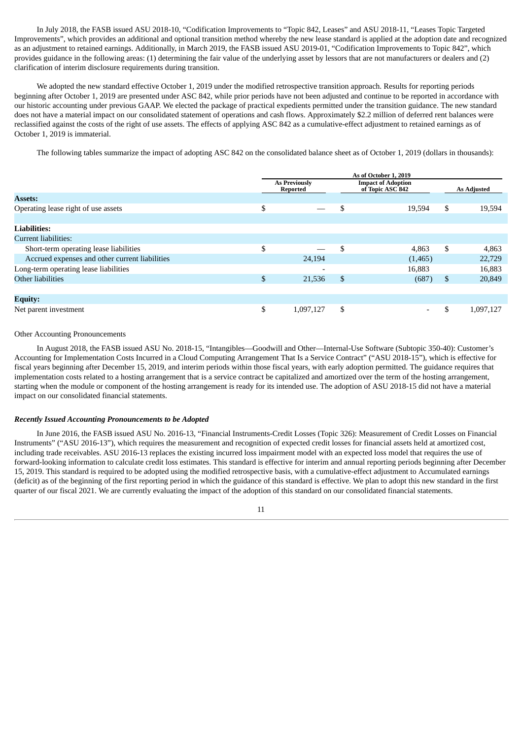In July 2018, the FASB issued ASU 2018-10, "Codification Improvements to "Topic 842, Leases" and ASU 2018-11, "Leases Topic Targeted Improvements", which provides an additional and optional transition method whereby the new lease standard is applied at the adoption date and recognized as an adjustment to retained earnings. Additionally, in March 2019, the FASB issued ASU 2019-01, "Codification Improvements to Topic 842", which provides guidance in the following areas: (1) determining the fair value of the underlying asset by lessors that are not manufacturers or dealers and (2) clarification of interim disclosure requirements during transition.

We adopted the new standard effective October 1, 2019 under the modified retrospective transition approach. Results for reporting periods beginning after October 1, 2019 are presented under ASC 842, while prior periods have not been adjusted and continue to be reported in accordance with our historic accounting under previous GAAP. We elected the package of practical expedients permitted under the transition guidance. The new standard does not have a material impact on our consolidated statement of operations and cash flows. Approximately \$2.2 million of deferred rent balances were reclassified against the costs of the right of use assets. The effects of applying ASC 842 as a cumulative-effect adjustment to retained earnings as of October 1, 2019 is immaterial.

The following tables summarize the impact of adopting ASC 842 on the consolidated balance sheet as of October 1, 2019 (dollars in thousands):

|                                                | As of October 1, 2019 |                                  |                |                                               |                    |           |  |  |  |
|------------------------------------------------|-----------------------|----------------------------------|----------------|-----------------------------------------------|--------------------|-----------|--|--|--|
|                                                |                       | <b>As Previously</b><br>Reported |                | <b>Impact of Adoption</b><br>of Topic ASC 842 | <b>As Adjusted</b> |           |  |  |  |
| <b>Assets:</b>                                 |                       |                                  |                |                                               |                    |           |  |  |  |
| Operating lease right of use assets            | \$                    |                                  |                | 19,594                                        | \$                 | 19,594    |  |  |  |
|                                                |                       |                                  |                |                                               |                    |           |  |  |  |
| <b>Liabilities:</b>                            |                       |                                  |                |                                               |                    |           |  |  |  |
| Current liabilities:                           |                       |                                  |                |                                               |                    |           |  |  |  |
| Short-term operating lease liabilities         | \$                    |                                  | S              | 4.863                                         | \$                 | 4,863     |  |  |  |
| Accrued expenses and other current liabilities |                       | 24,194                           |                | (1,465)                                       |                    | 22,729    |  |  |  |
| Long-term operating lease liabilities          |                       |                                  |                | 16,883                                        |                    | 16,883    |  |  |  |
| Other liabilities                              | $\mathcal{S}$         | 21,536                           | $\mathfrak{S}$ | (687)                                         | \$                 | 20,849    |  |  |  |
|                                                |                       |                                  |                |                                               |                    |           |  |  |  |
| <b>Equity:</b>                                 |                       |                                  |                |                                               |                    |           |  |  |  |
| Net parent investment                          | \$                    | 1,097,127                        | \$             | $\overline{\phantom{0}}$                      | \$                 | 1,097,127 |  |  |  |

Other Accounting Pronouncements

In August 2018, the FASB issued ASU No. 2018-15, "Intangibles—Goodwill and Other—Internal-Use Software (Subtopic 350-40): Customer's Accounting for Implementation Costs Incurred in a Cloud Computing Arrangement That Is a Service Contract" ("ASU 2018-15"), which is effective for fiscal years beginning after December 15, 2019, and interim periods within those fiscal years, with early adoption permitted. The guidance requires that implementation costs related to a hosting arrangement that is a service contract be capitalized and amortized over the term of the hosting arrangement, starting when the module or component of the hosting arrangement is ready for its intended use. The adoption of ASU 2018-15 did not have a material impact on our consolidated financial statements.

#### *Recently Issued Accounting Pronouncements to be Adopted*

In June 2016, the FASB issued ASU No. 2016-13, "Financial Instruments-Credit Losses (Topic 326): Measurement of Credit Losses on Financial Instruments" ("ASU 2016-13"), which requires the measurement and recognition of expected credit losses for financial assets held at amortized cost, including trade receivables. ASU 2016-13 replaces the existing incurred loss impairment model with an expected loss model that requires the use of forward-looking information to calculate credit loss estimates. This standard is effective for interim and annual reporting periods beginning after December 15, 2019. This standard is required to be adopted using the modified retrospective basis, with a cumulative-effect adjustment to Accumulated earnings (deficit) as of the beginning of the first reporting period in which the guidance of this standard is effective. We plan to adopt this new standard in the first quarter of our fiscal 2021. We are currently evaluating the impact of the adoption of this standard on our consolidated financial statements.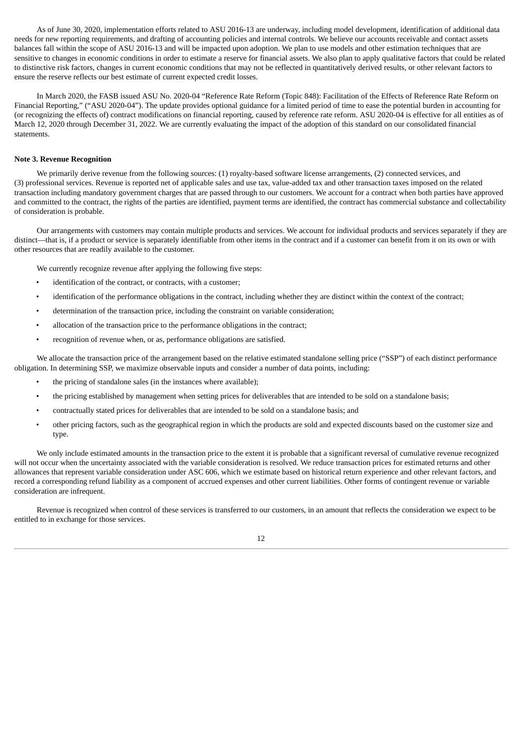As of June 30, 2020, implementation efforts related to ASU 2016-13 are underway, including model development, identification of additional data needs for new reporting requirements, and drafting of accounting policies and internal controls. We believe our accounts receivable and contact assets balances fall within the scope of ASU 2016-13 and will be impacted upon adoption. We plan to use models and other estimation techniques that are sensitive to changes in economic conditions in order to estimate a reserve for financial assets. We also plan to apply qualitative factors that could be related to distinctive risk factors, changes in current economic conditions that may not be reflected in quantitatively derived results, or other relevant factors to ensure the reserve reflects our best estimate of current expected credit losses.

In March 2020, the FASB issued ASU No. 2020-04 "Reference Rate Reform (Topic 848): Facilitation of the Effects of Reference Rate Reform on Financial Reporting," ("ASU 2020-04"). The update provides optional guidance for a limited period of time to ease the potential burden in accounting for (or recognizing the effects of) contract modifications on financial reporting, caused by reference rate reform. ASU 2020-04 is effective for all entities as of March 12, 2020 through December 31, 2022. We are currently evaluating the impact of the adoption of this standard on our consolidated financial statements.

## **Note 3. Revenue Recognition**

We primarily derive revenue from the following sources: (1) royalty-based software license arrangements, (2) connected services, and (3) professional services. Revenue is reported net of applicable sales and use tax, value-added tax and other transaction taxes imposed on the related transaction including mandatory government charges that are passed through to our customers. We account for a contract when both parties have approved and committed to the contract, the rights of the parties are identified, payment terms are identified, the contract has commercial substance and collectability of consideration is probable.

Our arrangements with customers may contain multiple products and services. We account for individual products and services separately if they are distinct—that is, if a product or service is separately identifiable from other items in the contract and if a customer can benefit from it on its own or with other resources that are readily available to the customer.

We currently recognize revenue after applying the following five steps:

- identification of the contract, or contracts, with a customer;
- identification of the performance obligations in the contract, including whether they are distinct within the context of the contract;
- determination of the transaction price, including the constraint on variable consideration;
- allocation of the transaction price to the performance obligations in the contract;
- recognition of revenue when, or as, performance obligations are satisfied.

We allocate the transaction price of the arrangement based on the relative estimated standalone selling price ("SSP") of each distinct performance obligation. In determining SSP, we maximize observable inputs and consider a number of data points, including:

- the pricing of standalone sales (in the instances where available);
- the pricing established by management when setting prices for deliverables that are intended to be sold on a standalone basis;
- contractually stated prices for deliverables that are intended to be sold on a standalone basis; and
- other pricing factors, such as the geographical region in which the products are sold and expected discounts based on the customer size and type.

We only include estimated amounts in the transaction price to the extent it is probable that a significant reversal of cumulative revenue recognized will not occur when the uncertainty associated with the variable consideration is resolved. We reduce transaction prices for estimated returns and other allowances that represent variable consideration under ASC 606, which we estimate based on historical return experience and other relevant factors, and record a corresponding refund liability as a component of accrued expenses and other current liabilities. Other forms of contingent revenue or variable consideration are infrequent.

Revenue is recognized when control of these services is transferred to our customers, in an amount that reflects the consideration we expect to be entitled to in exchange for those services.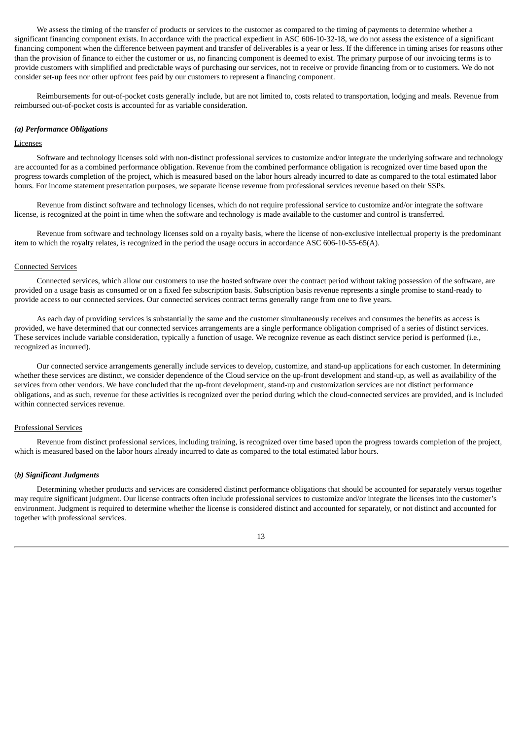We assess the timing of the transfer of products or services to the customer as compared to the timing of payments to determine whether a significant financing component exists. In accordance with the practical expedient in ASC 606-10-32-18, we do not assess the existence of a significant financing component when the difference between payment and transfer of deliverables is a year or less. If the difference in timing arises for reasons other than the provision of finance to either the customer or us, no financing component is deemed to exist. The primary purpose of our invoicing terms is to provide customers with simplified and predictable ways of purchasing our services, not to receive or provide financing from or to customers. We do not consider set-up fees nor other upfront fees paid by our customers to represent a financing component.

Reimbursements for out-of-pocket costs generally include, but are not limited to, costs related to transportation, lodging and meals. Revenue from reimbursed out-of-pocket costs is accounted for as variable consideration.

## *(a) Performance Obligations*

#### **Licenses**

Software and technology licenses sold with non-distinct professional services to customize and/or integrate the underlying software and technology are accounted for as a combined performance obligation. Revenue from the combined performance obligation is recognized over time based upon the progress towards completion of the project, which is measured based on the labor hours already incurred to date as compared to the total estimated labor hours. For income statement presentation purposes, we separate license revenue from professional services revenue based on their SSPs.

Revenue from distinct software and technology licenses, which do not require professional service to customize and/or integrate the software license, is recognized at the point in time when the software and technology is made available to the customer and control is transferred.

Revenue from software and technology licenses sold on a royalty basis, where the license of non-exclusive intellectual property is the predominant item to which the royalty relates, is recognized in the period the usage occurs in accordance ASC 606-10-55-65(A).

## Connected Services

Connected services, which allow our customers to use the hosted software over the contract period without taking possession of the software, are provided on a usage basis as consumed or on a fixed fee subscription basis. Subscription basis revenue represents a single promise to stand-ready to provide access to our connected services. Our connected services contract terms generally range from one to five years.

As each day of providing services is substantially the same and the customer simultaneously receives and consumes the benefits as access is provided, we have determined that our connected services arrangements are a single performance obligation comprised of a series of distinct services. These services include variable consideration, typically a function of usage. We recognize revenue as each distinct service period is performed (i.e., recognized as incurred).

Our connected service arrangements generally include services to develop, customize, and stand-up applications for each customer. In determining whether these services are distinct, we consider dependence of the Cloud service on the up-front development and stand-up, as well as availability of the services from other vendors. We have concluded that the up-front development, stand-up and customization services are not distinct performance obligations, and as such, revenue for these activities is recognized over the period during which the cloud-connected services are provided, and is included within connected services revenue.

## Professional Services

Revenue from distinct professional services, including training, is recognized over time based upon the progress towards completion of the project, which is measured based on the labor hours already incurred to date as compared to the total estimated labor hours.

## (*b) Significant Judgments*

Determining whether products and services are considered distinct performance obligations that should be accounted for separately versus together may require significant judgment. Our license contracts often include professional services to customize and/or integrate the licenses into the customer's environment. Judgment is required to determine whether the license is considered distinct and accounted for separately, or not distinct and accounted for together with professional services.

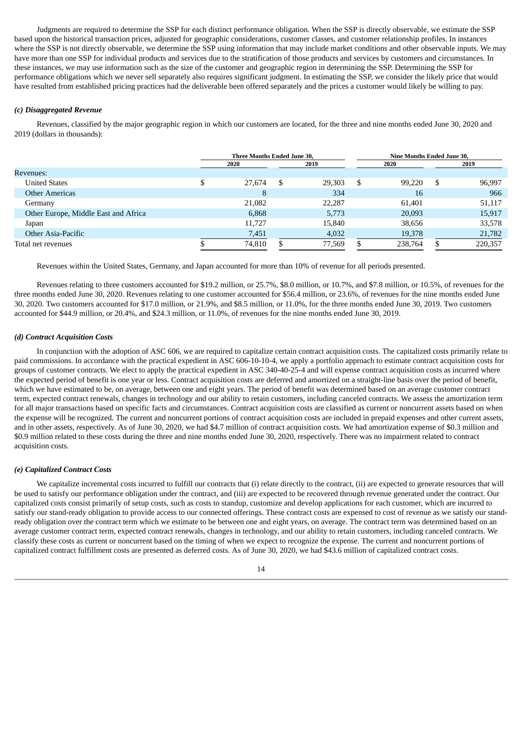Judgments are required to determine the SSP for each distinct performance obligation. When the SSP is directly observable, we estimate the SSP based upon the historical transaction prices, adjusted for geographic considerations, customer classes, and customer relationship profiles. In instances where the SSP is not directly observable, we determine the SSP using information that may include market conditions and other observable inputs. We may have more than one SSP for individual products and services due to the stratification of those products and services by customers and circumstances. In these instances, we may use information such as the size of the customer and geographic region in determining the SSP. Determining the SSP for performance obligations which we never sell separately also requires significant judgment. In estimating the SSP, we consider the likely price that would have resulted from established pricing practices had the deliverable been offered separately and the prices a customer would likely be willing to pay.

#### *(c) Disaggregated Revenue*

Revenues, classified by the major geographic region in which our customers are located, for the three and nine months ended June 30, 2020 and 2019 (dollars in thousands):

|                                      | Three Months Ended June 30, |        | Nine Months Ended June 30, |         |   |         |  |  |  |  |
|--------------------------------------|-----------------------------|--------|----------------------------|---------|---|---------|--|--|--|--|
|                                      | 2020                        | 2019   |                            | 2020    |   | 2019    |  |  |  |  |
| Revenues:                            |                             |        |                            |         |   |         |  |  |  |  |
| <b>United States</b>                 | \$<br>27,674                | 29,303 | S                          | 99,220  | S | 96,997  |  |  |  |  |
| <b>Other Americas</b>                | 8                           | 334    |                            | 16      |   | 966     |  |  |  |  |
| Germany                              | 21,082                      | 22.287 |                            | 61.401  |   | 51,117  |  |  |  |  |
| Other Europe, Middle East and Africa | 6,868                       | 5,773  |                            | 20,093  |   | 15,917  |  |  |  |  |
| Japan                                | 11.727                      | 15,840 |                            | 38,656  |   | 33,578  |  |  |  |  |
| Other Asia-Pacific                   | 7,451                       | 4,032  |                            | 19,378  |   | 21,782  |  |  |  |  |
| Total net revenues                   | 74,810                      | 77,569 |                            | 238,764 |   | 220,357 |  |  |  |  |

Revenues within the United States, Germany, and Japan accounted for more than 10% of revenue for all periods presented.

Revenues relating to three customers accounted for \$19.2 million, or 25.7%, \$8.0 million, or 10.7%, and \$7.8 million, or 10.5%, of revenues for the three months ended June 30, 2020. Revenues relating to one customer accounted for \$56.4 million, or 23.6%, of revenues for the nine months ended June 30, 2020. Two customers accounted for \$17.0 million, or 21.9%, and \$8.5 million, or 11.0%, for the three months ended June 30, 2019. Two customers accounted for \$44.9 million, or 20.4%, and \$24.3 million, or 11.0%, of revenues for the nine months ended June 30, 2019.

## *(d) Contract Acquisition Costs*

In conjunction with the adoption of ASC 606, we are required to capitalize certain contract acquisition costs. The capitalized costs primarily relate to paid commissions. In accordance with the practical expedient in ASC 606-10-10-4, we apply a portfolio approach to estimate contract acquisition costs for groups of customer contracts. We elect to apply the practical expedient in ASC 340-40-25-4 and will expense contract acquisition costs as incurred where the expected period of benefit is one year or less. Contract acquisition costs are deferred and amortized on a straight-line basis over the period of benefit, which we have estimated to be, on average, between one and eight years. The period of benefit was determined based on an average customer contract term, expected contract renewals, changes in technology and our ability to retain customers, including canceled contracts. We assess the amortization term for all major transactions based on specific facts and circumstances. Contract acquisition costs are classified as current or noncurrent assets based on when the expense will be recognized. The current and noncurrent portions of contract acquisition costs are included in prepaid expenses and other current assets, and in other assets, respectively. As of June 30, 2020, we had \$4.7 million of contract acquisition costs. We had amortization expense of \$0.3 million and \$0.9 million related to these costs during the three and nine months ended June 30, 2020, respectively. There was no impairment related to contract acquisition costs.

#### *(e) Capitalized Contract Costs*

We capitalize incremental costs incurred to fulfill our contracts that (i) relate directly to the contract, (ii) are expected to generate resources that will be used to satisfy our performance obligation under the contract, and (iii) are expected to be recovered through revenue generated under the contract. Our capitalized costs consist primarily of setup costs, such as costs to standup, customize and develop applications for each customer, which are incurred to satisfy our stand-ready obligation to provide access to our connected offerings. These contract costs are expensed to cost of revenue as we satisfy our standready obligation over the contract term which we estimate to be between one and eight years, on average. The contract term was determined based on an average customer contract term, expected contract renewals, changes in technology, and our ability to retain customers, including canceled contracts. We classify these costs as current or noncurrent based on the timing of when we expect to recognize the expense. The current and noncurrent portions of capitalized contract fulfillment costs are presented as deferred costs. As of June 30, 2020, we had \$43.6 million of capitalized contract costs.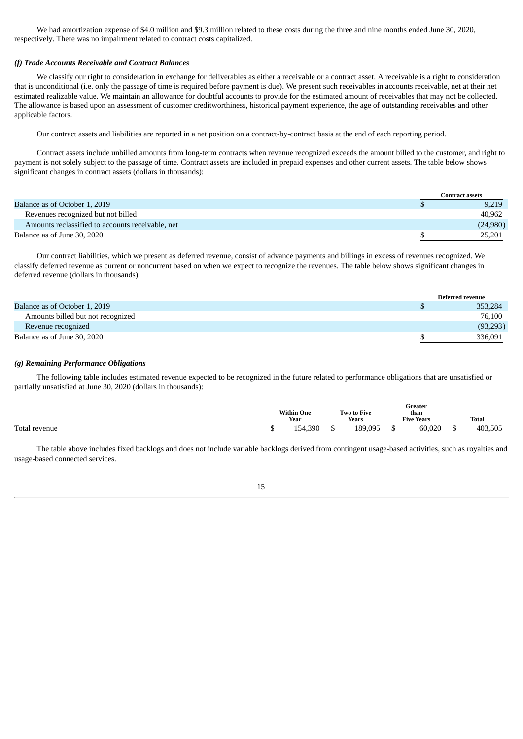We had amortization expense of \$4.0 million and \$9.3 million related to these costs during the three and nine months ended June 30, 2020, respectively. There was no impairment related to contract costs capitalized.

## *(f) Trade Accounts Receivable and Contract Balances*

We classify our right to consideration in exchange for deliverables as either a receivable or a contract asset. A receivable is a right to consideration that is unconditional (i.e. only the passage of time is required before payment is due). We present such receivables in accounts receivable, net at their net estimated realizable value. We maintain an allowance for doubtful accounts to provide for the estimated amount of receivables that may not be collected. The allowance is based upon an assessment of customer creditworthiness, historical payment experience, the age of outstanding receivables and other applicable factors.

Our contract assets and liabilities are reported in a net position on a contract-by-contract basis at the end of each reporting period.

Contract assets include unbilled amounts from long-term contracts when revenue recognized exceeds the amount billed to the customer, and right to payment is not solely subject to the passage of time. Contract assets are included in prepaid expenses and other current assets. The table below shows significant changes in contract assets (dollars in thousands):

|                                                  | <b>Contract assets</b> |
|--------------------------------------------------|------------------------|
| Balance as of October 1, 2019                    | 9,219                  |
| Revenues recognized but not billed               | 40,962                 |
| Amounts reclassified to accounts receivable, net | (24,980)               |
| Balance as of June 30, 2020                      | 25,201                 |

Our contract liabilities, which we present as deferred revenue, consist of advance payments and billings in excess of revenues recognized. We classify deferred revenue as current or noncurrent based on when we expect to recognize the revenues. The table below shows significant changes in deferred revenue (dollars in thousands):

|                                   | Deferred revenue |
|-----------------------------------|------------------|
| Balance as of October 1, 2019     | 353,284          |
| Amounts billed but not recognized | 76.100           |
| Revenue recognized                | (93,293)         |
| Balance as of June 30, 2020       | 336,091          |

#### *(g) Remaining Performance Obligations*

The following table includes estimated revenue expected to be recognized in the future related to performance obligations that are unsatisfied or partially unsatisfied at June 30, 2020 (dollars in thousands):

|               | <b>Within One</b> | Two to Five | Greater<br>than   |              |
|---------------|-------------------|-------------|-------------------|--------------|
|               | Year              | Years       | <b>Five Years</b> | <b>Total</b> |
| Total revenue | 154.390           | 189.095     | <br>60.020        | 403,505      |

The table above includes fixed backlogs and does not include variable backlogs derived from contingent usage-based activities, such as royalties and usage-based connected services.

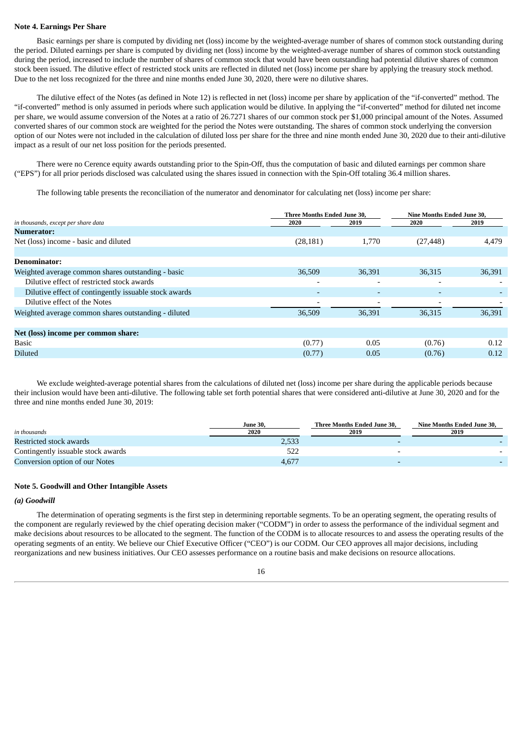#### **Note 4. Earnings Per Share**

Basic earnings per share is computed by dividing net (loss) income by the weighted-average number of shares of common stock outstanding during the period. Diluted earnings per share is computed by dividing net (loss) income by the weighted-average number of shares of common stock outstanding during the period, increased to include the number of shares of common stock that would have been outstanding had potential dilutive shares of common stock been issued. The dilutive effect of restricted stock units are reflected in diluted net (loss) income per share by applying the treasury stock method. Due to the net loss recognized for the three and nine months ended June 30, 2020, there were no dilutive shares.

The dilutive effect of the Notes (as defined in Note 12) is reflected in net (loss) income per share by application of the "if-converted" method. The "if-converted" method is only assumed in periods where such application would be dilutive. In applying the "if-converted" method for diluted net income per share, we would assume conversion of the Notes at a ratio of 26.7271 shares of our common stock per \$1,000 principal amount of the Notes. Assumed converted shares of our common stock are weighted for the period the Notes were outstanding. The shares of common stock underlying the conversion option of our Notes were not included in the calculation of diluted loss per share for the three and nine month ended June 30, 2020 due to their anti-dilutive impact as a result of our net loss position for the periods presented.

There were no Cerence equity awards outstanding prior to the Spin-Off, thus the computation of basic and diluted earnings per common share ("EPS") for all prior periods disclosed was calculated using the shares issued in connection with the Spin-Off totaling 36.4 million shares.

The following table presents the reconciliation of the numerator and denominator for calculating net (loss) income per share:

| Three Months Ended June 30. |                          |                          |                                   |
|-----------------------------|--------------------------|--------------------------|-----------------------------------|
| 2020                        | 2019                     | 2020                     | 2019                              |
|                             |                          |                          |                                   |
| (28, 181)                   | 1,770                    | (27, 448)                | 4,479                             |
|                             |                          |                          |                                   |
|                             |                          |                          |                                   |
| 36,509                      | 36,391                   | 36,315                   | 36,391                            |
| $\overline{\phantom{0}}$    |                          |                          |                                   |
| $\overline{\phantom{0}}$    | $\overline{\phantom{0}}$ | $\overline{\phantom{0}}$ |                                   |
|                             |                          | $\overline{\phantom{a}}$ |                                   |
| 36,509                      | 36,391                   | 36,315                   | 36,391                            |
|                             |                          |                          |                                   |
|                             |                          |                          |                                   |
| (0.77)                      | 0.05                     | (0.76)                   | 0.12                              |
| (0.77)                      | 0.05                     | (0.76)                   | 0.12                              |
|                             |                          |                          | <b>Nine Months Ended June 30.</b> |

We exclude weighted-average potential shares from the calculations of diluted net (loss) income per share during the applicable periods because their inclusion would have been anti-dilutive. The following table set forth potential shares that were considered anti-dilutive at June 30, 2020 and for the three and nine months ended June 30, 2019:

|                                       | <b>June 30.</b> | Three Months Ended June 30. | Nine Months Ended June 30, |
|---------------------------------------|-----------------|-----------------------------|----------------------------|
| in thousands                          | 2020            | 2019                        | 2019                       |
| Restricted stock awards               | 2,533           |                             |                            |
| Contingently issuable stock awards    | 522             |                             |                            |
| <b>Conversion option of our Notes</b> | 4,677           |                             |                            |

#### **Note 5. Goodwill and Other Intangible Assets**

#### *(a) Goodwill*

The determination of operating segments is the first step in determining reportable segments. To be an operating segment, the operating results of the component are regularly reviewed by the chief operating decision maker ("CODM") in order to assess the performance of the individual segment and make decisions about resources to be allocated to the segment. The function of the CODM is to allocate resources to and assess the operating results of the operating segments of an entity. We believe our Chief Executive Officer ("CEO") is our CODM. Our CEO approves all major decisions, including reorganizations and new business initiatives. Our CEO assesses performance on a routine basis and make decisions on resource allocations.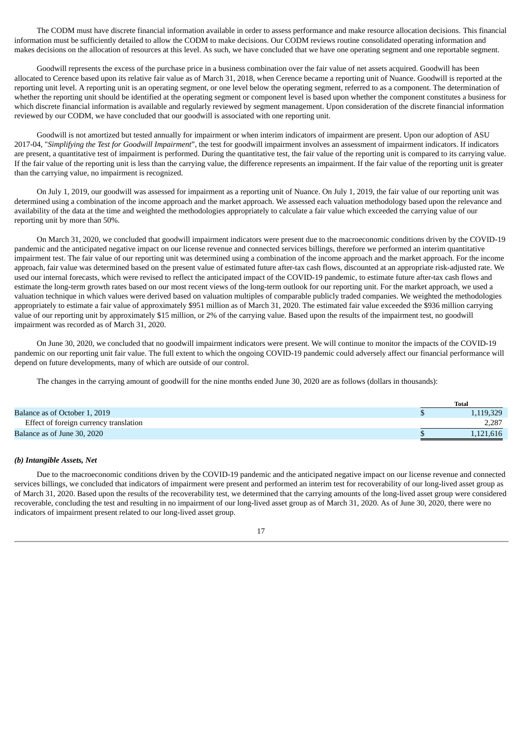The CODM must have discrete financial information available in order to assess performance and make resource allocation decisions. This financial information must be sufficiently detailed to allow the CODM to make decisions. Our CODM reviews routine consolidated operating information and makes decisions on the allocation of resources at this level. As such, we have concluded that we have one operating segment and one reportable segment.

Goodwill represents the excess of the purchase price in a business combination over the fair value of net assets acquired. Goodwill has been allocated to Cerence based upon its relative fair value as of March 31, 2018, when Cerence became a reporting unit of Nuance. Goodwill is reported at the reporting unit level. A reporting unit is an operating segment, or one level below the operating segment, referred to as a component. The determination of whether the reporting unit should be identified at the operating segment or component level is based upon whether the component constitutes a business for which discrete financial information is available and regularly reviewed by segment management. Upon consideration of the discrete financial information reviewed by our CODM, we have concluded that our goodwill is associated with one reporting unit.

Goodwill is not amortized but tested annually for impairment or when interim indicators of impairment are present. Upon our adoption of ASU 2017-04, "*Simplifying the Test for Goodwill Impairment*", the test for goodwill impairment involves an assessment of impairment indicators. If indicators are present, a quantitative test of impairment is performed. During the quantitative test, the fair value of the reporting unit is compared to its carrying value. If the fair value of the reporting unit is less than the carrying value, the difference represents an impairment. If the fair value of the reporting unit is greater than the carrying value, no impairment is recognized.

On July 1, 2019, our goodwill was assessed for impairment as a reporting unit of Nuance. On July 1, 2019, the fair value of our reporting unit was determined using a combination of the income approach and the market approach. We assessed each valuation methodology based upon the relevance and availability of the data at the time and weighted the methodologies appropriately to calculate a fair value which exceeded the carrying value of our reporting unit by more than 50%.

On March 31, 2020, we concluded that goodwill impairment indicators were present due to the macroeconomic conditions driven by the COVID-19 pandemic and the anticipated negative impact on our license revenue and connected services billings, therefore we performed an interim quantitative impairment test. The fair value of our reporting unit was determined using a combination of the income approach and the market approach. For the income approach, fair value was determined based on the present value of estimated future after-tax cash flows, discounted at an appropriate risk-adjusted rate. We used our internal forecasts, which were revised to reflect the anticipated impact of the COVID-19 pandemic, to estimate future after-tax cash flows and estimate the long-term growth rates based on our most recent views of the long-term outlook for our reporting unit. For the market approach, we used a valuation technique in which values were derived based on valuation multiples of comparable publicly traded companies. We weighted the methodologies appropriately to estimate a fair value of approximately \$951 million as of March 31, 2020. The estimated fair value exceeded the \$936 million carrying value of our reporting unit by approximately \$15 million, or 2% of the carrying value. Based upon the results of the impairment test, no goodwill impairment was recorded as of March 31, 2020.

On June 30, 2020, we concluded that no goodwill impairment indicators were present. We will continue to monitor the impacts of the COVID-19 pandemic on our reporting unit fair value. The full extent to which the ongoing COVID-19 pandemic could adversely affect our financial performance will depend on future developments, many of which are outside of our control.

The changes in the carrying amount of goodwill for the nine months ended June 30, 2020 are as follows (dollars in thousands):

|                                        | <b>Total</b> |
|----------------------------------------|--------------|
| Balance as of October 1, 2019          | 1.119.329    |
| Effect of foreign currency translation | 2.287        |
| Balance as of June 30, 2020            | 1.121.616    |

## *(b) Intangible Assets, Net*

Due to the macroeconomic conditions driven by the COVID-19 pandemic and the anticipated negative impact on our license revenue and connected services billings, we concluded that indicators of impairment were present and performed an interim test for recoverability of our long-lived asset group as of March 31, 2020. Based upon the results of the recoverability test, we determined that the carrying amounts of the long-lived asset group were considered recoverable, concluding the test and resulting in no impairment of our long-lived asset group as of March 31, 2020. As of June 30, 2020, there were no indicators of impairment present related to our long-lived asset group.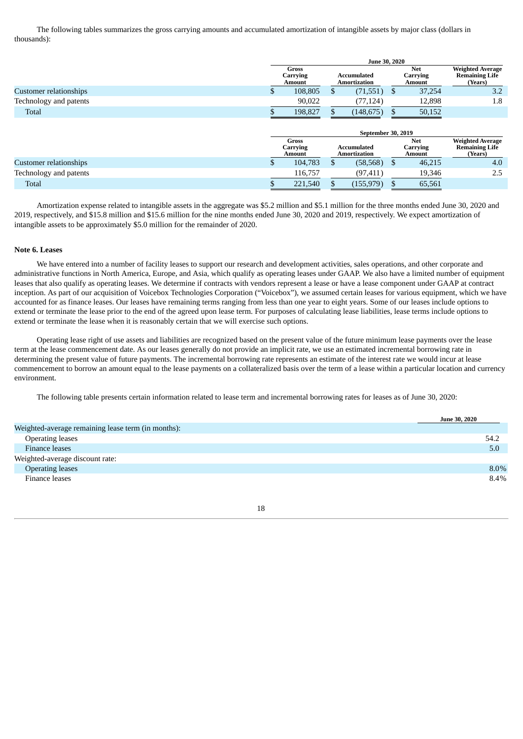The following tables summarizes the gross carrying amounts and accumulated amortization of intangible assets by major class (dollars in thousands):

|                               |    | <b>June 30, 2020</b>               |                                    |    |                                  |                                                             |
|-------------------------------|----|------------------------------------|------------------------------------|----|----------------------------------|-------------------------------------------------------------|
|                               |    | <b>Gross</b><br>Carrying<br>Amount | Accumulated<br>Amortization        |    | <b>Net</b><br>Carrying<br>Amount | <b>Weighted Average</b><br><b>Remaining Life</b><br>(Years) |
| Customer relationships        | J. | 108,805                            | (71, 551)<br>S                     | -S | 37,254                           | 3.2                                                         |
| Technology and patents        |    | 90,022                             | (77, 124)                          |    | 12,898                           | 1.8                                                         |
| Total                         |    | 198,827                            | (148, 675)                         |    | 50,152                           |                                                             |
|                               |    | <b>September 30, 2019</b>          |                                    |    |                                  |                                                             |
|                               |    | Gross<br>Carrying<br>Amount        | <b>Accumulated</b><br>Amortization |    | <b>Net</b><br>Carrying<br>Amount | <b>Weighted Average</b><br><b>Remaining Life</b><br>(Years) |
| <b>Customer relationships</b> |    | 104,783                            | (58, 568)<br>S                     | -S | 46,215                           | 4.0                                                         |
| Technology and patents        |    | 116,757                            | (97, 411)                          |    | 19,346                           | 2.5                                                         |
| <b>Total</b>                  |    | 221,540                            | (155, 979)<br>\$                   | S  | 65,561                           |                                                             |

Amortization expense related to intangible assets in the aggregate was \$5.2 million and \$5.1 million for the three months ended June 30, 2020 and 2019, respectively, and \$15.8 million and \$15.6 million for the nine months ended June 30, 2020 and 2019, respectively. We expect amortization of intangible assets to be approximately \$5.0 million for the remainder of 2020.

#### **Note 6. Leases**

We have entered into a number of facility leases to support our research and development activities, sales operations, and other corporate and administrative functions in North America, Europe, and Asia, which qualify as operating leases under GAAP. We also have a limited number of equipment leases that also qualify as operating leases. We determine if contracts with vendors represent a lease or have a lease component under GAAP at contract inception. As part of our acquisition of Voicebox Technologies Corporation ("Voicebox"), we assumed certain leases for various equipment, which we have accounted for as finance leases. Our leases have remaining terms ranging from less than one year to eight years. Some of our leases include options to extend or terminate the lease prior to the end of the agreed upon lease term. For purposes of calculating lease liabilities, lease terms include options to extend or terminate the lease when it is reasonably certain that we will exercise such options.

Operating lease right of use assets and liabilities are recognized based on the present value of the future minimum lease payments over the lease term at the lease commencement date. As our leases generally do not provide an implicit rate, we use an estimated incremental borrowing rate in determining the present value of future payments. The incremental borrowing rate represents an estimate of the interest rate we would incur at lease commencement to borrow an amount equal to the lease payments on a collateralized basis over the term of a lease within a particular location and currency environment.

The following table presents certain information related to lease term and incremental borrowing rates for leases as of June 30, 2020:

|                                                    | <b>June 30, 2020</b> |
|----------------------------------------------------|----------------------|
| Weighted-average remaining lease term (in months): |                      |
| <b>Operating leases</b>                            | 54.2                 |
| Finance leases                                     | 5.0                  |
| Weighted-average discount rate:                    |                      |
| <b>Operating leases</b>                            | 8.0%                 |
| Finance leases                                     | 8.4%                 |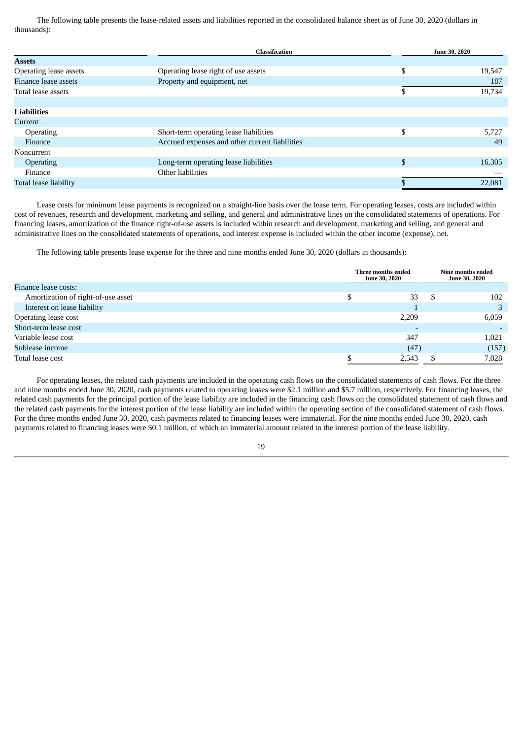The following table presents the lease-related assets and liabilities reported in the consolidated balance sheet as of June 30, 2020 (dollars in thousands):

|                        | <b>Classification</b>                          |              | June 30, 2020 |
|------------------------|------------------------------------------------|--------------|---------------|
| <b>Assets</b>          |                                                |              |               |
| Operating lease assets | Operating lease right of use assets            | \$           | 19,547        |
| Finance lease assets   | Property and equipment, net                    |              | 187           |
| Total lease assets     |                                                |              | 19,734        |
|                        |                                                |              |               |
| <b>Liabilities</b>     |                                                |              |               |
| <b>Current</b>         |                                                |              |               |
| Operating              | Short-term operating lease liabilities         | \$           | 5,727         |
| Finance                | Accrued expenses and other current liabilities |              | 49            |
| Noncurrent             |                                                |              |               |
| <b>Operating</b>       | Long-term operating lease liabilities          | $\mathbb{S}$ | 16,305        |
| Finance                | Other liabilities                              |              |               |
| Total lease liability  |                                                |              | 22,081        |
|                        |                                                |              |               |

Lease costs for minimum lease payments is recognized on a straight-line basis over the lease term. For operating leases, costs are included within cost of revenues, research and development, marketing and selling, and general and administrative lines on the consolidated statements of operations. For financing leases, amortization of the finance right-of-use assets is included within research and development, marketing and selling, and general and administrative lines on the consolidated statements of operations, and interest expense is included within the other income (expense), net.

The following table presents lease expense for the three and nine months ended June 30, 2020 (dollars in thousands):

|                                    | Three months ended<br><b>June 30, 2020</b> | Nine months ended<br><b>June 30, 2020</b> |       |
|------------------------------------|--------------------------------------------|-------------------------------------------|-------|
| Finance lease costs:               |                                            |                                           |       |
| Amortization of right-of-use asset | 33                                         | .S                                        | 102   |
| Interest on lease liability        |                                            |                                           | 3     |
| Operating lease cost               | 2,209                                      |                                           | 6,059 |
| Short-term lease cost              |                                            |                                           |       |
| Variable lease cost                | 347                                        |                                           | 1,021 |
| Sublease income                    | (47)                                       |                                           | (157) |
| Total lease cost                   | 2,543                                      |                                           | 7,028 |

For operating leases, the related cash payments are included in the operating cash flows on the consolidated statements of cash flows. For the three and nine months ended June 30, 2020, cash payments related to operating leases were \$2.1 million and \$5.7 million, respectively. For financing leases, the related cash payments for the principal portion of the lease liability are included in the financing cash flows on the consolidated statement of cash flows and the related cash payments for the interest portion of the lease liability are included within the operating section of the consolidated statement of cash flows. For the three months ended June 30, 2020, cash payments related to financing leases were immaterial. For the nine months ended June 30, 2020, cash payments related to financing leases were \$0.1 million, of which an immaterial amount related to the interest portion of the lease liability.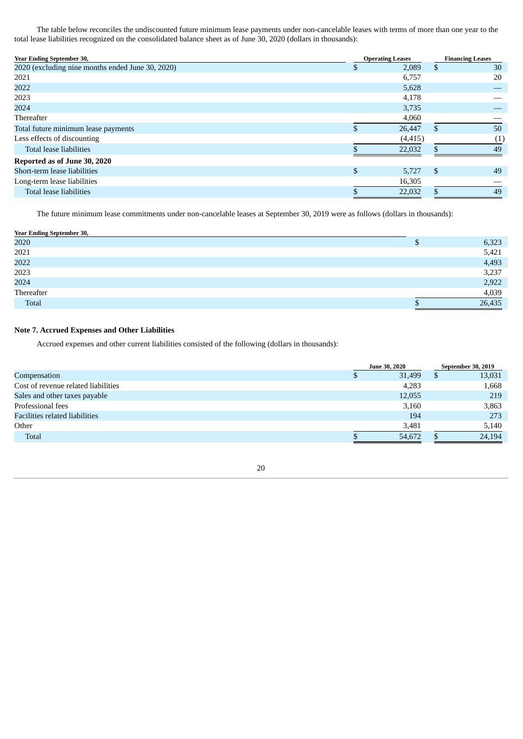The table below reconciles the undiscounted future minimum lease payments under non-cancelable leases with terms of more than one year to the total lease liabilities recognized on the consolidated balance sheet as of June 30, 2020 (dollars in thousands):

| <b>Year Ending September 30,</b>                 | <b>Operating Leases</b> |          | <b>Financing Leases</b> |     |
|--------------------------------------------------|-------------------------|----------|-------------------------|-----|
| 2020 (excluding nine months ended June 30, 2020) | Φ                       | 2,089    | \$                      | 30  |
| 2021                                             |                         | 6,757    |                         | 20  |
| 2022                                             |                         | 5,628    |                         |     |
| 2023                                             |                         | 4,178    |                         |     |
| 2024                                             |                         | 3,735    |                         |     |
| Thereafter                                       |                         | 4,060    |                         |     |
| Total future minimum lease payments              |                         | 26,447   | \$                      | 50  |
| Less effects of discounting                      |                         | (4, 415) |                         | (1) |
| Total lease liabilities                          |                         | 22,032   |                         | 49  |
| Reported as of June 30, 2020                     |                         |          |                         |     |
| Short-term lease liabilities                     | \$                      | 5,727    | \$                      | 49  |
| Long-term lease liabilities                      |                         | 16,305   |                         |     |
| Total lease liabilities                          |                         | 22,032   |                         | 49  |

The future minimum lease commitments under non-cancelable leases at September 30, 2019 were as follows (dollars in thousands):

| Year Ending September 30, |        |
|---------------------------|--------|
| 2020                      | 6,323  |
| 2021                      | 5,421  |
| 2022                      | 4,493  |
| 2023                      | 3,237  |
| 2024                      | 2,922  |
| Thereafter                | 4,039  |
| Total                     | 26,435 |

## **Note 7. Accrued Expenses and Other Liabilities**

Accrued expenses and other current liabilities consisted of the following (dollars in thousands):

|                                     | <b>June 30, 2020</b> |   | September 30, 2019 |
|-------------------------------------|----------------------|---|--------------------|
| <b>Compensation</b>                 | 31,499               | S | 13,031             |
| Cost of revenue related liabilities | 4,283                |   | 1,668              |
| Sales and other taxes payable       | 12,055               |   | 219                |
| Professional fees                   | 3,160                |   | 3,863              |
| Facilities related liabilities      | 194                  |   | 273                |
| Other                               | 3,481                |   | 5,140              |
| <b>Total</b>                        | 54,672               |   | 24,194             |
|                                     |                      |   |                    |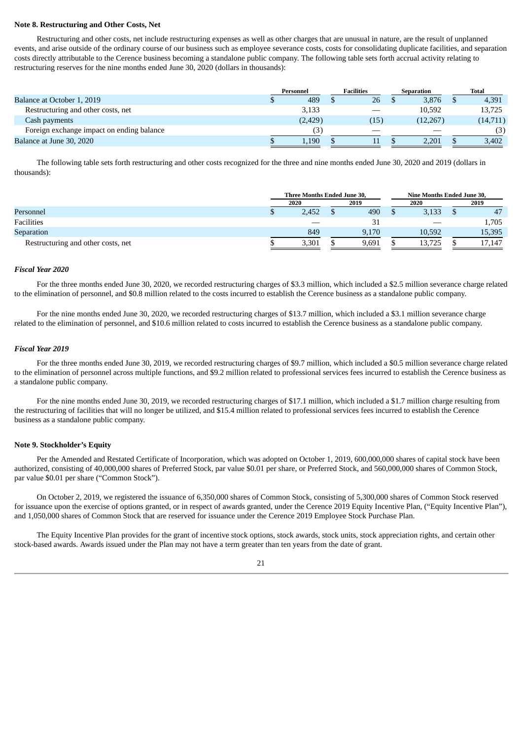#### **Note 8. Restructuring and Other Costs, Net**

Restructuring and other costs, net include restructuring expenses as well as other charges that are unusual in nature, are the result of unplanned events, and arise outside of the ordinary course of our business such as employee severance costs, costs for consolidating duplicate facilities, and separation costs directly attributable to the Cerence business becoming a standalone public company. The following table sets forth accrual activity relating to restructuring reserves for the nine months ended June 30, 2020 (dollars in thousands):

|                                           | Personnel | Facilities | Separation | Total     |
|-------------------------------------------|-----------|------------|------------|-----------|
| Balance at October 1, 2019                | 489       | 26         | 3.876      | 4,391     |
| Restructuring and other costs, net        | 3,133     |            | 10.592     | 13,725    |
| Cash payments                             | (2, 429)  | (15)       | (12, 267)  | (14, 711) |
| Foreign exchange impact on ending balance | (3)       |            |            | (3)       |
| Balance at June 30, 2020                  | .190      |            | 2.201      | 3,402     |

The following table sets forth restructuring and other costs recognized for the three and nine months ended June 30, 2020 and 2019 (dollars in thousands):

|                                    | <b>Three Months Ended June 30.</b> |       |  |       |  | Nine Months Ended June 30, |  |        |  |
|------------------------------------|------------------------------------|-------|--|-------|--|----------------------------|--|--------|--|
|                                    |                                    | 2020  |  | 2019  |  | 2020                       |  | 2019   |  |
| Personnel                          |                                    | 2.452 |  | 490   |  | 3,133                      |  | 47     |  |
| Facilities                         |                                    |       |  | 1 ب   |  |                            |  | 1,705  |  |
| Separation                         |                                    | 849   |  | 9,170 |  | 10.592                     |  | 15,395 |  |
| Restructuring and other costs, net |                                    | 3,301 |  | 9,691 |  | 13.725                     |  | 17.147 |  |

#### *Fiscal Year 2020*

For the three months ended June 30, 2020, we recorded restructuring charges of \$3.3 million, which included a \$2.5 million severance charge related to the elimination of personnel, and \$0.8 million related to the costs incurred to establish the Cerence business as a standalone public company.

For the nine months ended June 30, 2020, we recorded restructuring charges of \$13.7 million, which included a \$3.1 million severance charge related to the elimination of personnel, and \$10.6 million related to costs incurred to establish the Cerence business as a standalone public company.

#### *Fiscal Year 2019*

For the three months ended June 30, 2019, we recorded restructuring charges of \$9.7 million, which included a \$0.5 million severance charge related to the elimination of personnel across multiple functions, and \$9.2 million related to professional services fees incurred to establish the Cerence business as a standalone public company.

For the nine months ended June 30, 2019, we recorded restructuring charges of \$17.1 million, which included a \$1.7 million charge resulting from the restructuring of facilities that will no longer be utilized, and \$15.4 million related to professional services fees incurred to establish the Cerence business as a standalone public company.

## **Note 9. Stockholder's Equity**

Per the Amended and Restated Certificate of Incorporation, which was adopted on October 1, 2019, 600,000,000 shares of capital stock have been authorized, consisting of 40,000,000 shares of Preferred Stock, par value \$0.01 per share, or Preferred Stock, and 560,000,000 shares of Common Stock, par value \$0.01 per share ("Common Stock").

On October 2, 2019, we registered the issuance of 6,350,000 shares of Common Stock, consisting of 5,300,000 shares of Common Stock reserved for issuance upon the exercise of options granted, or in respect of awards granted, under the Cerence 2019 Equity Incentive Plan, ("Equity Incentive Plan"), and 1,050,000 shares of Common Stock that are reserved for issuance under the Cerence 2019 Employee Stock Purchase Plan.

The Equity Incentive Plan provides for the grant of incentive stock options, stock awards, stock units, stock appreciation rights, and certain other stock-based awards. Awards issued under the Plan may not have a term greater than ten years from the date of grant.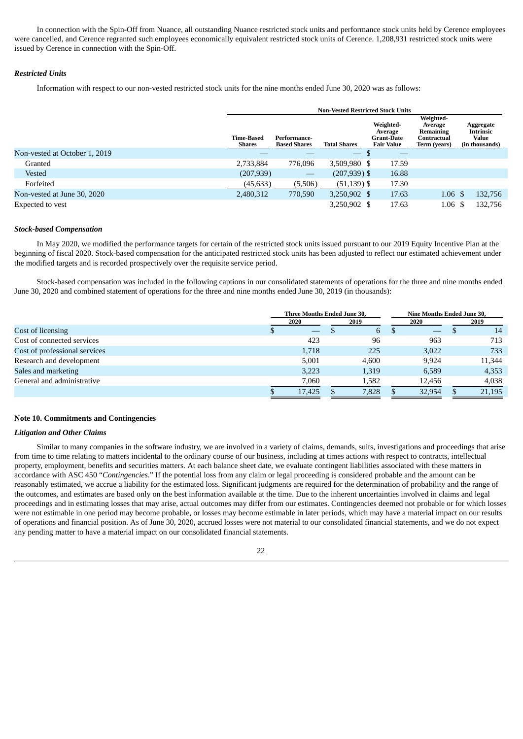In connection with the Spin-Off from Nuance, all outstanding Nuance restricted stock units and performance stock units held by Cerence employees were cancelled, and Cerence regranted such employees economically equivalent restricted stock units of Cerence. 1,208,931 restricted stock units were issued by Cerence in connection with the Spin-Off.

## *Restricted Units*

Information with respect to our non-vested restricted stock units for the nine months ended June 30, 2020 was as follows:

|                               |                      | <b>Non-Vested Restricted Stock Units</b> |                               |                                                                |                                                                  |                                                          |  |  |  |  |  |  |  |  |
|-------------------------------|----------------------|------------------------------------------|-------------------------------|----------------------------------------------------------------|------------------------------------------------------------------|----------------------------------------------------------|--|--|--|--|--|--|--|--|
|                               | Time-Based<br>Shares | Performance-<br><b>Based Shares</b>      | <b>Total Shares</b>           | Weighted-<br>Average<br><b>Grant-Date</b><br><b>Fair Value</b> | Weighted-<br>Average<br>Remaining<br>Contractual<br>Term (years) | Aggregate<br>Intrinsic<br><b>Value</b><br>(in thousands) |  |  |  |  |  |  |  |  |
| Non-vested at October 1, 2019 |                      |                                          | $\overline{\phantom{0}}$<br>മ |                                                                |                                                                  |                                                          |  |  |  |  |  |  |  |  |
| Granted                       | 2,733,884            | 776,096                                  | 3,509,980 \$                  | 17.59                                                          |                                                                  |                                                          |  |  |  |  |  |  |  |  |
| Vested                        | (207, 939)           |                                          | $(207, 939)$ \$               | 16.88                                                          |                                                                  |                                                          |  |  |  |  |  |  |  |  |
| Forfeited                     | (45, 633)            | (5,506)                                  | $(51, 139)$ \$                | 17.30                                                          |                                                                  |                                                          |  |  |  |  |  |  |  |  |
| Non-vested at June 30, 2020   | 2,480,312            | 770,590                                  | 3,250,902 \$                  | 17.63                                                          | 1.06                                                             | 132,756<br>-S                                            |  |  |  |  |  |  |  |  |
| Expected to yest              |                      |                                          | 3,250,902 \$                  | 17.63                                                          | 1.06                                                             | 132.756<br>-S                                            |  |  |  |  |  |  |  |  |

## *Stock-based Compensation*

In May 2020, we modified the performance targets for certain of the restricted stock units issued pursuant to our 2019 Equity Incentive Plan at the beginning of fiscal 2020. Stock-based compensation for the anticipated restricted stock units has been adjusted to reflect our estimated achievement under the modified targets and is recorded prospectively over the requisite service period.

Stock-based compensation was included in the following captions in our consolidated statements of operations for the three and nine months ended June 30, 2020 and combined statement of operations for the three and nine months ended June 30, 2019 (in thousands):

|                               | <b>Three Months Ended June 30.</b> |                                           |  |       |  | <b>Nine Months Ended June 30.</b> |  |        |
|-------------------------------|------------------------------------|-------------------------------------------|--|-------|--|-----------------------------------|--|--------|
|                               |                                    | 2020                                      |  | 2019  |  | 2020                              |  | 2019   |
| Cost of licensing             |                                    | $\qquad \qquad \overline{\qquad \qquad }$ |  | 6     |  |                                   |  | 14     |
| Cost of connected services    |                                    | 423                                       |  | 96    |  | 963                               |  | 713    |
| Cost of professional services |                                    | 1,718                                     |  | 225   |  | 3.022                             |  | 733    |
| Research and development      |                                    | 5,001                                     |  | 4.600 |  | 9.924                             |  | 11,344 |
| Sales and marketing           |                                    | 3,223                                     |  | 1,319 |  | 6,589                             |  | 4,353  |
| General and administrative    |                                    | 7,060                                     |  | 1,582 |  | 12,456                            |  | 4,038  |
|                               |                                    | 17.425                                    |  | 7.828 |  | 32,954                            |  | 21,195 |

## **Note 10. Commitments and Contingencies**

#### *Litigation and Other Claims*

Similar to many companies in the software industry, we are involved in a variety of claims, demands, suits, investigations and proceedings that arise from time to time relating to matters incidental to the ordinary course of our business, including at times actions with respect to contracts, intellectual property, employment, benefits and securities matters. At each balance sheet date, we evaluate contingent liabilities associated with these matters in accordance with ASC 450 "*Contingencies*." If the potential loss from any claim or legal proceeding is considered probable and the amount can be reasonably estimated, we accrue a liability for the estimated loss. Significant judgments are required for the determination of probability and the range of the outcomes, and estimates are based only on the best information available at the time. Due to the inherent uncertainties involved in claims and legal proceedings and in estimating losses that may arise, actual outcomes may differ from our estimates. Contingencies deemed not probable or for which losses were not estimable in one period may become probable, or losses may become estimable in later periods, which may have a material impact on our results of operations and financial position. As of June 30, 2020, accrued losses were not material to our consolidated financial statements, and we do not expect any pending matter to have a material impact on our consolidated financial statements.

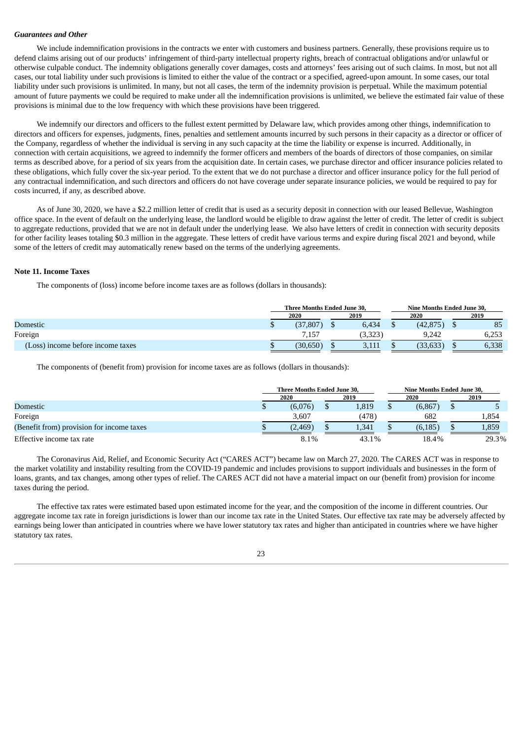## *Guarantees and Other*

We include indemnification provisions in the contracts we enter with customers and business partners. Generally, these provisions require us to defend claims arising out of our products' infringement of third-party intellectual property rights, breach of contractual obligations and/or unlawful or otherwise culpable conduct. The indemnity obligations generally cover damages, costs and attorneys' fees arising out of such claims. In most, but not all cases, our total liability under such provisions is limited to either the value of the contract or a specified, agreed-upon amount. In some cases, our total liability under such provisions is unlimited. In many, but not all cases, the term of the indemnity provision is perpetual. While the maximum potential amount of future payments we could be required to make under all the indemnification provisions is unlimited, we believe the estimated fair value of these provisions is minimal due to the low frequency with which these provisions have been triggered.

We indemnify our directors and officers to the fullest extent permitted by Delaware law, which provides among other things, indemnification to directors and officers for expenses, judgments, fines, penalties and settlement amounts incurred by such persons in their capacity as a director or officer of the Company, regardless of whether the individual is serving in any such capacity at the time the liability or expense is incurred. Additionally, in connection with certain acquisitions, we agreed to indemnify the former officers and members of the boards of directors of those companies, on similar terms as described above, for a period of six years from the acquisition date. In certain cases, we purchase director and officer insurance policies related to these obligations, which fully cover the six-year period. To the extent that we do not purchase a director and officer insurance policy for the full period of any contractual indemnification, and such directors and officers do not have coverage under separate insurance policies, we would be required to pay for costs incurred, if any, as described above.

As of June 30, 2020, we have a \$2.2 million letter of credit that is used as a security deposit in connection with our leased Bellevue, Washington office space. In the event of default on the underlying lease, the landlord would be eligible to draw against the letter of credit. The letter of credit is subject to aggregate reductions, provided that we are not in default under the underlying lease. We also have letters of credit in connection with security deposits for other facility leases totaling \$0.3 million in the aggregate. These letters of credit have various terms and expire during fiscal 2021 and beyond, while some of the letters of credit may automatically renew based on the terms of the underlying agreements.

#### **Note 11. Income Taxes**

The components of (loss) income before income taxes are as follows (dollars in thousands):

|                                   |              | Three Months Ended June 30. |      |         |  | Nine Months Ended June 30. |  |       |
|-----------------------------------|--------------|-----------------------------|------|---------|--|----------------------------|--|-------|
|                                   | 2020<br>2019 |                             | 2020 |         |  | 2019                       |  |       |
| <b>Domestic</b>                   |              | (37, 807)                   |      | 6.434   |  | (42, 875)                  |  | 85    |
| Foreign                           |              | 7.157                       |      | (3,323) |  | 9.242                      |  | 6,253 |
| (Loss) income before income taxes |              | (30, 650)                   |      | 3,111   |  | (33, 633)                  |  | 6,338 |

The components of (benefit from) provision for income taxes are as follows (dollars in thousands):

|                                           |  | <b>Three Months Ended June 30.</b> |  | Nine Months Ended June 30. |  |          |  |       |
|-------------------------------------------|--|------------------------------------|--|----------------------------|--|----------|--|-------|
|                                           |  | 2020                               |  | 2019                       |  | 2020     |  | 2019  |
| Domestic                                  |  | (6,076)                            |  | 1,819                      |  | (6, 867) |  |       |
| Foreign                                   |  | 3,607                              |  | (478)                      |  | 682      |  | 1,854 |
| (Benefit from) provision for income taxes |  | (2, 469)                           |  | 1,341                      |  | (6, 185) |  | 1,859 |
| Effective income tax rate                 |  | 8.1%                               |  | 43.1%                      |  | 18.4%    |  | 29.3% |

The Coronavirus Aid, Relief, and Economic Security Act ("CARES ACT") became law on March 27, 2020. The CARES ACT was in response to the market volatility and instability resulting from the COVID-19 pandemic and includes provisions to support individuals and businesses in the form of loans, grants, and tax changes, among other types of relief. The CARES ACT did not have a material impact on our (benefit from) provision for income taxes during the period.

The effective tax rates were estimated based upon estimated income for the year, and the composition of the income in different countries. Our aggregate income tax rate in foreign jurisdictions is lower than our income tax rate in the United States. Our effective tax rate may be adversely affected by earnings being lower than anticipated in countries where we have lower statutory tax rates and higher than anticipated in countries where we have higher statutory tax rates.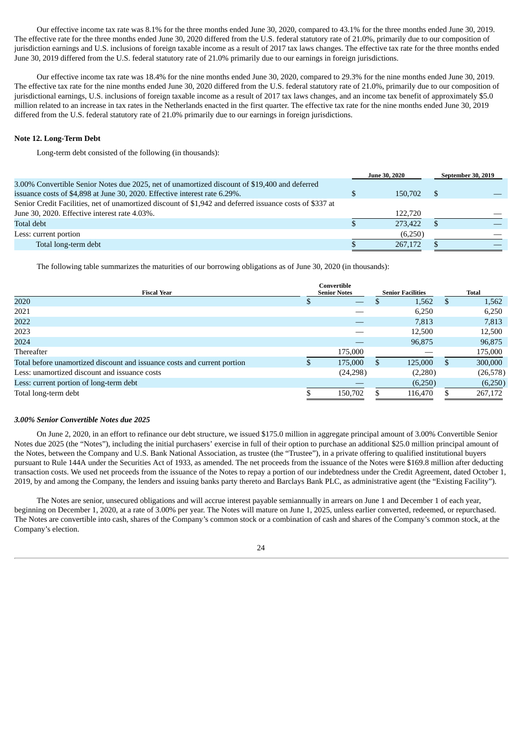Our effective income tax rate was 8.1% for the three months ended June 30, 2020, compared to 43.1% for the three months ended June 30, 2019. The effective rate for the three months ended June 30, 2020 differed from the U.S. federal statutory rate of 21.0%, primarily due to our composition of jurisdiction earnings and U.S. inclusions of foreign taxable income as a result of 2017 tax laws changes. The effective tax rate for the three months ended June 30, 2019 differed from the U.S. federal statutory rate of 21.0% primarily due to our earnings in foreign jurisdictions.

Our effective income tax rate was 18.4% for the nine months ended June 30, 2020, compared to 29.3% for the nine months ended June 30, 2019. The effective tax rate for the nine months ended June 30, 2020 differed from the U.S. federal statutory rate of 21.0%, primarily due to our composition of jurisdictional earnings, U.S. inclusions of foreign taxable income as a result of 2017 tax laws changes, and an income tax benefit of approximately \$5.0 million related to an increase in tax rates in the Netherlands enacted in the first quarter. The effective tax rate for the nine months ended June 30, 2019 differed from the U.S. federal statutory rate of 21.0% primarily due to our earnings in foreign jurisdictions.

## **Note 12. Long-Term Debt**

Long-term debt consisted of the following (in thousands):

|                                                                                                          | <b>June 30, 2020</b> |     | <b>September 30, 2019</b> |
|----------------------------------------------------------------------------------------------------------|----------------------|-----|---------------------------|
| 3.00% Convertible Senior Notes due 2025, net of unamortized discount of \$19,400 and deferred            |                      |     |                           |
| issuance costs of \$4,898 at June 30, 2020. Effective interest rate 6.29%.                               | 150,702              | -\$ |                           |
| Senior Credit Facilities, net of unamortized discount of \$1,942 and deferred issuance costs of \$337 at |                      |     |                           |
| June 30, 2020. Effective interest rate 4.03%.                                                            | 122,720              |     |                           |
| Total debt                                                                                               | 273,422              |     |                           |
| Less: current portion                                                                                    | (6,250)              |     |                           |
| Total long-term debt                                                                                     | 267,172              |     |                           |

The following table summarizes the maturities of our borrowing obligations as of June 30, 2020 (in thousands):

| <b>Fiscal Year</b>                                                       |    | Convertible<br><b>Senior Notes</b> |    | <b>Senior Facilities</b> |      | <b>Total</b> |  |
|--------------------------------------------------------------------------|----|------------------------------------|----|--------------------------|------|--------------|--|
| 2020                                                                     | ۰D |                                    |    | 1,562                    | - \$ | 1,562        |  |
| 2021                                                                     |    |                                    |    | 6,250                    |      | 6,250        |  |
| 2022                                                                     |    |                                    |    | 7,813                    |      | 7,813        |  |
| 2023                                                                     |    |                                    |    | 12,500                   |      | 12,500       |  |
| 2024                                                                     |    |                                    |    | 96,875                   |      | 96,875       |  |
| Thereafter                                                               |    | 175,000                            |    |                          |      | 175,000      |  |
| Total before unamortized discount and issuance costs and current portion |    | 175,000                            | S. | 125,000                  | \$.  | 300,000      |  |
| Less: unamortized discount and issuance costs                            |    | (24, 298)                          |    | (2,280)                  |      | (26, 578)    |  |
| Less: current portion of long-term debt                                  |    |                                    |    | (6,250)                  |      | (6,250)      |  |
| Total long-term debt                                                     |    | 150,702                            |    | 116,470                  |      | 267,172      |  |

#### *3.00% Senior Convertible Notes due 2025*

On June 2, 2020, in an effort to refinance our debt structure, we issued \$175.0 million in aggregate principal amount of 3.00% Convertible Senior Notes due 2025 (the "Notes"), including the initial purchasers' exercise in full of their option to purchase an additional \$25.0 million principal amount of the Notes, between the Company and U.S. Bank National Association, as trustee (the "Trustee"), in a private offering to qualified institutional buyers pursuant to Rule 144A under the Securities Act of 1933, as amended. The net proceeds from the issuance of the Notes were \$169.8 million after deducting transaction costs. We used net proceeds from the issuance of the Notes to repay a portion of our indebtedness under the Credit Agreement, dated October 1, 2019, by and among the Company, the lenders and issuing banks party thereto and Barclays Bank PLC, as administrative agent (the "Existing Facility").

The Notes are senior, unsecured obligations and will accrue interest payable semiannually in arrears on June 1 and December 1 of each year, beginning on December 1, 2020, at a rate of 3.00% per year. The Notes will mature on June 1, 2025, unless earlier converted, redeemed, or repurchased. The Notes are convertible into cash, shares of the Company's common stock or a combination of cash and shares of the Company's common stock, at the Company's election.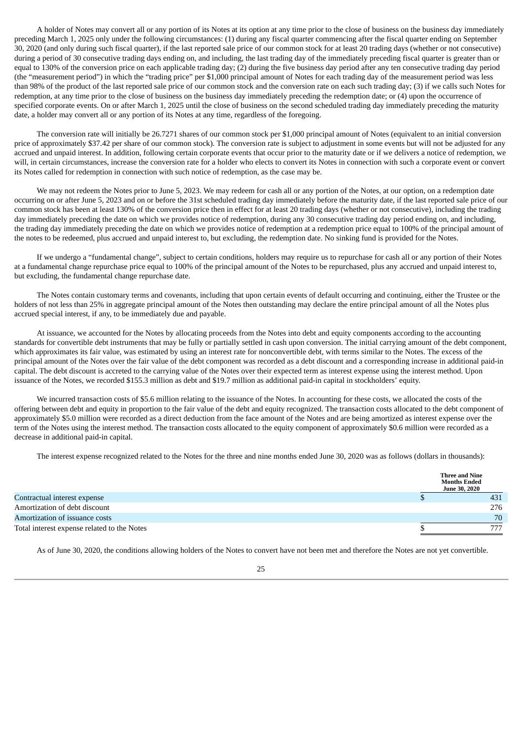A holder of Notes may convert all or any portion of its Notes at its option at any time prior to the close of business on the business day immediately preceding March 1, 2025 only under the following circumstances: (1) during any fiscal quarter commencing after the fiscal quarter ending on September 30, 2020 (and only during such fiscal quarter), if the last reported sale price of our common stock for at least 20 trading days (whether or not consecutive) during a period of 30 consecutive trading days ending on, and including, the last trading day of the immediately preceding fiscal quarter is greater than or equal to 130% of the conversion price on each applicable trading day; (2) during the five business day period after any ten consecutive trading day period (the "measurement period") in which the "trading price" per \$1,000 principal amount of Notes for each trading day of the measurement period was less than 98% of the product of the last reported sale price of our common stock and the conversion rate on each such trading day; (3) if we calls such Notes for redemption, at any time prior to the close of business on the business day immediately preceding the redemption date; or (4) upon the occurrence of specified corporate events. On or after March 1, 2025 until the close of business on the second scheduled trading day immediately preceding the maturity date, a holder may convert all or any portion of its Notes at any time, regardless of the foregoing.

The conversion rate will initially be 26.7271 shares of our common stock per \$1,000 principal amount of Notes (equivalent to an initial conversion price of approximately \$37.42 per share of our common stock). The conversion rate is subject to adjustment in some events but will not be adjusted for any accrued and unpaid interest. In addition, following certain corporate events that occur prior to the maturity date or if we delivers a notice of redemption, we will, in certain circumstances, increase the conversion rate for a holder who elects to convert its Notes in connection with such a corporate event or convert its Notes called for redemption in connection with such notice of redemption, as the case may be.

We may not redeem the Notes prior to June 5, 2023. We may redeem for cash all or any portion of the Notes, at our option, on a redemption date occurring on or after June 5, 2023 and on or before the 31st scheduled trading day immediately before the maturity date, if the last reported sale price of our common stock has been at least 130% of the conversion price then in effect for at least 20 trading days (whether or not consecutive), including the trading day immediately preceding the date on which we provides notice of redemption, during any 30 consecutive trading day period ending on, and including, the trading day immediately preceding the date on which we provides notice of redemption at a redemption price equal to 100% of the principal amount of the notes to be redeemed, plus accrued and unpaid interest to, but excluding, the redemption date. No sinking fund is provided for the Notes.

If we undergo a "fundamental change", subject to certain conditions, holders may require us to repurchase for cash all or any portion of their Notes at a fundamental change repurchase price equal to 100% of the principal amount of the Notes to be repurchased, plus any accrued and unpaid interest to, but excluding, the fundamental change repurchase date.

The Notes contain customary terms and covenants, including that upon certain events of default occurring and continuing, either the Trustee or the holders of not less than 25% in aggregate principal amount of the Notes then outstanding may declare the entire principal amount of all the Notes plus accrued special interest, if any, to be immediately due and payable.

At issuance, we accounted for the Notes by allocating proceeds from the Notes into debt and equity components according to the accounting standards for convertible debt instruments that may be fully or partially settled in cash upon conversion. The initial carrying amount of the debt component, which approximates its fair value, was estimated by using an interest rate for nonconvertible debt, with terms similar to the Notes. The excess of the principal amount of the Notes over the fair value of the debt component was recorded as a debt discount and a corresponding increase in additional paid-in capital. The debt discount is accreted to the carrying value of the Notes over their expected term as interest expense using the interest method. Upon issuance of the Notes, we recorded \$155.3 million as debt and \$19.7 million as additional paid-in capital in stockholders' equity.

We incurred transaction costs of \$5.6 million relating to the issuance of the Notes. In accounting for these costs, we allocated the costs of the offering between debt and equity in proportion to the fair value of the debt and equity recognized. The transaction costs allocated to the debt component of approximately \$5.0 million were recorded as a direct deduction from the face amount of the Notes and are being amortized as interest expense over the term of the Notes using the interest method. The transaction costs allocated to the equity component of approximately \$0.6 million were recorded as a decrease in additional paid-in capital.

The interest expense recognized related to the Notes for the three and nine months ended June 30, 2020 was as follows (dollars in thousands):

|                                             | <b>Three and Nine</b><br><b>Months Ended</b><br><b>June 30, 2020</b> |
|---------------------------------------------|----------------------------------------------------------------------|
| Contractual interest expense                | 431                                                                  |
| Amortization of debt discount               | 276                                                                  |
| Amortization of issuance costs              | 70                                                                   |
| Total interest expense related to the Notes | 777                                                                  |

As of June 30, 2020, the conditions allowing holders of the Notes to convert have not been met and therefore the Notes are not yet convertible.

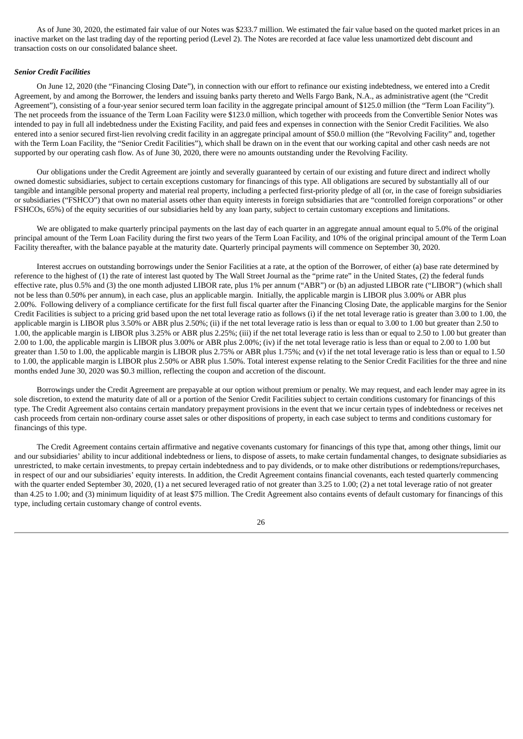As of June 30, 2020, the estimated fair value of our Notes was \$233.7 million. We estimated the fair value based on the quoted market prices in an inactive market on the last trading day of the reporting period (Level 2). The Notes are recorded at face value less unamortized debt discount and transaction costs on our consolidated balance sheet.

#### *Senior Credit Facilities*

On June 12, 2020 (the "Financing Closing Date"), in connection with our effort to refinance our existing indebtedness, we entered into a Credit Agreement, by and among the Borrower, the lenders and issuing banks party thereto and Wells Fargo Bank, N.A., as administrative agent (the "Credit Agreement"), consisting of a four-year senior secured term loan facility in the aggregate principal amount of \$125.0 million (the "Term Loan Facility"). The net proceeds from the issuance of the Term Loan Facility were \$123.0 million, which together with proceeds from the Convertible Senior Notes was intended to pay in full all indebtedness under the Existing Facility, and paid fees and expenses in connection with the Senior Credit Facilities. We also entered into a senior secured first-lien revolving credit facility in an aggregate principal amount of \$50.0 million (the "Revolving Facility" and, together with the Term Loan Facility, the "Senior Credit Facilities"), which shall be drawn on in the event that our working capital and other cash needs are not supported by our operating cash flow. As of June 30, 2020, there were no amounts outstanding under the Revolving Facility.

Our obligations under the Credit Agreement are jointly and severally guaranteed by certain of our existing and future direct and indirect wholly owned domestic subsidiaries, subject to certain exceptions customary for financings of this type. All obligations are secured by substantially all of our tangible and intangible personal property and material real property, including a perfected first-priority pledge of all (or, in the case of foreign subsidiaries or subsidiaries ("FSHCO") that own no material assets other than equity interests in foreign subsidiaries that are "controlled foreign corporations" or other FSHCOs, 65%) of the equity securities of our subsidiaries held by any loan party, subject to certain customary exceptions and limitations.

We are obligated to make quarterly principal payments on the last day of each quarter in an aggregate annual amount equal to 5.0% of the original principal amount of the Term Loan Facility during the first two years of the Term Loan Facility, and 10% of the original principal amount of the Term Loan Facility thereafter, with the balance payable at the maturity date. Quarterly principal payments will commence on September 30, 2020.

Interest accrues on outstanding borrowings under the Senior Facilities at a rate, at the option of the Borrower, of either (a) base rate determined by reference to the highest of (1) the rate of interest last quoted by The Wall Street Journal as the "prime rate" in the United States, (2) the federal funds effective rate, plus 0.5% and (3) the one month adjusted LIBOR rate, plus 1% per annum ("ABR") or (b) an adjusted LIBOR rate ("LIBOR") (which shall not be less than 0.50% per annum), in each case, plus an applicable margin. Initially, the applicable margin is LIBOR plus 3.00% or ABR plus 2.00%. Following delivery of a compliance certificate for the first full fiscal quarter after the Financing Closing Date, the applicable margins for the Senior Credit Facilities is subject to a pricing grid based upon the net total leverage ratio as follows (i) if the net total leverage ratio is greater than 3.00 to 1.00, the applicable margin is LIBOR plus 3.50% or ABR plus 2.50%; (ii) if the net total leverage ratio is less than or equal to 3.00 to 1.00 but greater than 2.50 to 1.00, the applicable margin is LIBOR plus 3.25% or ABR plus 2.25%; (iii) if the net total leverage ratio is less than or equal to 2.50 to 1.00 but greater than 2.00 to 1.00, the applicable margin is LIBOR plus 3.00% or ABR plus 2.00%; (iv) if the net total leverage ratio is less than or equal to 2.00 to 1.00 but greater than 1.50 to 1.00, the applicable margin is LIBOR plus 2.75% or ABR plus 1.75%; and (v) if the net total leverage ratio is less than or equal to 1.50 to 1.00, the applicable margin is LIBOR plus 2.50% or ABR plus 1.50%. Total interest expense relating to the Senior Credit Facilities for the three and nine months ended June 30, 2020 was \$0.3 million, reflecting the coupon and accretion of the discount.

Borrowings under the Credit Agreement are prepayable at our option without premium or penalty. We may request, and each lender may agree in its sole discretion, to extend the maturity date of all or a portion of the Senior Credit Facilities subject to certain conditions customary for financings of this type. The Credit Agreement also contains certain mandatory prepayment provisions in the event that we incur certain types of indebtedness or receives net cash proceeds from certain non-ordinary course asset sales or other dispositions of property, in each case subject to terms and conditions customary for financings of this type.

The Credit Agreement contains certain affirmative and negative covenants customary for financings of this type that, among other things, limit our and our subsidiaries' ability to incur additional indebtedness or liens, to dispose of assets, to make certain fundamental changes, to designate subsidiaries as unrestricted, to make certain investments, to prepay certain indebtedness and to pay dividends, or to make other distributions or redemptions/repurchases, in respect of our and our subsidiaries' equity interests. In addition, the Credit Agreement contains financial covenants, each tested quarterly commencing with the quarter ended September 30, 2020, (1) a net secured leveraged ratio of not greater than 3.25 to 1.00; (2) a net total leverage ratio of not greater than 4.25 to 1.00; and (3) minimum liquidity of at least \$75 million. The Credit Agreement also contains events of default customary for financings of this type, including certain customary change of control events.

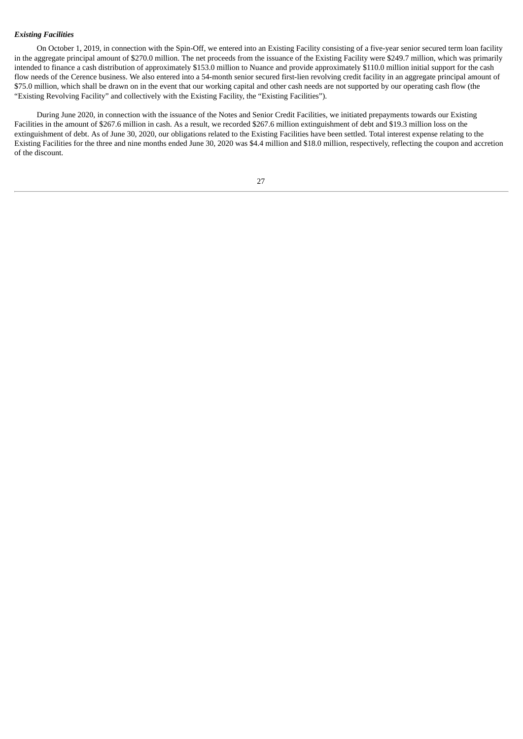## *Existing Facilities*

On October 1, 2019, in connection with the Spin-Off, we entered into an Existing Facility consisting of a five-year senior secured term loan facility in the aggregate principal amount of \$270.0 million. The net proceeds from the issuance of the Existing Facility were \$249.7 million, which was primarily intended to finance a cash distribution of approximately \$153.0 million to Nuance and provide approximately \$110.0 million initial support for the cash flow needs of the Cerence business. We also entered into a 54-month senior secured first-lien revolving credit facility in an aggregate principal amount of \$75.0 million, which shall be drawn on in the event that our working capital and other cash needs are not supported by our operating cash flow (the "Existing Revolving Facility" and collectively with the Existing Facility, the "Existing Facilities").

During June 2020, in connection with the issuance of the Notes and Senior Credit Facilities, we initiated prepayments towards our Existing Facilities in the amount of \$267.6 million in cash. As a result, we recorded \$267.6 million extinguishment of debt and \$19.3 million loss on the extinguishment of debt. As of June 30, 2020, our obligations related to the Existing Facilities have been settled. Total interest expense relating to the Existing Facilities for the three and nine months ended June 30, 2020 was \$4.4 million and \$18.0 million, respectively, reflecting the coupon and accretion of the discount.

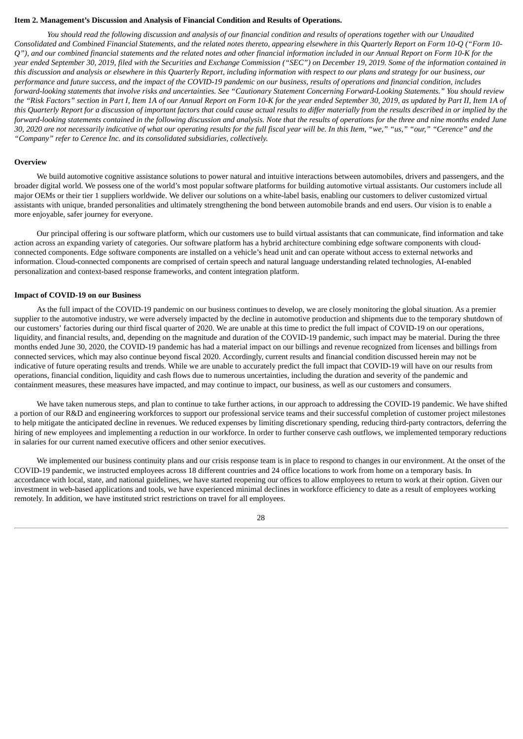## <span id="page-29-0"></span>**Item 2. Management's Discussion and Analysis of Financial Condition and Results of Operations.**

You should read the following discussion and analysis of our financial condition and results of operations together with our Unaudited Consolidated and Combined Financial Statements, and the related notes thereto, appearing elsewhere in this Quarterly Report on Form 10-Q ("Form 10-Q"), and our combined financial statements and the related notes and other financial information included in our Annual Report on Form 10-K for the year ended September 30, 2019, filed with the Securities and Exchange Commission ("SEC") on December 19, 2019. Some of the information contained in this discussion and analysis or elsewhere in this Quarterly Report, including information with respect to our plans and strategy for our business, our performance and future success, and the impact of the COVID-19 pandemic on our business, results of operations and financial condition, includes forward-looking statements that involve risks and uncertainties. See "Cautionary Statement Concerning Forward-Looking Statements." You should review the "Risk Factors" section in Part I, Item 1A of our Annual Report on Form 10-K for the year ended September 30, 2019, as updated by Part II, Item 1A of this Quarterly Report for a discussion of important factors that could cause actual results to differ materially from the results described in or implied by the forward-looking statements contained in the following discussion and analysis. Note that the results of operations for the three and nine months ended June 30, 2020 are not necessarily indicative of what our operating results for the full fiscal year will be. In this Item, "we," "us," "our," "Cerence" and the *"Company" refer to Cerence Inc. and its consolidated subsidiaries, collectively.*

#### **Overview**

We build automotive cognitive assistance solutions to power natural and intuitive interactions between automobiles, drivers and passengers, and the broader digital world. We possess one of the world's most popular software platforms for building automotive virtual assistants. Our customers include all major OEMs or their tier 1 suppliers worldwide. We deliver our solutions on a white-label basis, enabling our customers to deliver customized virtual assistants with unique, branded personalities and ultimately strengthening the bond between automobile brands and end users. Our vision is to enable a more enjoyable, safer journey for everyone.

Our principal offering is our software platform, which our customers use to build virtual assistants that can communicate, find information and take action across an expanding variety of categories. Our software platform has a hybrid architecture combining edge software components with cloudconnected components. Edge software components are installed on a vehicle's head unit and can operate without access to external networks and information. Cloud-connected components are comprised of certain speech and natural language understanding related technologies, AI-enabled personalization and context-based response frameworks, and content integration platform.

#### **Impact of COVID-19 on our Business**

As the full impact of the COVID-19 pandemic on our business continues to develop, we are closely monitoring the global situation. As a premier supplier to the automotive industry, we were adversely impacted by the decline in automotive production and shipments due to the temporary shutdown of our customers' factories during our third fiscal quarter of 2020. We are unable at this time to predict the full impact of COVID-19 on our operations, liquidity, and financial results, and, depending on the magnitude and duration of the COVID-19 pandemic, such impact may be material. During the three months ended June 30, 2020, the COVID-19 pandemic has had a material impact on our billings and revenue recognized from licenses and billings from connected services, which may also continue beyond fiscal 2020. Accordingly, current results and financial condition discussed herein may not be indicative of future operating results and trends. While we are unable to accurately predict the full impact that COVID-19 will have on our results from operations, financial condition, liquidity and cash flows due to numerous uncertainties, including the duration and severity of the pandemic and containment measures, these measures have impacted, and may continue to impact, our business, as well as our customers and consumers.

We have taken numerous steps, and plan to continue to take further actions, in our approach to addressing the COVID-19 pandemic. We have shifted a portion of our R&D and engineering workforces to support our professional service teams and their successful completion of customer project milestones to help mitigate the anticipated decline in revenues. We reduced expenses by limiting discretionary spending, reducing third-party contractors, deferring the hiring of new employees and implementing a reduction in our workforce. In order to further conserve cash outflows, we implemented temporary reductions in salaries for our current named executive officers and other senior executives.

We implemented our business continuity plans and our crisis response team is in place to respond to changes in our environment. At the onset of the COVID-19 pandemic, we instructed employees across 18 different countries and 24 office locations to work from home on a temporary basis. In accordance with local, state, and national guidelines, we have started reopening our offices to allow employees to return to work at their option. Given our investment in web-based applications and tools, we have experienced minimal declines in workforce efficiency to date as a result of employees working remotely. In addition, we have instituted strict restrictions on travel for all employees.

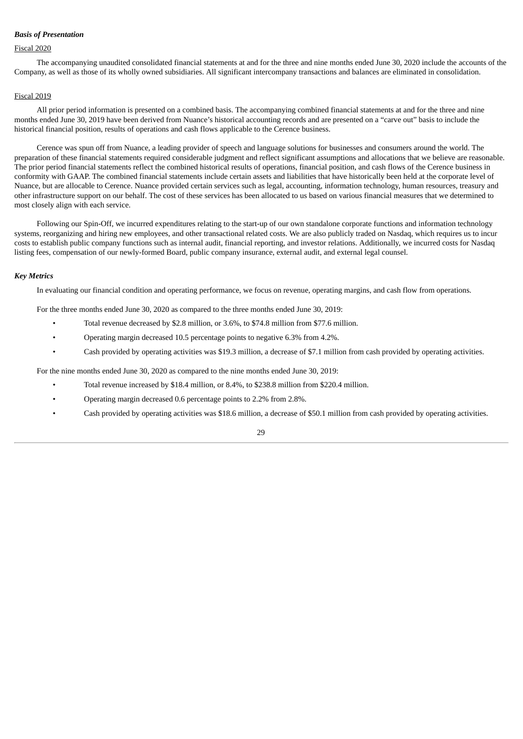## *Basis of Presentation*

#### Fiscal 2020

The accompanying unaudited consolidated financial statements at and for the three and nine months ended June 30, 2020 include the accounts of the Company, as well as those of its wholly owned subsidiaries. All significant intercompany transactions and balances are eliminated in consolidation.

#### Fiscal 2019

All prior period information is presented on a combined basis. The accompanying combined financial statements at and for the three and nine months ended June 30, 2019 have been derived from Nuance's historical accounting records and are presented on a "carve out" basis to include the historical financial position, results of operations and cash flows applicable to the Cerence business.

Cerence was spun off from Nuance, a leading provider of speech and language solutions for businesses and consumers around the world. The preparation of these financial statements required considerable judgment and reflect significant assumptions and allocations that we believe are reasonable. The prior period financial statements reflect the combined historical results of operations, financial position, and cash flows of the Cerence business in conformity with GAAP. The combined financial statements include certain assets and liabilities that have historically been held at the corporate level of Nuance, but are allocable to Cerence. Nuance provided certain services such as legal, accounting, information technology, human resources, treasury and other infrastructure support on our behalf. The cost of these services has been allocated to us based on various financial measures that we determined to most closely align with each service.

Following our Spin-Off, we incurred expenditures relating to the start-up of our own standalone corporate functions and information technology systems, reorganizing and hiring new employees, and other transactional related costs. We are also publicly traded on Nasdaq, which requires us to incur costs to establish public company functions such as internal audit, financial reporting, and investor relations. Additionally, we incurred costs for Nasdaq listing fees, compensation of our newly-formed Board, public company insurance, external audit, and external legal counsel.

## *Key Metrics*

In evaluating our financial condition and operating performance, we focus on revenue, operating margins, and cash flow from operations.

For the three months ended June 30, 2020 as compared to the three months ended June 30, 2019:

- Total revenue decreased by \$2.8 million, or 3.6%, to \$74.8 million from \$77.6 million.
- Operating margin decreased 10.5 percentage points to negative 6.3% from 4.2%.
- Cash provided by operating activities was \$19.3 million, a decrease of \$7.1 million from cash provided by operating activities.

For the nine months ended June 30, 2020 as compared to the nine months ended June 30, 2019:

- Total revenue increased by \$18.4 million, or 8.4%, to \$238.8 million from \$220.4 million.
- Operating margin decreased 0.6 percentage points to 2.2% from 2.8%.
- Cash provided by operating activities was \$18.6 million, a decrease of \$50.1 million from cash provided by operating activities.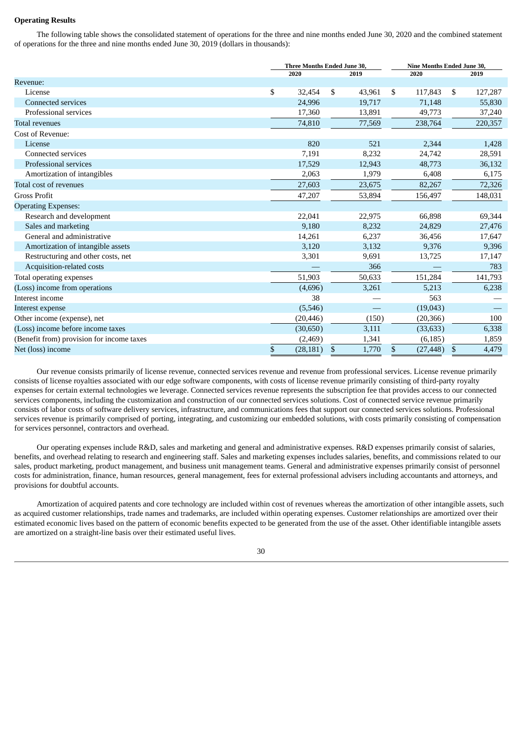## **Operating Results**

The following table shows the consolidated statement of operations for the three and nine months ended June 30, 2020 and the combined statement of operations for the three and nine months ended June 30, 2019 (dollars in thousands):

|                                           | Three Months Ended June 30, |    |        | Nine Months Ended June 30, |           |    |         |
|-------------------------------------------|-----------------------------|----|--------|----------------------------|-----------|----|---------|
|                                           | 2020                        |    | 2019   |                            | 2020      |    | 2019    |
| Revenue:                                  |                             |    |        |                            |           |    |         |
| License                                   | \$<br>32,454                | S. | 43.961 | \$                         | 117,843   | \$ | 127,287 |
| Connected services                        | 24,996                      |    | 19,717 |                            | 71,148    |    | 55,830  |
| Professional services                     | 17,360                      |    | 13,891 |                            | 49,773    |    | 37,240  |
| <b>Total revenues</b>                     | 74,810                      |    | 77,569 |                            | 238,764   |    | 220,357 |
| Cost of Revenue:                          |                             |    |        |                            |           |    |         |
| License                                   | 820                         |    | 521    |                            | 2,344     |    | 1,428   |
| Connected services                        | 7,191                       |    | 8,232  |                            | 24,742    |    | 28,591  |
| Professional services                     | 17,529                      |    | 12,943 |                            | 48,773    |    | 36,132  |
| Amortization of intangibles               | 2,063                       |    | 1,979  |                            | 6,408     |    | 6,175   |
| Total cost of revenues                    | 27,603                      |    | 23,675 |                            | 82,267    |    | 72,326  |
| <b>Gross Profit</b>                       | 47,207                      |    | 53,894 |                            | 156,497   |    | 148,031 |
| <b>Operating Expenses:</b>                |                             |    |        |                            |           |    |         |
| Research and development                  | 22,041                      |    | 22,975 |                            | 66,898    |    | 69,344  |
| Sales and marketing                       | 9,180                       |    | 8,232  |                            | 24,829    |    | 27,476  |
| General and administrative                | 14,261                      |    | 6,237  |                            | 36,456    |    | 17,647  |
| Amortization of intangible assets         | 3,120                       |    | 3,132  |                            | 9,376     |    | 9,396   |
| Restructuring and other costs, net        | 3,301                       |    | 9,691  |                            | 13,725    |    | 17,147  |
| Acquisition-related costs                 |                             |    | 366    |                            |           |    | 783     |
| Total operating expenses                  | 51,903                      |    | 50,633 |                            | 151,284   |    | 141,793 |
| (Loss) income from operations             | (4,696)                     |    | 3,261  |                            | 5,213     |    | 6,238   |
| Interest income                           | 38                          |    |        |                            | 563       |    |         |
| Interest expense                          | (5,546)                     |    |        |                            | (19,043)  |    |         |
| Other income (expense), net               | (20, 446)                   |    | (150)  |                            | (20, 366) |    | 100     |
| (Loss) income before income taxes         | (30,650)                    |    | 3,111  |                            | (33, 633) |    | 6,338   |
| (Benefit from) provision for income taxes | (2,469)                     |    | 1,341  |                            | (6, 185)  |    | 1,859   |
| Net (loss) income                         | \$<br>(28, 181)             | \$ | 1,770  | \$                         | (27, 448) | \$ | 4,479   |

Our revenue consists primarily of license revenue, connected services revenue and revenue from professional services. License revenue primarily consists of license royalties associated with our edge software components, with costs of license revenue primarily consisting of third-party royalty expenses for certain external technologies we leverage. Connected services revenue represents the subscription fee that provides access to our connected services components, including the customization and construction of our connected services solutions. Cost of connected service revenue primarily consists of labor costs of software delivery services, infrastructure, and communications fees that support our connected services solutions. Professional services revenue is primarily comprised of porting, integrating, and customizing our embedded solutions, with costs primarily consisting of compensation for services personnel, contractors and overhead.

Our operating expenses include R&D, sales and marketing and general and administrative expenses. R&D expenses primarily consist of salaries, benefits, and overhead relating to research and engineering staff. Sales and marketing expenses includes salaries, benefits, and commissions related to our sales, product marketing, product management, and business unit management teams. General and administrative expenses primarily consist of personnel costs for administration, finance, human resources, general management, fees for external professional advisers including accountants and attorneys, and provisions for doubtful accounts.

Amortization of acquired patents and core technology are included within cost of revenues whereas the amortization of other intangible assets, such as acquired customer relationships, trade names and trademarks, are included within operating expenses. Customer relationships are amortized over their estimated economic lives based on the pattern of economic benefits expected to be generated from the use of the asset. Other identifiable intangible assets are amortized on a straight-line basis over their estimated useful lives.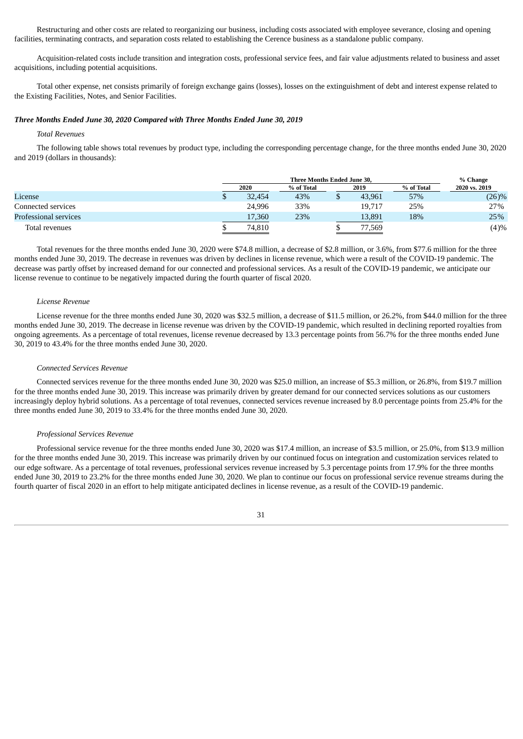Restructuring and other costs are related to reorganizing our business, including costs associated with employee severance, closing and opening facilities, terminating contracts, and separation costs related to establishing the Cerence business as a standalone public company.

Acquisition-related costs include transition and integration costs, professional service fees, and fair value adjustments related to business and asset acquisitions, including potential acquisitions.

Total other expense, net consists primarily of foreign exchange gains (losses), losses on the extinguishment of debt and interest expense related to the Existing Facilities, Notes, and Senior Facilities.

## *Three Months Ended June 30, 2020 Compared with Three Months Ended June 30, 2019*

#### *Total Revenues*

The following table shows total revenues by product type, including the corresponding percentage change, for the three months ended June 30, 2020 and 2019 (dollars in thousands):

|                       |  |      | % Change |            |        |            |               |
|-----------------------|--|------|----------|------------|--------|------------|---------------|
|                       |  | 2020 |          | % of Total | 2019   | % of Total | 2020 vs. 2019 |
| License               |  |      | 32,454   | 43%        | 43.961 | 57%        | $(26)\%$      |
| Connected services    |  |      | 24.996   | 33%        | 19,717 | 25%        | 27%           |
| Professional services |  |      | 17,360   | 23%        | 13,891 | 18%        | 25%           |
| Total revenues        |  |      | 74,810   |            | 77,569 |            | (4)%          |

Total revenues for the three months ended June 30, 2020 were \$74.8 million, a decrease of \$2.8 million, or 3.6%, from \$77.6 million for the three months ended June 30, 2019. The decrease in revenues was driven by declines in license revenue, which were a result of the COVID-19 pandemic. The decrease was partly offset by increased demand for our connected and professional services. As a result of the COVID-19 pandemic, we anticipate our license revenue to continue to be negatively impacted during the fourth quarter of fiscal 2020.

## *License Revenue*

License revenue for the three months ended June 30, 2020 was \$32.5 million, a decrease of \$11.5 million, or 26.2%, from \$44.0 million for the three months ended June 30, 2019. The decrease in license revenue was driven by the COVID-19 pandemic, which resulted in declining reported royalties from ongoing agreements. As a percentage of total revenues, license revenue decreased by 13.3 percentage points from 56.7% for the three months ended June 30, 2019 to 43.4% for the three months ended June 30, 2020.

#### *Connected Services Revenue*

Connected services revenue for the three months ended June 30, 2020 was \$25.0 million, an increase of \$5.3 million, or 26.8%, from \$19.7 million for the three months ended June 30, 2019. This increase was primarily driven by greater demand for our connected services solutions as our customers increasingly deploy hybrid solutions. As a percentage of total revenues, connected services revenue increased by 8.0 percentage points from 25.4% for the three months ended June 30, 2019 to 33.4% for the three months ended June 30, 2020.

#### *Professional Services Revenue*

Professional service revenue for the three months ended June 30, 2020 was \$17.4 million, an increase of \$3.5 million, or 25.0%, from \$13.9 million for the three months ended June 30, 2019. This increase was primarily driven by our continued focus on integration and customization services related to our edge software. As a percentage of total revenues, professional services revenue increased by 5.3 percentage points from 17.9% for the three months ended June 30, 2019 to 23.2% for the three months ended June 30, 2020. We plan to continue our focus on professional service revenue streams during the fourth quarter of fiscal 2020 in an effort to help mitigate anticipated declines in license revenue, as a result of the COVID-19 pandemic.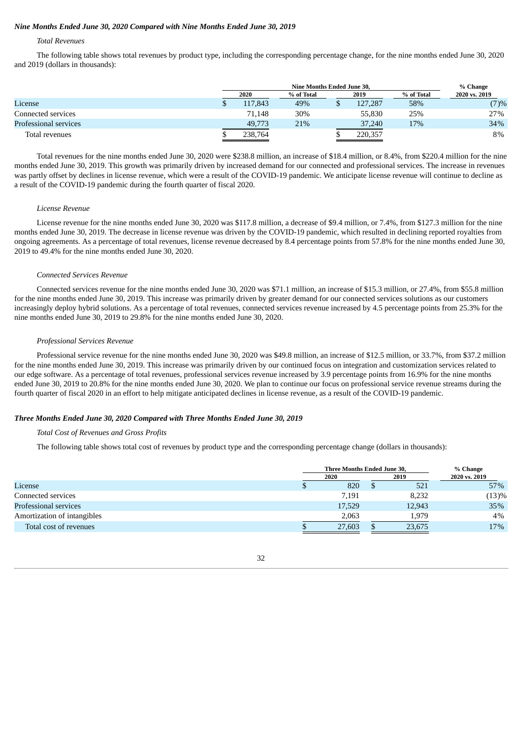#### *Nine Months Ended June 30, 2020 Compared with Nine Months Ended June 30, 2019*

#### *Total Revenues*

The following table shows total revenues by product type, including the corresponding percentage change, for the nine months ended June 30, 2020 and 2019 (dollars in thousands):

|                       |         | % Change   |         |            |               |
|-----------------------|---------|------------|---------|------------|---------------|
|                       | 2020    | % of Total | 2019    | % of Total | 2020 vs. 2019 |
| License               | 117,843 | 49%        | 127,287 | 58%        | (7)%          |
| Connected services    | 71,148  | 30%        | 55,830  | 25%        | 27%           |
| Professional services | 49.773  | 21%        | 37,240  | 17%        | 34%           |
| Total revenues        | 238,764 |            | 220,357 |            | 8%            |

Total revenues for the nine months ended June 30, 2020 were \$238.8 million, an increase of \$18.4 million, or 8.4%, from \$220.4 million for the nine months ended June 30, 2019. This growth was primarily driven by increased demand for our connected and professional services. The increase in revenues was partly offset by declines in license revenue, which were a result of the COVID-19 pandemic. We anticipate license revenue will continue to decline as a result of the COVID-19 pandemic during the fourth quarter of fiscal 2020.

#### *License Revenue*

License revenue for the nine months ended June 30, 2020 was \$117.8 million, a decrease of \$9.4 million, or 7.4%, from \$127.3 million for the nine months ended June 30, 2019. The decrease in license revenue was driven by the COVID-19 pandemic, which resulted in declining reported royalties from ongoing agreements. As a percentage of total revenues, license revenue decreased by 8.4 percentage points from 57.8% for the nine months ended June 30, 2019 to 49.4% for the nine months ended June 30, 2020.

#### *Connected Services Revenue*

Connected services revenue for the nine months ended June 30, 2020 was \$71.1 million, an increase of \$15.3 million, or 27.4%, from \$55.8 million for the nine months ended June 30, 2019. This increase was primarily driven by greater demand for our connected services solutions as our customers increasingly deploy hybrid solutions. As a percentage of total revenues, connected services revenue increased by 4.5 percentage points from 25.3% for the nine months ended June 30, 2019 to 29.8% for the nine months ended June 30, 2020.

#### *Professional Services Revenue*

Professional service revenue for the nine months ended June 30, 2020 was \$49.8 million, an increase of \$12.5 million, or 33.7%, from \$37.2 million for the nine months ended June 30, 2019. This increase was primarily driven by our continued focus on integration and customization services related to our edge software. As a percentage of total revenues, professional services revenue increased by 3.9 percentage points from 16.9% for the nine months ended June 30, 2019 to 20.8% for the nine months ended June 30, 2020. We plan to continue our focus on professional service revenue streams during the fourth quarter of fiscal 2020 in an effort to help mitigate anticipated declines in license revenue, as a result of the COVID-19 pandemic.

## *Three Months Ended June 30, 2020 Compared with Three Months Ended June 30, 2019*

#### *Total Cost of Revenues and Gross Profits*

The following table shows total cost of revenues by product type and the corresponding percentage change (dollars in thousands):

|                             | Three Months Ended June 30. | % Change |        |               |
|-----------------------------|-----------------------------|----------|--------|---------------|
|                             | 2020                        | 2019     |        | 2020 vs. 2019 |
| License                     | 820                         |          | 521    | 57%           |
| Connected services          | 7.191                       |          | 8,232  | (13)%         |
| Professional services       | 17,529                      |          | 12,943 | 35%           |
| Amortization of intangibles | 2,063                       |          | 1,979  | 4%            |
| Total cost of revenues      | 27,603                      |          | 23,675 | 17%           |

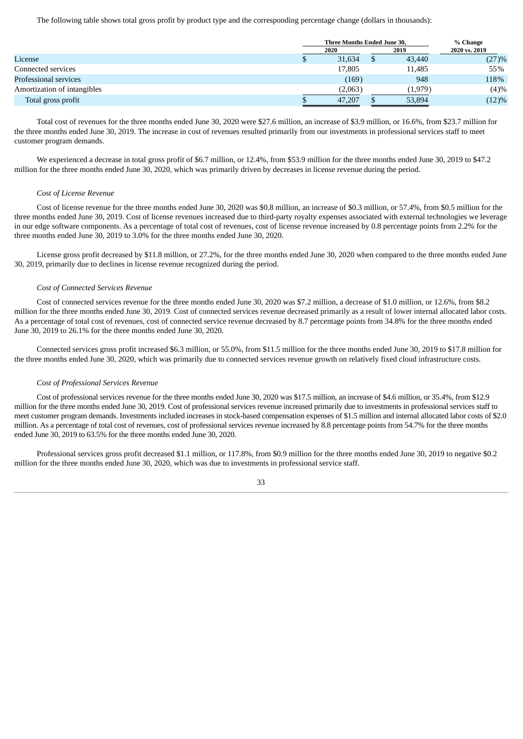The following table shows total gross profit by product type and the corresponding percentage change (dollars in thousands):

|                             |  | Three Months Ended June 30. | % Change |         |               |
|-----------------------------|--|-----------------------------|----------|---------|---------------|
|                             |  | 2020                        | 2019     |         | 2020 vs. 2019 |
| License                     |  | 31,634                      |          | 43,440  | (27)%         |
| Connected services          |  | 17,805                      |          | 11,485  | 55%           |
| Professional services       |  | (169)                       |          | 948     | 118%          |
| Amortization of intangibles |  | (2,063)                     |          | (1,979) | (4)%          |
| Total gross profit          |  | 47,207                      |          | 53,894  | (12)%         |

Total cost of revenues for the three months ended June 30, 2020 were \$27.6 million, an increase of \$3.9 million, or 16.6%, from \$23.7 million for the three months ended June 30, 2019. The increase in cost of revenues resulted primarily from our investments in professional services staff to meet customer program demands.

We experienced a decrease in total gross profit of \$6.7 million, or 12.4%, from \$53.9 million for the three months ended June 30, 2019 to \$47.2 million for the three months ended June 30, 2020, which was primarily driven by decreases in license revenue during the period.

## *Cost of License Revenue*

Cost of license revenue for the three months ended June 30, 2020 was \$0.8 million, an increase of \$0.3 million, or 57.4%, from \$0.5 million for the three months ended June 30, 2019. Cost of license revenues increased due to third-party royalty expenses associated with external technologies we leverage in our edge software components. As a percentage of total cost of revenues, cost of license revenue increased by 0.8 percentage points from 2.2% for the three months ended June 30, 2019 to 3.0% for the three months ended June 30, 2020.

License gross profit decreased by \$11.8 million, or 27.2%, for the three months ended June 30, 2020 when compared to the three months ended June 30, 2019, primarily due to declines in license revenue recognized during the period.

## *Cost of Connected Services Revenue*

Cost of connected services revenue for the three months ended June 30, 2020 was \$7.2 million, a decrease of \$1.0 million, or 12.6%, from \$8.2 million for the three months ended June 30, 2019. Cost of connected services revenue decreased primarily as a result of lower internal allocated labor costs. As a percentage of total cost of revenues, cost of connected service revenue decreased by 8.7 percentage points from 34.8% for the three months ended June 30, 2019 to 26.1% for the three months ended June 30, 2020.

Connected services gross profit increased \$6.3 million, or 55.0%, from \$11.5 million for the three months ended June 30, 2019 to \$17.8 million for the three months ended June 30, 2020, which was primarily due to connected services revenue growth on relatively fixed cloud infrastructure costs.

## *Cost of Professional Services Revenue*

Cost of professional services revenue for the three months ended June 30, 2020 was \$17.5 million, an increase of \$4.6 million, or 35.4%, from \$12.9 million for the three months ended June 30, 2019. Cost of professional services revenue increased primarily due to investments in professional services staff to meet customer program demands. Investments included increases in stock-based compensation expenses of \$1.5 million and internal allocated labor costs of \$2.0 million. As a percentage of total cost of revenues, cost of professional services revenue increased by 8.8 percentage points from 54.7% for the three months ended June 30, 2019 to 63.5% for the three months ended June 30, 2020.

Professional services gross profit decreased \$1.1 million, or 117.8%, from \$0.9 million for the three months ended June 30, 2019 to negative \$0.2 million for the three months ended June 30, 2020, which was due to investments in professional service staff.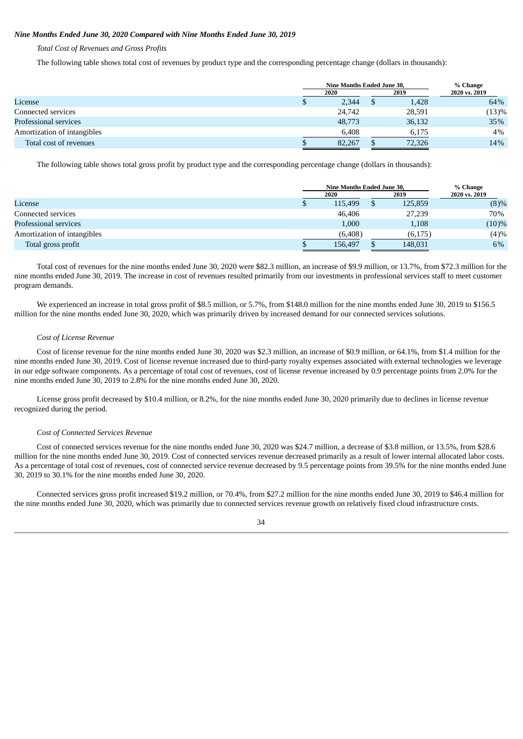## *Nine Months Ended June 30, 2020 Compared with Nine Months Ended June 30, 2019*

*Total Cost of Revenues and Gross Profits*

The following table shows total cost of revenues by product type and the corresponding percentage change (dollars in thousands):

|                             | Nine Months Ended June 30, |  |        |               |  |
|-----------------------------|----------------------------|--|--------|---------------|--|
|                             | 2020                       |  | 2019   | 2020 vs. 2019 |  |
| License                     | 2,344                      |  | 1,428  | 64%           |  |
| Connected services          | 24,742                     |  | 28,591 | (13)%         |  |
| Professional services       | 48,773                     |  | 36,132 | 35%           |  |
| Amortization of intangibles | 6,408                      |  | 6,175  | 4%            |  |
| Total cost of revenues      | 82,267                     |  | 72,326 | 14%           |  |

The following table shows total gross profit by product type and the corresponding percentage change (dollars in thousands):

|                             |  | Nine Months Ended June 30. |    | % Change |               |
|-----------------------------|--|----------------------------|----|----------|---------------|
|                             |  | 2020                       |    | 2019     | 2020 vs. 2019 |
| License                     |  | 115,499                    | \$ | 125,859  | $(8)\%$       |
| Connected services          |  | 46,406                     |    | 27,239   | 70%           |
| Professional services       |  | 1,000                      |    | 1,108    | $(10)\%$      |
| Amortization of intangibles |  | (6, 408)                   |    | (6, 175) | (4)%          |
| Total gross profit          |  | 156,497                    |    | 148,031  | 6%            |

Total cost of revenues for the nine months ended June 30, 2020 were \$82.3 million, an increase of \$9.9 million, or 13.7%, from \$72.3 million for the nine months ended June 30, 2019. The increase in cost of revenues resulted primarily from our investments in professional services staff to meet customer program demands.

We experienced an increase in total gross profit of \$8.5 million, or 5.7%, from \$148.0 million for the nine months ended June 30, 2019 to \$156.5 million for the nine months ended June 30, 2020, which was primarily driven by increased demand for our connected services solutions.

## *Cost of License Revenue*

Cost of license revenue for the nine months ended June 30, 2020 was \$2.3 million, an increase of \$0.9 million, or 64.1%, from \$1.4 million for the nine months ended June 30, 2019. Cost of license revenue increased due to third-party royalty expenses associated with external technologies we leverage in our edge software components. As a percentage of total cost of revenues, cost of license revenue increased by 0.9 percentage points from 2.0% for the nine months ended June 30, 2019 to 2.8% for the nine months ended June 30, 2020.

License gross profit decreased by \$10.4 million, or 8.2%, for the nine months ended June 30, 2020 primarily due to declines in license revenue recognized during the period.

#### *Cost of Connected Services Revenue*

Cost of connected services revenue for the nine months ended June 30, 2020 was \$24.7 million, a decrease of \$3.8 million, or 13.5%, from \$28.6 million for the nine months ended June 30, 2019. Cost of connected services revenue decreased primarily as a result of lower internal allocated labor costs. As a percentage of total cost of revenues, cost of connected service revenue decreased by 9.5 percentage points from 39.5% for the nine months ended June 30, 2019 to 30.1% for the nine months ended June 30, 2020.

Connected services gross profit increased \$19.2 million, or 70.4%, from \$27.2 million for the nine months ended June 30, 2019 to \$46.4 million for the nine months ended June 30, 2020, which was primarily due to connected services revenue growth on relatively fixed cloud infrastructure costs.

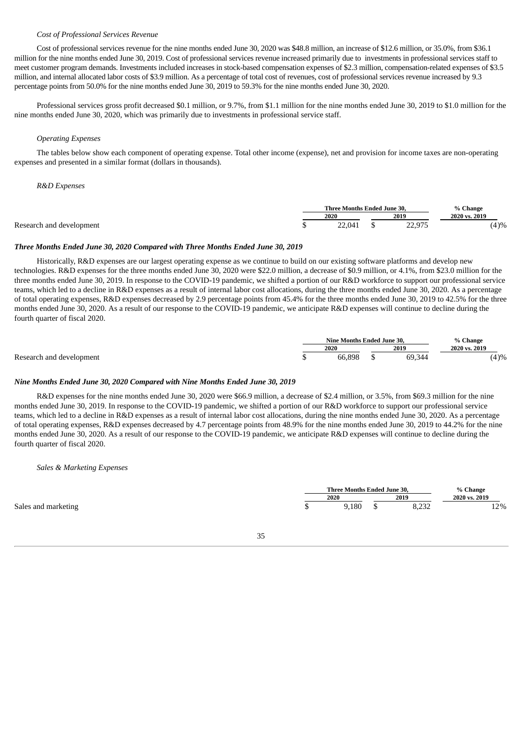## *Cost of Professional Services Revenue*

Cost of professional services revenue for the nine months ended June 30, 2020 was \$48.8 million, an increase of \$12.6 million, or 35.0%, from \$36.1 million for the nine months ended June 30, 2019. Cost of professional services revenue increased primarily due to investments in professional services staff to meet customer program demands. Investments included increases in stock-based compensation expenses of \$2.3 million, compensation-related expenses of \$3.5 million, and internal allocated labor costs of \$3.9 million. As a percentage of total cost of revenues, cost of professional services revenue increased by 9.3 percentage points from 50.0% for the nine months ended June 30, 2019 to 59.3% for the nine months ended June 30, 2020.

Professional services gross profit decreased \$0.1 million, or 9.7%, from \$1.1 million for the nine months ended June 30, 2019 to \$1.0 million for the nine months ended June 30, 2020, which was primarily due to investments in professional service staff.

## *Operating Expenses*

The tables below show each component of operating expense. Total other income (expense), net and provision for income taxes are non-operating expenses and presented in a similar format (dollars in thousands).

#### *R&D Expenses*

|                          | Three Months Ended June 30. |  | % Change                    |               |
|--------------------------|-----------------------------|--|-----------------------------|---------------|
|                          | 2020                        |  | 2019                        | 2020 vs. 2019 |
| Research and development | 22.041                      |  | $\sim$ $=$ $\sim$<br>$\sim$ | (4)%          |

#### *Three Months Ended June 30, 2020 Compared with Three Months Ended June 30, 2019*

Historically, R&D expenses are our largest operating expense as we continue to build on our existing software platforms and develop new technologies. R&D expenses for the three months ended June 30, 2020 were \$22.0 million, a decrease of \$0.9 million, or 4.1%, from \$23.0 million for the three months ended June 30, 2019. In response to the COVID-19 pandemic, we shifted a portion of our R&D workforce to support our professional service teams, which led to a decline in R&D expenses as a result of internal labor cost allocations, during the three months ended June 30, 2020. As a percentage of total operating expenses, R&D expenses decreased by 2.9 percentage points from 45.4% for the three months ended June 30, 2019 to 42.5% for the three months ended June 30, 2020. As a result of our response to the COVID-19 pandemic, we anticipate R&D expenses will continue to decline during the fourth quarter of fiscal 2020.

|                          | Nine Months Ended June 30. |        | % Change      |
|--------------------------|----------------------------|--------|---------------|
|                          | 2020                       | 2019   | 2020 vs. 2019 |
| Research and development | 66,898                     | 59,344 | (4)%          |

#### *Nine Months Ended June 30, 2020 Compared with Nine Months Ended June 30, 2019*

R&D expenses for the nine months ended June 30, 2020 were \$66.9 million, a decrease of \$2.4 million, or 3.5%, from \$69.3 million for the nine months ended June 30, 2019. In response to the COVID-19 pandemic, we shifted a portion of our R&D workforce to support our professional service teams, which led to a decline in R&D expenses as a result of internal labor cost allocations, during the nine months ended June 30, 2020. As a percentage of total operating expenses, R&D expenses decreased by 4.7 percentage points from 48.9% for the nine months ended June 30, 2019 to 44.2% for the nine months ended June 30, 2020. As a result of our response to the COVID-19 pandemic, we anticipate R&D expenses will continue to decline during the fourth quarter of fiscal 2020.

#### *Sales & Marketing Expenses*

|  | Three Months Ended June 30, |       | % Change      |
|--|-----------------------------|-------|---------------|
|  | 2020                        | 2019  | 2020 vs. 2019 |
|  | 9,180                       | 8,232 | 12%           |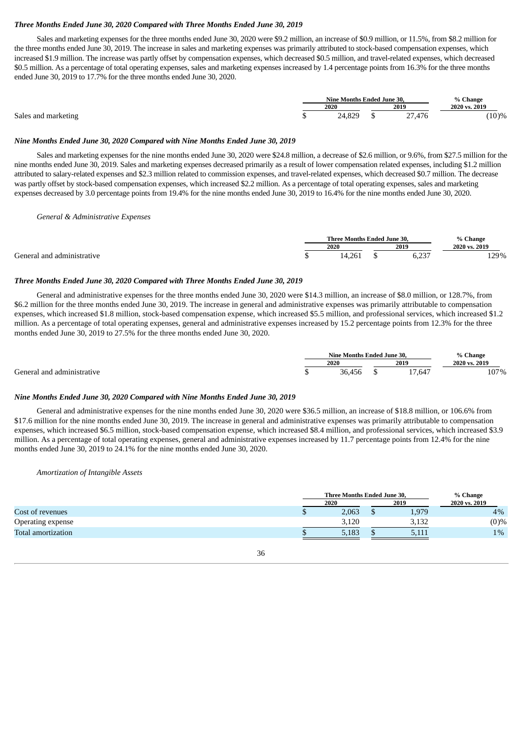## *Three Months Ended June 30, 2020 Compared with Three Months Ended June 30, 2019*

Sales and marketing expenses for the three months ended June 30, 2020 were \$9.2 million, an increase of \$0.9 million, or 11.5%, from \$8.2 million for the three months ended June 30, 2019. The increase in sales and marketing expenses was primarily attributed to stock-based compensation expenses, which increased \$1.9 million. The increase was partly offset by compensation expenses, which decreased \$0.5 million, and travel-related expenses, which decreased \$0.5 million. As a percentage of total operating expenses, sales and marketing expenses increased by 1.4 percentage points from 16.3% for the three months ended June 30, 2019 to 17.7% for the three months ended June 30, 2020.

|                     | Nine Months Ended June 30. |                          | % Change      |
|---------------------|----------------------------|--------------------------|---------------|
|                     | 2020                       | 2019                     | 2020 vs. 2019 |
| Sales and marketing | 24,829<br>- -              | $4-$<br><u>__</u><br>4/0 | $(10)\%$      |

## *Nine Months Ended June 30, 2020 Compared with Nine Months Ended June 30, 2019*

Sales and marketing expenses for the nine months ended June 30, 2020 were \$24.8 million, a decrease of \$2.6 million, or 9.6%, from \$27.5 million for the nine months ended June 30, 2019. Sales and marketing expenses decreased primarily as a result of lower compensation related expenses, including \$1.2 million attributed to salary-related expenses and \$2.3 million related to commission expenses, and travel-related expenses, which decreased \$0.7 million. The decrease was partly offset by stock-based compensation expenses, which increased \$2.2 million. As a percentage of total operating expenses, sales and marketing expenses decreased by 3.0 percentage points from 19.4% for the nine months ended June 30, 2019 to 16.4% for the nine months ended June 30, 2020.

*General & Administrative Expenses*

|  | Three Months Ended June 30. |                  | % Change      |
|--|-----------------------------|------------------|---------------|
|  | 2020                        | 2019             | 2020 vs. 2019 |
|  | 4.261                       | $\sim$<br>، ت∠,∪ | 129%          |

#### *Three Months Ended June 30, 2020 Compared with Three Months Ended June 30, 2019*

General and administrative expenses for the three months ended June 30, 2020 were \$14.3 million, an increase of \$8.0 million, or 128.7%, from \$6.2 million for the three months ended June 30, 2019. The increase in general and administrative expenses was primarily attributable to compensation expenses, which increased \$1.8 million, stock-based compensation expense, which increased \$5.5 million, and professional services, which increased \$1.2 million. As a percentage of total operating expenses, general and administrative expenses increased by 15.2 percentage points from 12.3% for the three months ended June 30, 2019 to 27.5% for the three months ended June 30, 2020.

|                            | Nine Months Ended June 30. |      |  |      | % Change      |
|----------------------------|----------------------------|------|--|------|---------------|
|                            |                            | 2020 |  | 2019 | 2020 vs. 2019 |
| General and administrative | ш                          | .456 |  | ,647 | 107%          |

#### *Nine Months Ended June 30, 2020 Compared with Nine Months Ended June 30, 2019*

General and administrative expenses for the nine months ended June 30, 2020 were \$36.5 million, an increase of \$18.8 million, or 106.6% from \$17.6 million for the nine months ended June 30, 2019. The increase in general and administrative expenses was primarily attributable to compensation expenses, which increased \$6.5 million, stock-based compensation expense, which increased \$8.4 million, and professional services, which increased \$3.9 million. As a percentage of total operating expenses, general and administrative expenses increased by 11.7 percentage points from 12.4% for the nine months ended June 30, 2019 to 24.1% for the nine months ended June 30, 2020.

*Amortization of Intangible Assets*

|                    | Three Months Ended June 30, | % Change |               |
|--------------------|-----------------------------|----------|---------------|
|                    | 2020                        | 2019     | 2020 vs. 2019 |
| Cost of revenues   | 2,063                       | 1,979    | 4%            |
| Operating expense  | 3,120                       | 3,132    | $(0)\%$       |
| Total amortization | 5,183                       | 5,111    | $1\%$         |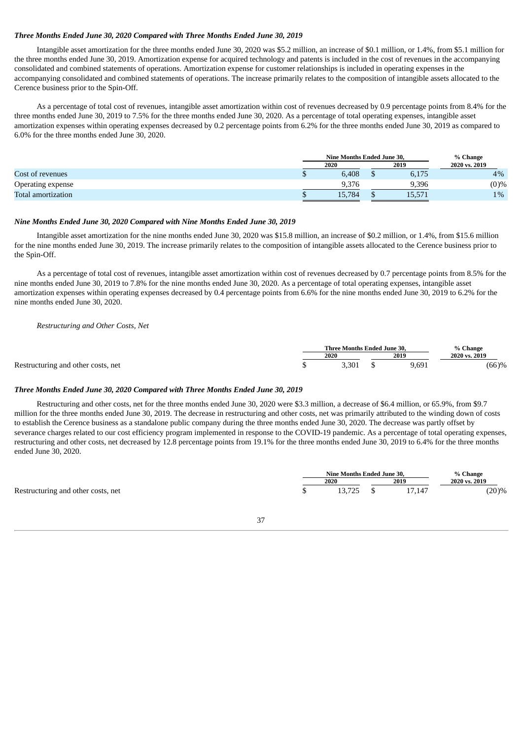## *Three Months Ended June 30, 2020 Compared with Three Months Ended June 30, 2019*

Intangible asset amortization for the three months ended June 30, 2020 was \$5.2 million, an increase of \$0.1 million, or 1.4%, from \$5.1 million for the three months ended June 30, 2019. Amortization expense for acquired technology and patents is included in the cost of revenues in the accompanying consolidated and combined statements of operations. Amortization expense for customer relationships is included in operating expenses in the accompanying consolidated and combined statements of operations. The increase primarily relates to the composition of intangible assets allocated to the Cerence business prior to the Spin-Off.

As a percentage of total cost of revenues, intangible asset amortization within cost of revenues decreased by 0.9 percentage points from 8.4% for the three months ended June 30, 2019 to 7.5% for the three months ended June 30, 2020. As a percentage of total operating expenses, intangible asset amortization expenses within operating expenses decreased by 0.2 percentage points from 6.2% for the three months ended June 30, 2019 as compared to 6.0% for the three months ended June 30, 2020.

|                    |  | Nine Months Ended June 30. | % Change |        |               |
|--------------------|--|----------------------------|----------|--------|---------------|
|                    |  | 2020                       |          | 2019   | 2020 vs. 2019 |
| Cost of revenues   |  | 6,408                      |          | 6,175  | 4%            |
| Operating expense  |  | 9,376                      |          | 9,396  | $(0)\%$       |
| Total amortization |  | 15,784                     |          | 15,571 | $1\%$         |

#### *Nine Months Ended June 30, 2020 Compared with Nine Months Ended June 30, 2019*

Intangible asset amortization for the nine months ended June 30, 2020 was \$15.8 million, an increase of \$0.2 million, or 1.4%, from \$15.6 million for the nine months ended June 30, 2019. The increase primarily relates to the composition of intangible assets allocated to the Cerence business prior to the Spin-Off.

As a percentage of total cost of revenues, intangible asset amortization within cost of revenues decreased by 0.7 percentage points from 8.5% for the nine months ended June 30, 2019 to 7.8% for the nine months ended June 30, 2020. As a percentage of total operating expenses, intangible asset amortization expenses within operating expenses decreased by 0.4 percentage points from 6.6% for the nine months ended June 30, 2019 to 6.2% for the nine months ended June 30, 2020.

#### *Restructuring and Other Costs, Net*

|                                    | Three Months Ended June 30. |  | % Change |               |
|------------------------------------|-----------------------------|--|----------|---------------|
|                                    | 2020                        |  | 2019     | 2020 vs. 2019 |
| Restructuring and other costs, net | 3.301                       |  | 9,691    | (66)%         |

#### *Three Months Ended June 30, 2020 Compared with Three Months Ended June 30, 2019*

Restructuring and other costs, net for the three months ended June 30, 2020 were \$3.3 million, a decrease of \$6.4 million, or 65.9%, from \$9.7 million for the three months ended June 30, 2019. The decrease in restructuring and other costs, net was primarily attributed to the winding down of costs to establish the Cerence business as a standalone public company during the three months ended June 30, 2020. The decrease was partly offset by severance charges related to our cost efficiency program implemented in response to the COVID-19 pandemic. As a percentage of total operating expenses, restructuring and other costs, net decreased by 12.8 percentage points from 19.1% for the three months ended June 30, 2019 to 6.4% for the three months ended June 30, 2020.

| Restructuring and other costs, net | Nine Months Ended June 30. |       | % Change      |  |  |
|------------------------------------|----------------------------|-------|---------------|--|--|
|                                    | 2020                       | 2019  | 2020 vs. 2019 |  |  |
|                                    | 705<br><u>n</u>            | 17.14 | $(20)\%$      |  |  |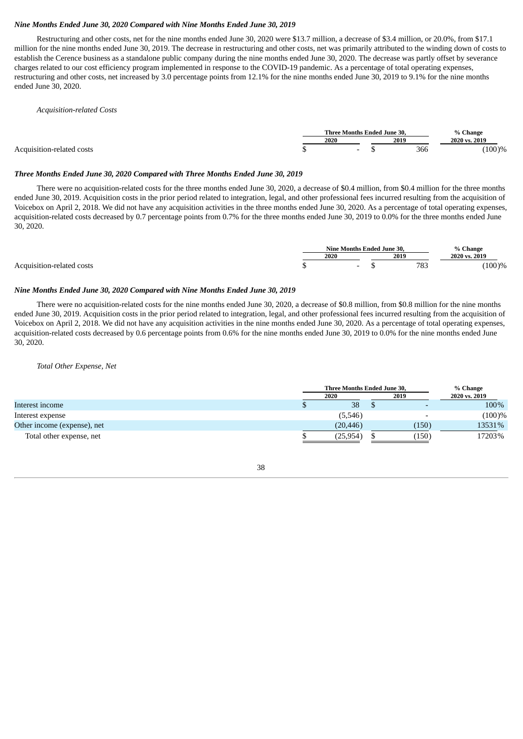## *Nine Months Ended June 30, 2020 Compared with Nine Months Ended June 30, 2019*

Restructuring and other costs, net for the nine months ended June 30, 2020 were \$13.7 million, a decrease of \$3.4 million, or 20.0%, from \$17.1 million for the nine months ended June 30, 2019. The decrease in restructuring and other costs, net was primarily attributed to the winding down of costs to establish the Cerence business as a standalone public company during the nine months ended June 30, 2020. The decrease was partly offset by severance charges related to our cost efficiency program implemented in response to the COVID-19 pandemic. As a percentage of total operating expenses, restructuring and other costs, net increased by 3.0 percentage points from 12.1% for the nine months ended June 30, 2019 to 9.1% for the nine months ended June 30, 2020.

#### *Acquisition-related Costs*

|                           |      | Three Months Ended June 30. |      | % Change      |
|---------------------------|------|-----------------------------|------|---------------|
|                           | 2020 |                             | 2019 | 2020 vs. 2019 |
| Acquisition-related costs |      |                             | 366  | 100)%         |

#### *Three Months Ended June 30, 2020 Compared with Three Months Ended June 30, 2019*

There were no acquisition-related costs for the three months ended June 30, 2020, a decrease of \$0.4 million, from \$0.4 million for the three months ended June 30, 2019. Acquisition costs in the prior period related to integration, legal, and other professional fees incurred resulting from the acquisition of Voicebox on April 2, 2018. We did not have any acquisition activities in the three months ended June 30, 2020. As a percentage of total operating expenses, acquisition-related costs decreased by 0.7 percentage points from 0.7% for the three months ended June 30, 2019 to 0.0% for the three months ended June 30, 2020.

|                           |  | Nine Months Ended June 30. |      |     | Change           |
|---------------------------|--|----------------------------|------|-----|------------------|
|                           |  | 2020                       | 2019 |     | 2019<br>2020 vs. |
| Acquisition-related costs |  |                            |      | 783 | 100)%            |

#### *Nine Months Ended June 30, 2020 Compared with Nine Months Ended June 30, 2019*

There were no acquisition-related costs for the nine months ended June 30, 2020, a decrease of \$0.8 million, from \$0.8 million for the nine months ended June 30, 2019. Acquisition costs in the prior period related to integration, legal, and other professional fees incurred resulting from the acquisition of Voicebox on April 2, 2018. We did not have any acquisition activities in the nine months ended June 30, 2020. As a percentage of total operating expenses, acquisition-related costs decreased by 0.6 percentage points from 0.6% for the nine months ended June 30, 2019 to 0.0% for the nine months ended June 30, 2020.

#### *Total Other Expense, Net*

|                             |  | Three Months Ended June 30, |                          | % Change      |
|-----------------------------|--|-----------------------------|--------------------------|---------------|
|                             |  | 2020                        | 2019                     | 2020 vs. 2019 |
| Interest income             |  | 38                          |                          | 100%          |
| Interest expense            |  | (5,546)                     | $\overline{\phantom{0}}$ | (100)%        |
| Other income (expense), net |  | (20, 446)                   | (150)                    | 13531%        |
| Total other expense, net    |  | (25,954)                    | (150)                    | 17203%        |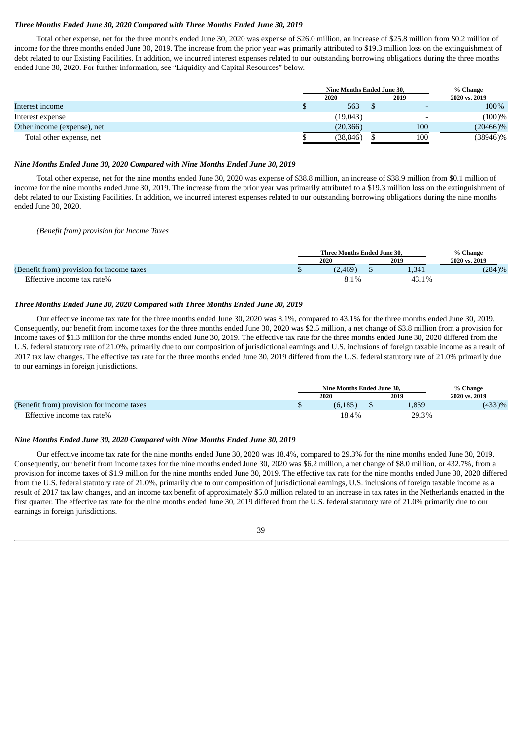## *Three Months Ended June 30, 2020 Compared with Three Months Ended June 30, 2019*

Total other expense, net for the three months ended June 30, 2020 was expense of \$26.0 million, an increase of \$25.8 million from \$0.2 million of income for the three months ended June 30, 2019. The increase from the prior year was primarily attributed to \$19.3 million loss on the extinguishment of debt related to our Existing Facilities. In addition, we incurred interest expenses related to our outstanding borrowing obligations during the three months ended June 30, 2020. For further information, see "Liquidity and Capital Resources" below.

|                             |  | Nine Months Ended June 30. | % Change |               |
|-----------------------------|--|----------------------------|----------|---------------|
|                             |  | 2020                       | 2019     | 2020 vs. 2019 |
| Interest income             |  | 563                        |          | 100%          |
| Interest expense            |  | (19, 043)                  |          | $(100)\%$     |
| Other income (expense), net |  | (20, 366)                  | 100      | $(20466)\%$   |
| Total other expense, net    |  | (38, 846)                  | 100      | (38946)%      |

#### *Nine Months Ended June 30, 2020 Compared with Nine Months Ended June 30, 2019*

Total other expense, net for the nine months ended June 30, 2020 was expense of \$38.8 million, an increase of \$38.9 million from \$0.1 million of income for the nine months ended June 30, 2019. The increase from the prior year was primarily attributed to a \$19.3 million loss on the extinguishment of debt related to our Existing Facilities. In addition, we incurred interest expenses related to our outstanding borrowing obligations during the nine months ended June 30, 2020.

*(Benefit from) provision for Income Taxes*

|                                           |  | Three Months Ended June 30. |  | % Change |               |
|-------------------------------------------|--|-----------------------------|--|----------|---------------|
|                                           |  | 2020                        |  | 2019     | 2020 vs. 2019 |
| (Benefit from) provision for income taxes |  | (2.469)                     |  |          | (284)%        |
| Effective income tax rate%                |  | 8.1%                        |  | 43.1%    |               |

#### *Three Months Ended June 30, 2020 Compared with Three Months Ended June 30, 2019*

Our effective income tax rate for the three months ended June 30, 2020 was 8.1%, compared to 43.1% for the three months ended June 30, 2019. Consequently, our benefit from income taxes for the three months ended June 30, 2020 was \$2.5 million, a net change of \$3.8 million from a provision for income taxes of \$1.3 million for the three months ended June 30, 2019. The effective tax rate for the three months ended June 30, 2020 differed from the U.S. federal statutory rate of 21.0%, primarily due to our composition of jurisdictional earnings and U.S. inclusions of foreign taxable income as a result of 2017 tax law changes. The effective tax rate for the three months ended June 30, 2019 differed from the U.S. federal statutory rate of 21.0% primarily due to our earnings in foreign jurisdictions.

|                                           |  | Nine Months Ended June 30. |  | % Change |               |
|-------------------------------------------|--|----------------------------|--|----------|---------------|
|                                           |  | 2020                       |  | 2019     | 2020 vs. 2019 |
| (Benefit from) provision for income taxes |  | (6.185)                    |  | 1,859    | (433)%        |
| Effective income tax rate%                |  | 18.4%                      |  | 29.3%    |               |

#### *Nine Months Ended June 30, 2020 Compared with Nine Months Ended June 30, 2019*

Our effective income tax rate for the nine months ended June 30, 2020 was 18.4%, compared to 29.3% for the nine months ended June 30, 2019. Consequently, our benefit from income taxes for the nine months ended June 30, 2020 was \$6.2 million, a net change of \$8.0 million, or 432.7%, from a provision for income taxes of \$1.9 million for the nine months ended June 30, 2019. The effective tax rate for the nine months ended June 30, 2020 differed from the U.S. federal statutory rate of 21.0%, primarily due to our composition of jurisdictional earnings, U.S. inclusions of foreign taxable income as a result of 2017 tax law changes, and an income tax benefit of approximately \$5.0 million related to an increase in tax rates in the Netherlands enacted in the first quarter. The effective tax rate for the nine months ended June 30, 2019 differed from the U.S. federal statutory rate of 21.0% primarily due to our earnings in foreign jurisdictions.

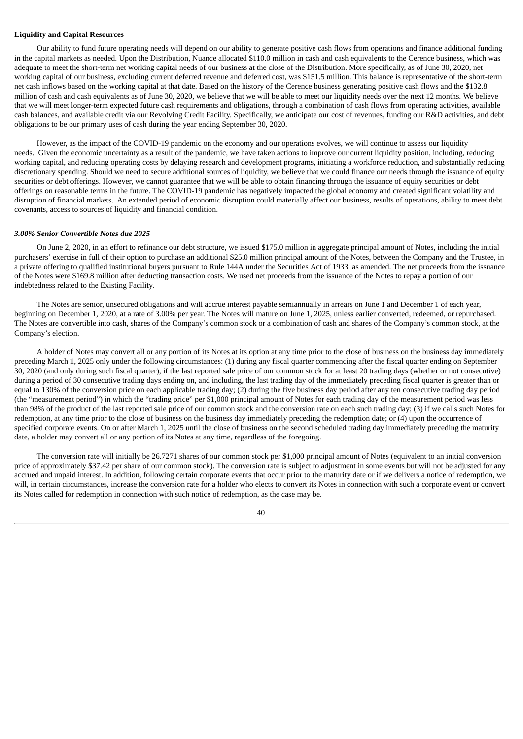## **Liquidity and Capital Resources**

Our ability to fund future operating needs will depend on our ability to generate positive cash flows from operations and finance additional funding in the capital markets as needed. Upon the Distribution, Nuance allocated \$110.0 million in cash and cash equivalents to the Cerence business, which was adequate to meet the short-term net working capital needs of our business at the close of the Distribution. More specifically, as of June 30, 2020, net working capital of our business, excluding current deferred revenue and deferred cost, was \$151.5 million. This balance is representative of the short-term net cash inflows based on the working capital at that date. Based on the history of the Cerence business generating positive cash flows and the \$132.8 million of cash and cash equivalents as of June 30, 2020, we believe that we will be able to meet our liquidity needs over the next 12 months. We believe that we will meet longer-term expected future cash requirements and obligations, through a combination of cash flows from operating activities, available cash balances, and available credit via our Revolving Credit Facility. Specifically, we anticipate our cost of revenues, funding our R&D activities, and debt obligations to be our primary uses of cash during the year ending September 30, 2020.

However, as the impact of the COVID-19 pandemic on the economy and our operations evolves, we will continue to assess our liquidity needs. Given the economic uncertainty as a result of the pandemic, we have taken actions to improve our current liquidity position, including, reducing working capital, and reducing operating costs by delaying research and development programs, initiating a workforce reduction, and substantially reducing discretionary spending. Should we need to secure additional sources of liquidity, we believe that we could finance our needs through the issuance of equity securities or debt offerings. However, we cannot guarantee that we will be able to obtain financing through the issuance of equity securities or debt offerings on reasonable terms in the future. The COVID-19 pandemic has negatively impacted the global economy and created significant volatility and disruption of financial markets. An extended period of economic disruption could materially affect our business, results of operations, ability to meet debt covenants, access to sources of liquidity and financial condition.

#### *3.00% Senior Convertible Notes due 2025*

On June 2, 2020, in an effort to refinance our debt structure, we issued \$175.0 million in aggregate principal amount of Notes, including the initial purchasers' exercise in full of their option to purchase an additional \$25.0 million principal amount of the Notes, between the Company and the Trustee, in a private offering to qualified institutional buyers pursuant to Rule 144A under the Securities Act of 1933, as amended. The net proceeds from the issuance of the Notes were \$169.8 million after deducting transaction costs. We used net proceeds from the issuance of the Notes to repay a portion of our indebtedness related to the Existing Facility.

The Notes are senior, unsecured obligations and will accrue interest payable semiannually in arrears on June 1 and December 1 of each year, beginning on December 1, 2020, at a rate of 3.00% per year. The Notes will mature on June 1, 2025, unless earlier converted, redeemed, or repurchased. The Notes are convertible into cash, shares of the Company's common stock or a combination of cash and shares of the Company's common stock, at the Company's election.

A holder of Notes may convert all or any portion of its Notes at its option at any time prior to the close of business on the business day immediately preceding March 1, 2025 only under the following circumstances: (1) during any fiscal quarter commencing after the fiscal quarter ending on September 30, 2020 (and only during such fiscal quarter), if the last reported sale price of our common stock for at least 20 trading days (whether or not consecutive) during a period of 30 consecutive trading days ending on, and including, the last trading day of the immediately preceding fiscal quarter is greater than or equal to 130% of the conversion price on each applicable trading day; (2) during the five business day period after any ten consecutive trading day period (the "measurement period") in which the "trading price" per \$1,000 principal amount of Notes for each trading day of the measurement period was less than 98% of the product of the last reported sale price of our common stock and the conversion rate on each such trading day; (3) if we calls such Notes for redemption, at any time prior to the close of business on the business day immediately preceding the redemption date; or (4) upon the occurrence of specified corporate events. On or after March 1, 2025 until the close of business on the second scheduled trading day immediately preceding the maturity date, a holder may convert all or any portion of its Notes at any time, regardless of the foregoing.

The conversion rate will initially be 26.7271 shares of our common stock per \$1,000 principal amount of Notes (equivalent to an initial conversion price of approximately \$37.42 per share of our common stock). The conversion rate is subject to adjustment in some events but will not be adjusted for any accrued and unpaid interest. In addition, following certain corporate events that occur prior to the maturity date or if we delivers a notice of redemption, we will, in certain circumstances, increase the conversion rate for a holder who elects to convert its Notes in connection with such a corporate event or convert its Notes called for redemption in connection with such notice of redemption, as the case may be.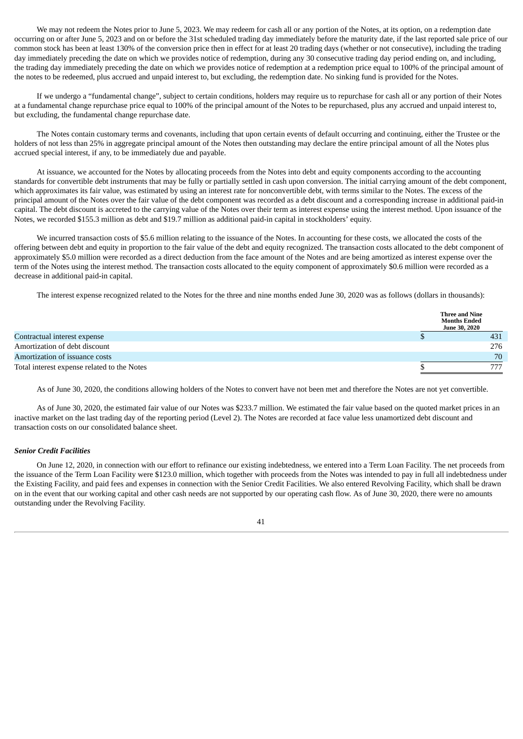We may not redeem the Notes prior to June 5, 2023. We may redeem for cash all or any portion of the Notes, at its option, on a redemption date occurring on or after June 5, 2023 and on or before the 31st scheduled trading day immediately before the maturity date, if the last reported sale price of our common stock has been at least 130% of the conversion price then in effect for at least 20 trading days (whether or not consecutive), including the trading day immediately preceding the date on which we provides notice of redemption, during any 30 consecutive trading day period ending on, and including, the trading day immediately preceding the date on which we provides notice of redemption at a redemption price equal to 100% of the principal amount of the notes to be redeemed, plus accrued and unpaid interest to, but excluding, the redemption date. No sinking fund is provided for the Notes.

If we undergo a "fundamental change", subject to certain conditions, holders may require us to repurchase for cash all or any portion of their Notes at a fundamental change repurchase price equal to 100% of the principal amount of the Notes to be repurchased, plus any accrued and unpaid interest to, but excluding, the fundamental change repurchase date.

The Notes contain customary terms and covenants, including that upon certain events of default occurring and continuing, either the Trustee or the holders of not less than 25% in aggregate principal amount of the Notes then outstanding may declare the entire principal amount of all the Notes plus accrued special interest, if any, to be immediately due and payable.

At issuance, we accounted for the Notes by allocating proceeds from the Notes into debt and equity components according to the accounting standards for convertible debt instruments that may be fully or partially settled in cash upon conversion. The initial carrying amount of the debt component, which approximates its fair value, was estimated by using an interest rate for nonconvertible debt, with terms similar to the Notes. The excess of the principal amount of the Notes over the fair value of the debt component was recorded as a debt discount and a corresponding increase in additional paid-in capital. The debt discount is accreted to the carrying value of the Notes over their term as interest expense using the interest method. Upon issuance of the Notes, we recorded \$155.3 million as debt and \$19.7 million as additional paid-in capital in stockholders' equity.

We incurred transaction costs of \$5.6 million relating to the issuance of the Notes. In accounting for these costs, we allocated the costs of the offering between debt and equity in proportion to the fair value of the debt and equity recognized. The transaction costs allocated to the debt component of approximately \$5.0 million were recorded as a direct deduction from the face amount of the Notes and are being amortized as interest expense over the term of the Notes using the interest method. The transaction costs allocated to the equity component of approximately \$0.6 million were recorded as a decrease in additional paid-in capital.

The interest expense recognized related to the Notes for the three and nine months ended June 30, 2020 was as follows (dollars in thousands):

|                                             | <b>Three and Nine</b><br><b>Months Ended</b><br><b>June 30, 2020</b> |
|---------------------------------------------|----------------------------------------------------------------------|
| Contractual interest expense                | 431                                                                  |
| Amortization of debt discount               | 276                                                                  |
| Amortization of issuance costs              | 70                                                                   |
| Total interest expense related to the Notes | ---                                                                  |

As of June 30, 2020, the conditions allowing holders of the Notes to convert have not been met and therefore the Notes are not yet convertible.

As of June 30, 2020, the estimated fair value of our Notes was \$233.7 million. We estimated the fair value based on the quoted market prices in an inactive market on the last trading day of the reporting period (Level 2). The Notes are recorded at face value less unamortized debt discount and transaction costs on our consolidated balance sheet.

## *Senior Credit Facilities*

On June 12, 2020, in connection with our effort to refinance our existing indebtedness, we entered into a Term Loan Facility. The net proceeds from the issuance of the Term Loan Facility were \$123.0 million, which together with proceeds from the Notes was intended to pay in full all indebtedness under the Existing Facility, and paid fees and expenses in connection with the Senior Credit Facilities. We also entered Revolving Facility, which shall be drawn on in the event that our working capital and other cash needs are not supported by our operating cash flow. As of June 30, 2020, there were no amounts outstanding under the Revolving Facility.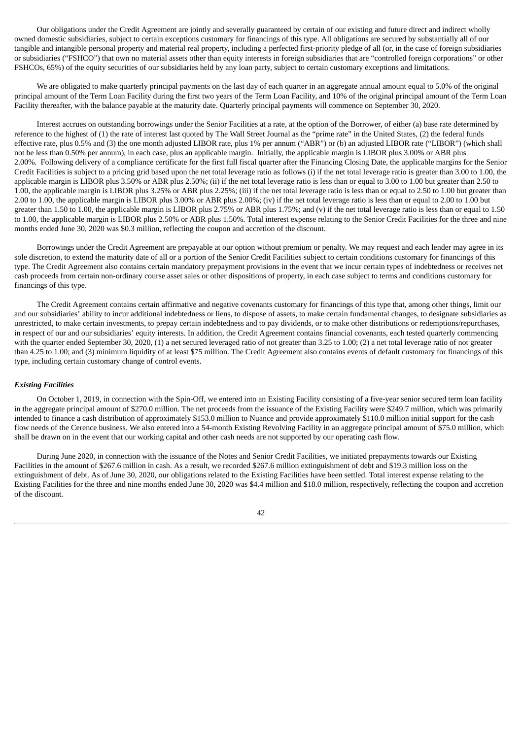Our obligations under the Credit Agreement are jointly and severally guaranteed by certain of our existing and future direct and indirect wholly owned domestic subsidiaries, subject to certain exceptions customary for financings of this type. All obligations are secured by substantially all of our tangible and intangible personal property and material real property, including a perfected first-priority pledge of all (or, in the case of foreign subsidiaries or subsidiaries ("FSHCO") that own no material assets other than equity interests in foreign subsidiaries that are "controlled foreign corporations" or other FSHCOs, 65%) of the equity securities of our subsidiaries held by any loan party, subject to certain customary exceptions and limitations.

We are obligated to make quarterly principal payments on the last day of each quarter in an aggregate annual amount equal to 5.0% of the original principal amount of the Term Loan Facility during the first two years of the Term Loan Facility, and 10% of the original principal amount of the Term Loan Facility thereafter, with the balance payable at the maturity date. Quarterly principal payments will commence on September 30, 2020.

Interest accrues on outstanding borrowings under the Senior Facilities at a rate, at the option of the Borrower, of either (a) base rate determined by reference to the highest of (1) the rate of interest last quoted by The Wall Street Journal as the "prime rate" in the United States, (2) the federal funds effective rate, plus 0.5% and (3) the one month adjusted LIBOR rate, plus 1% per annum ("ABR") or (b) an adjusted LIBOR rate ("LIBOR") (which shall not be less than 0.50% per annum), in each case, plus an applicable margin. Initially, the applicable margin is LIBOR plus 3.00% or ABR plus 2.00%. Following delivery of a compliance certificate for the first full fiscal quarter after the Financing Closing Date, the applicable margins for the Senior Credit Facilities is subject to a pricing grid based upon the net total leverage ratio as follows (i) if the net total leverage ratio is greater than 3.00 to 1.00, the applicable margin is LIBOR plus 3.50% or ABR plus 2.50%; (ii) if the net total leverage ratio is less than or equal to 3.00 to 1.00 but greater than 2.50 to 1.00, the applicable margin is LIBOR plus 3.25% or ABR plus 2.25%; (iii) if the net total leverage ratio is less than or equal to 2.50 to 1.00 but greater than 2.00 to 1.00, the applicable margin is LIBOR plus 3.00% or ABR plus 2.00%; (iv) if the net total leverage ratio is less than or equal to 2.00 to 1.00 but greater than 1.50 to 1.00, the applicable margin is LIBOR plus 2.75% or ABR plus 1.75%; and (v) if the net total leverage ratio is less than or equal to 1.50 to 1.00, the applicable margin is LIBOR plus 2.50% or ABR plus 1.50%. Total interest expense relating to the Senior Credit Facilities for the three and nine months ended June 30, 2020 was \$0.3 million, reflecting the coupon and accretion of the discount.

Borrowings under the Credit Agreement are prepayable at our option without premium or penalty. We may request and each lender may agree in its sole discretion, to extend the maturity date of all or a portion of the Senior Credit Facilities subject to certain conditions customary for financings of this type. The Credit Agreement also contains certain mandatory prepayment provisions in the event that we incur certain types of indebtedness or receives net cash proceeds from certain non-ordinary course asset sales or other dispositions of property, in each case subject to terms and conditions customary for financings of this type.

The Credit Agreement contains certain affirmative and negative covenants customary for financings of this type that, among other things, limit our and our subsidiaries' ability to incur additional indebtedness or liens, to dispose of assets, to make certain fundamental changes, to designate subsidiaries as unrestricted, to make certain investments, to prepay certain indebtedness and to pay dividends, or to make other distributions or redemptions/repurchases, in respect of our and our subsidiaries' equity interests. In addition, the Credit Agreement contains financial covenants, each tested quarterly commencing with the quarter ended September 30, 2020, (1) a net secured leveraged ratio of not greater than 3.25 to 1.00; (2) a net total leverage ratio of not greater than 4.25 to 1.00; and (3) minimum liquidity of at least \$75 million. The Credit Agreement also contains events of default customary for financings of this type, including certain customary change of control events.

## *Existing Facilities*

On October 1, 2019, in connection with the Spin-Off, we entered into an Existing Facility consisting of a five-year senior secured term loan facility in the aggregate principal amount of \$270.0 million. The net proceeds from the issuance of the Existing Facility were \$249.7 million, which was primarily intended to finance a cash distribution of approximately \$153.0 million to Nuance and provide approximately \$110.0 million initial support for the cash flow needs of the Cerence business. We also entered into a 54-month Existing Revolving Facility in an aggregate principal amount of \$75.0 million, which shall be drawn on in the event that our working capital and other cash needs are not supported by our operating cash flow.

During June 2020, in connection with the issuance of the Notes and Senior Credit Facilities, we initiated prepayments towards our Existing Facilities in the amount of \$267.6 million in cash. As a result, we recorded \$267.6 million extinguishment of debt and \$19.3 million loss on the extinguishment of debt. As of June 30, 2020, our obligations related to the Existing Facilities have been settled. Total interest expense relating to the Existing Facilities for the three and nine months ended June 30, 2020 was \$4.4 million and \$18.0 million, respectively, reflecting the coupon and accretion of the discount.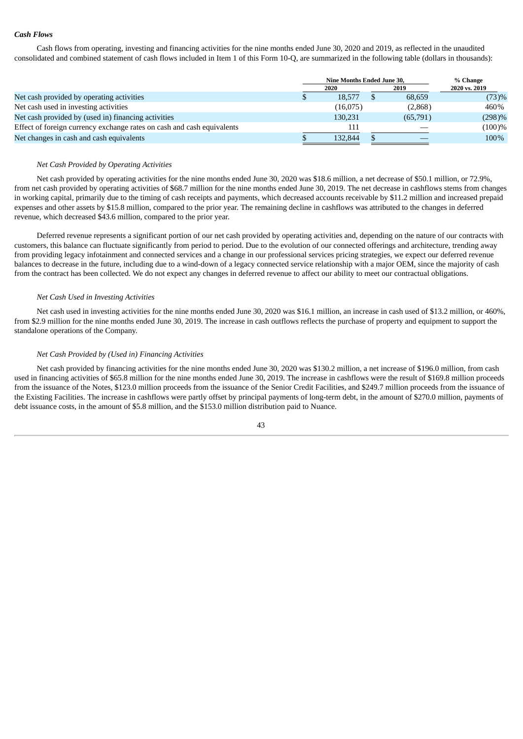## *Cash Flows*

Cash flows from operating, investing and financing activities for the nine months ended June 30, 2020 and 2019, as reflected in the unaudited consolidated and combined statement of cash flows included in Item 1 of this Form 10-Q, are summarized in the following table (dollars in thousands):

|                                                                        |  | Nine Months Ended June 30. | % Change |               |
|------------------------------------------------------------------------|--|----------------------------|----------|---------------|
|                                                                        |  | 2020                       | 2019     | 2020 vs. 2019 |
| Net cash provided by operating activities                              |  | 18.577                     | 68,659   | (73)%         |
| Net cash used in investing activities                                  |  | (16,075)                   | (2,868)  | 460%          |
| Net cash provided by (used in) financing activities                    |  | 130,231                    | (65,791) | (298)%        |
| Effect of foreign currency exchange rates on cash and cash equivalents |  | 111                        |          | $(100)\%$     |
| Net changes in cash and cash equivalents                               |  | 132,844                    |          | 100%          |

#### *Net Cash Provided by Operating Activities*

Net cash provided by operating activities for the nine months ended June 30, 2020 was \$18.6 million, a net decrease of \$50.1 million, or 72.9%, from net cash provided by operating activities of \$68.7 million for the nine months ended June 30, 2019. The net decrease in cashflows stems from changes in working capital, primarily due to the timing of cash receipts and payments, which decreased accounts receivable by \$11.2 million and increased prepaid expenses and other assets by \$15.8 million, compared to the prior year. The remaining decline in cashflows was attributed to the changes in deferred revenue, which decreased \$43.6 million, compared to the prior year.

Deferred revenue represents a significant portion of our net cash provided by operating activities and, depending on the nature of our contracts with customers, this balance can fluctuate significantly from period to period. Due to the evolution of our connected offerings and architecture, trending away from providing legacy infotainment and connected services and a change in our professional services pricing strategies, we expect our deferred revenue balances to decrease in the future, including due to a wind-down of a legacy connected service relationship with a major OEM, since the majority of cash from the contract has been collected. We do not expect any changes in deferred revenue to affect our ability to meet our contractual obligations.

#### *Net Cash Used in Investing Activities*

Net cash used in investing activities for the nine months ended June 30, 2020 was \$16.1 million, an increase in cash used of \$13.2 million, or 460%, from \$2.9 million for the nine months ended June 30, 2019. The increase in cash outflows reflects the purchase of property and equipment to support the standalone operations of the Company.

#### *Net Cash Provided by (Used in) Financing Activities*

Net cash provided by financing activities for the nine months ended June 30, 2020 was \$130.2 million, a net increase of \$196.0 million, from cash used in financing activities of \$65.8 million for the nine months ended June 30, 2019. The increase in cashflows were the result of \$169.8 million proceeds from the issuance of the Notes, \$123.0 million proceeds from the issuance of the Senior Credit Facilities, and \$249.7 million proceeds from the issuance of the Existing Facilities. The increase in cashflows were partly offset by principal payments of long-term debt, in the amount of \$270.0 million, payments of debt issuance costs, in the amount of \$5.8 million, and the \$153.0 million distribution paid to Nuance.

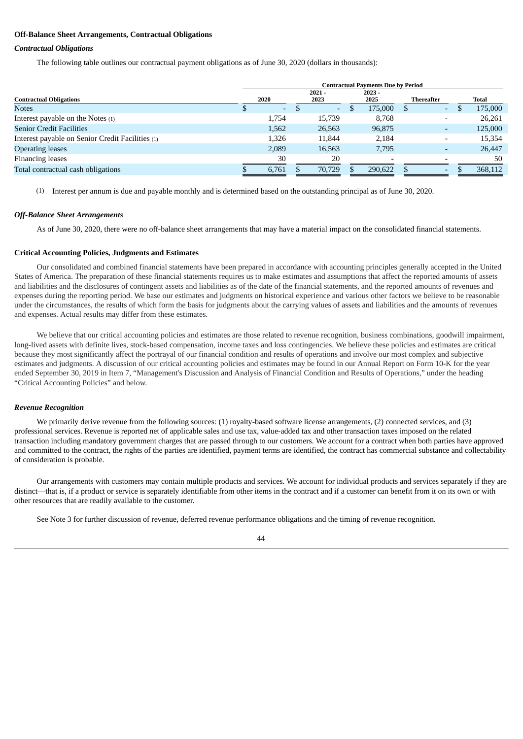## **Off-Balance Sheet Arrangements, Contractual Obligations**

## *Contractual Obligations*

The following table outlines our contractual payment obligations as of June 30, 2020 (dollars in thousands):

|                                                  | <b>Contractual Payments Due by Period</b> |                          |                  |                          |                  |         |            |    |  |         |  |  |
|--------------------------------------------------|-------------------------------------------|--------------------------|------------------|--------------------------|------------------|---------|------------|----|--|---------|--|--|
| <b>Contractual Obligations</b>                   | 2020                                      |                          | $2021 -$<br>2023 |                          | $2023 -$<br>2025 |         | Thereafter |    |  | Total   |  |  |
| <b>Notes</b>                                     |                                           | $\overline{\phantom{0}}$ | - D              | $\overline{\phantom{a}}$ |                  | 175,000 |            | ۰. |  | 175,000 |  |  |
| Interest payable on the Notes (1)                |                                           | 1,754                    |                  | 15,739                   |                  | 8,768   |            |    |  | 26,261  |  |  |
| <b>Senior Credit Facilities</b>                  |                                           | 1,562                    |                  | 26,563                   |                  | 96,875  |            |    |  | 125,000 |  |  |
| Interest payable on Senior Credit Facilities (1) |                                           | 1,326                    |                  | 11,844                   |                  | 2,184   |            |    |  | 15,354  |  |  |
| <b>Operating leases</b>                          |                                           | 2,089                    |                  | 16,563                   |                  | 7,795   |            |    |  | 26,447  |  |  |
| Financing leases                                 |                                           | 30                       |                  | 20                       |                  |         |            |    |  | 50      |  |  |
| Total contractual cash obligations               |                                           | 6.761                    |                  | 70,729                   |                  | 290,622 |            | -  |  | 368,112 |  |  |

(1) Interest per annum is due and payable monthly and is determined based on the outstanding principal as of June 30, 2020.

## *Off-Balance Sheet Arrangements*

As of June 30, 2020, there were no off-balance sheet arrangements that may have a material impact on the consolidated financial statements.

#### **Critical Accounting Policies, Judgments and Estimates**

Our consolidated and combined financial statements have been prepared in accordance with accounting principles generally accepted in the United States of America. The preparation of these financial statements requires us to make estimates and assumptions that affect the reported amounts of assets and liabilities and the disclosures of contingent assets and liabilities as of the date of the financial statements, and the reported amounts of revenues and expenses during the reporting period. We base our estimates and judgments on historical experience and various other factors we believe to be reasonable under the circumstances, the results of which form the basis for judgments about the carrying values of assets and liabilities and the amounts of revenues and expenses. Actual results may differ from these estimates.

We believe that our critical accounting policies and estimates are those related to revenue recognition, business combinations, goodwill impairment, long-lived assets with definite lives, stock-based compensation, income taxes and loss contingencies. We believe these policies and estimates are critical because they most significantly affect the portrayal of our financial condition and results of operations and involve our most complex and subjective estimates and judgments. A discussion of our critical accounting policies and estimates may be found in our Annual Report on Form 10-K for the year ended September 30, 2019 in Item 7, "Management's Discussion and Analysis of Financial Condition and Results of Operations," under the heading "Critical Accounting Policies" and below.

## *Revenue Recognition*

We primarily derive revenue from the following sources: (1) royalty-based software license arrangements, (2) connected services, and (3) professional services. Revenue is reported net of applicable sales and use tax, value-added tax and other transaction taxes imposed on the related transaction including mandatory government charges that are passed through to our customers. We account for a contract when both parties have approved and committed to the contract, the rights of the parties are identified, payment terms are identified, the contract has commercial substance and collectability of consideration is probable.

Our arrangements with customers may contain multiple products and services. We account for individual products and services separately if they are distinct—that is, if a product or service is separately identifiable from other items in the contract and if a customer can benefit from it on its own or with other resources that are readily available to the customer.

See Note 3 for further discussion of revenue, deferred revenue performance obligations and the timing of revenue recognition.

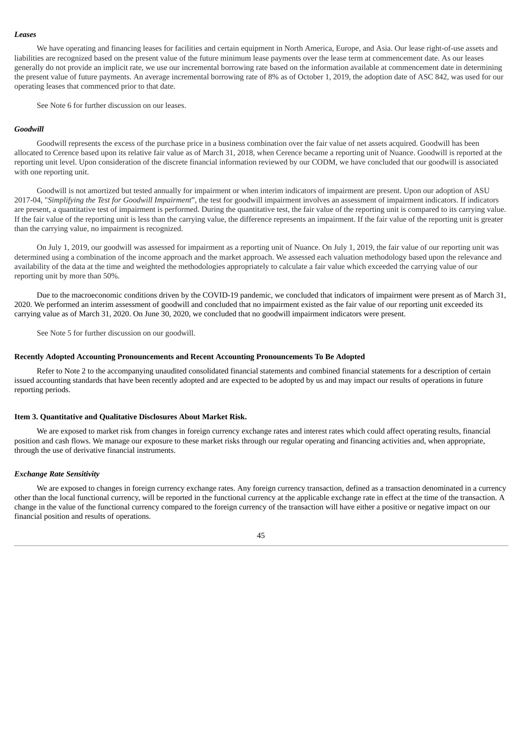## *Leases*

We have operating and financing leases for facilities and certain equipment in North America, Europe, and Asia. Our lease right-of-use assets and liabilities are recognized based on the present value of the future minimum lease payments over the lease term at commencement date. As our leases generally do not provide an implicit rate, we use our incremental borrowing rate based on the information available at commencement date in determining the present value of future payments. An average incremental borrowing rate of 8% as of October 1, 2019, the adoption date of ASC 842, was used for our operating leases that commenced prior to that date.

See Note 6 for further discussion on our leases.

## *Goodwill*

Goodwill represents the excess of the purchase price in a business combination over the fair value of net assets acquired. Goodwill has been allocated to Cerence based upon its relative fair value as of March 31, 2018, when Cerence became a reporting unit of Nuance. Goodwill is reported at the reporting unit level. Upon consideration of the discrete financial information reviewed by our CODM, we have concluded that our goodwill is associated with one reporting unit.

Goodwill is not amortized but tested annually for impairment or when interim indicators of impairment are present. Upon our adoption of ASU 2017-04, "*Simplifying the Test for Goodwill Impairment*", the test for goodwill impairment involves an assessment of impairment indicators. If indicators are present, a quantitative test of impairment is performed. During the quantitative test, the fair value of the reporting unit is compared to its carrying value. If the fair value of the reporting unit is less than the carrying value, the difference represents an impairment. If the fair value of the reporting unit is greater than the carrying value, no impairment is recognized.

On July 1, 2019, our goodwill was assessed for impairment as a reporting unit of Nuance. On July 1, 2019, the fair value of our reporting unit was determined using a combination of the income approach and the market approach. We assessed each valuation methodology based upon the relevance and availability of the data at the time and weighted the methodologies appropriately to calculate a fair value which exceeded the carrying value of our reporting unit by more than 50%.

Due to the macroeconomic conditions driven by the COVID-19 pandemic, we concluded that indicators of impairment were present as of March 31, 2020. We performed an interim assessment of goodwill and concluded that no impairment existed as the fair value of our reporting unit exceeded its carrying value as of March 31, 2020. On June 30, 2020, we concluded that no goodwill impairment indicators were present.

See Note 5 for further discussion on our goodwill.

#### **Recently Adopted Accounting Pronouncements and Recent Accounting Pronouncements To Be Adopted**

Refer to Note 2 to the accompanying unaudited consolidated financial statements and combined financial statements for a description of certain issued accounting standards that have been recently adopted and are expected to be adopted by us and may impact our results of operations in future reporting periods.

## <span id="page-46-0"></span>**Item 3. Quantitative and Qualitative Disclosures About Market Risk.**

We are exposed to market risk from changes in foreign currency exchange rates and interest rates which could affect operating results, financial position and cash flows. We manage our exposure to these market risks through our regular operating and financing activities and, when appropriate, through the use of derivative financial instruments.

## *Exchange Rate Sensitivity*

We are exposed to changes in foreign currency exchange rates. Any foreign currency transaction, defined as a transaction denominated in a currency other than the local functional currency, will be reported in the functional currency at the applicable exchange rate in effect at the time of the transaction. A change in the value of the functional currency compared to the foreign currency of the transaction will have either a positive or negative impact on our financial position and results of operations.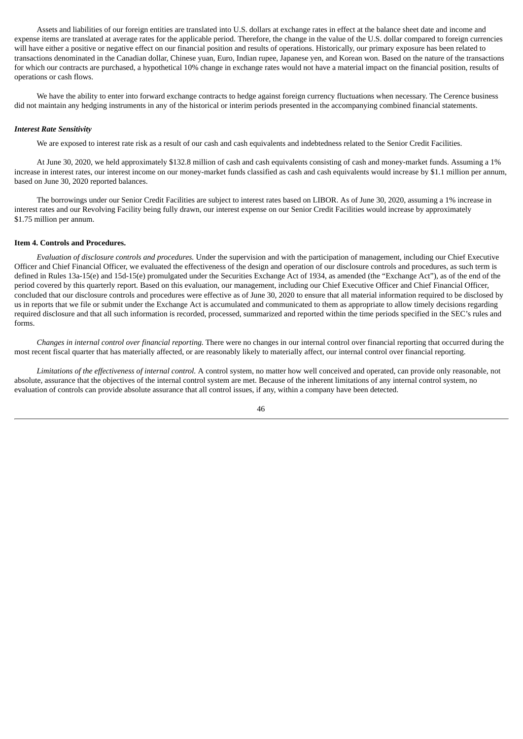Assets and liabilities of our foreign entities are translated into U.S. dollars at exchange rates in effect at the balance sheet date and income and expense items are translated at average rates for the applicable period. Therefore, the change in the value of the U.S. dollar compared to foreign currencies will have either a positive or negative effect on our financial position and results of operations. Historically, our primary exposure has been related to transactions denominated in the Canadian dollar, Chinese yuan, Euro, Indian rupee, Japanese yen, and Korean won. Based on the nature of the transactions for which our contracts are purchased, a hypothetical 10% change in exchange rates would not have a material impact on the financial position, results of operations or cash flows.

We have the ability to enter into forward exchange contracts to hedge against foreign currency fluctuations when necessary. The Cerence business did not maintain any hedging instruments in any of the historical or interim periods presented in the accompanying combined financial statements.

#### *Interest Rate Sensitivity*

We are exposed to interest rate risk as a result of our cash and cash equivalents and indebtedness related to the Senior Credit Facilities.

At June 30, 2020, we held approximately \$132.8 million of cash and cash equivalents consisting of cash and money-market funds. Assuming a 1% increase in interest rates, our interest income on our money-market funds classified as cash and cash equivalents would increase by \$1.1 million per annum, based on June 30, 2020 reported balances.

The borrowings under our Senior Credit Facilities are subject to interest rates based on LIBOR. As of June 30, 2020, assuming a 1% increase in interest rates and our Revolving Facility being fully drawn, our interest expense on our Senior Credit Facilities would increase by approximately \$1.75 million per annum.

#### <span id="page-47-0"></span>**Item 4. Controls and Procedures.**

*Evaluation of disclosure controls and procedures.* Under the supervision and with the participation of management, including our Chief Executive Officer and Chief Financial Officer, we evaluated the effectiveness of the design and operation of our disclosure controls and procedures, as such term is defined in Rules 13a-15(e) and 15d-15(e) promulgated under the Securities Exchange Act of 1934, as amended (the "Exchange Act"), as of the end of the period covered by this quarterly report. Based on this evaluation, our management, including our Chief Executive Officer and Chief Financial Officer, concluded that our disclosure controls and procedures were effective as of June 30, 2020 to ensure that all material information required to be disclosed by us in reports that we file or submit under the Exchange Act is accumulated and communicated to them as appropriate to allow timely decisions regarding required disclosure and that all such information is recorded, processed, summarized and reported within the time periods specified in the SEC's rules and forms.

*Changes in internal control over financial reporting.* There were no changes in our internal control over financial reporting that occurred during the most recent fiscal quarter that has materially affected, or are reasonably likely to materially affect, our internal control over financial reporting.

*Limitations of the effectiveness of internal control.* A control system, no matter how well conceived and operated, can provide only reasonable, not absolute, assurance that the objectives of the internal control system are met. Because of the inherent limitations of any internal control system, no evaluation of controls can provide absolute assurance that all control issues, if any, within a company have been detected.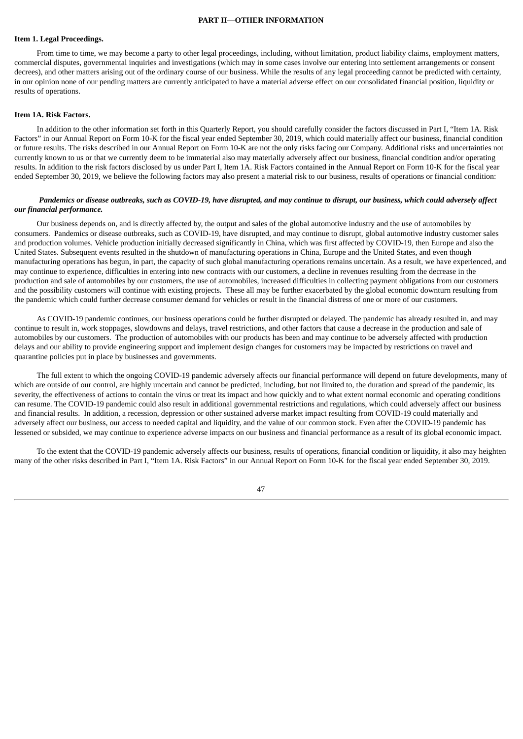#### **PART II—OTHER INFORMATION**

#### <span id="page-48-1"></span><span id="page-48-0"></span>**Item 1. Legal Proceedings.**

From time to time, we may become a party to other legal proceedings, including, without limitation, product liability claims, employment matters, commercial disputes, governmental inquiries and investigations (which may in some cases involve our entering into settlement arrangements or consent decrees), and other matters arising out of the ordinary course of our business. While the results of any legal proceeding cannot be predicted with certainty, in our opinion none of our pending matters are currently anticipated to have a material adverse effect on our consolidated financial position, liquidity or results of operations.

#### <span id="page-48-2"></span>**Item 1A. Risk Factors.**

In addition to the other information set forth in this Quarterly Report, you should carefully consider the factors discussed in Part I, "Item 1A. Risk Factors" in our Annual Report on Form 10-K for the fiscal year ended September 30, 2019, which could materially affect our business, financial condition or future results. The risks described in our Annual Report on Form 10-K are not the only risks facing our Company. Additional risks and uncertainties not currently known to us or that we currently deem to be immaterial also may materially adversely affect our business, financial condition and/or operating results. In addition to the risk factors disclosed by us under Part I, Item 1A. Risk Factors contained in the Annual Report on Form 10-K for the fiscal year ended September 30, 2019, we believe the following factors may also present a material risk to our business, results of operations or financial condition:

## Pandemics or disease outbreaks, such as COVID-19, have disrupted, and may continue to disrupt, our business, which could adversely affect *our financial performance.*

Our business depends on, and is directly affected by, the output and sales of the global automotive industry and the use of automobiles by consumers. Pandemics or disease outbreaks, such as COVID-19, have disrupted, and may continue to disrupt, global automotive industry customer sales and production volumes. Vehicle production initially decreased significantly in China, which was first affected by COVID-19, then Europe and also the United States. Subsequent events resulted in the shutdown of manufacturing operations in China, Europe and the United States, and even though manufacturing operations has begun, in part, the capacity of such global manufacturing operations remains uncertain. As a result, we have experienced, and may continue to experience, difficulties in entering into new contracts with our customers, a decline in revenues resulting from the decrease in the production and sale of automobiles by our customers, the use of automobiles, increased difficulties in collecting payment obligations from our customers and the possibility customers will continue with existing projects. These all may be further exacerbated by the global economic downturn resulting from the pandemic which could further decrease consumer demand for vehicles or result in the financial distress of one or more of our customers.

As COVID-19 pandemic continues, our business operations could be further disrupted or delayed. The pandemic has already resulted in, and may continue to result in, work stoppages, slowdowns and delays, travel restrictions, and other factors that cause a decrease in the production and sale of automobiles by our customers. The production of automobiles with our products has been and may continue to be adversely affected with production delays and our ability to provide engineering support and implement design changes for customers may be impacted by restrictions on travel and quarantine policies put in place by businesses and governments.

The full extent to which the ongoing COVID-19 pandemic adversely affects our financial performance will depend on future developments, many of which are outside of our control, are highly uncertain and cannot be predicted, including, but not limited to, the duration and spread of the pandemic, its severity, the effectiveness of actions to contain the virus or treat its impact and how quickly and to what extent normal economic and operating conditions can resume. The COVID-19 pandemic could also result in additional governmental restrictions and regulations, which could adversely affect our business and financial results. In addition, a recession, depression or other sustained adverse market impact resulting from COVID-19 could materially and adversely affect our business, our access to needed capital and liquidity, and the value of our common stock. Even after the COVID-19 pandemic has lessened or subsided, we may continue to experience adverse impacts on our business and financial performance as a result of its global economic impact.

To the extent that the COVID-19 pandemic adversely affects our business, results of operations, financial condition or liquidity, it also may heighten many of the other risks described in Part I, "Item 1A. Risk Factors" in our Annual Report on Form 10-K for the fiscal year ended September 30, 2019.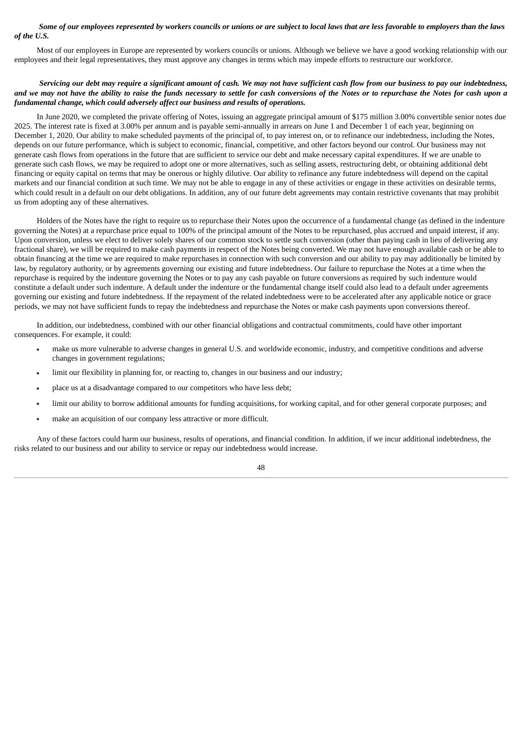## Some of our employees represented by workers councils or unions or are subject to local laws that are less favorable to employers than the laws *of the U.S.*

Most of our employees in Europe are represented by workers councils or unions. Although we believe we have a good working relationship with our employees and their legal representatives, they must approve any changes in terms which may impede efforts to restructure our workforce.

## Servicing our debt may require a significant amount of cash. We may not have sufficient cash flow from our business to pay our indebtedness, and we may not have the ability to raise the funds necessary to settle for cash conversions of the Notes or to repurchase the Notes for cash upon a *fundamental change, which could adversely affect our business and results of operations.*

In June 2020, we completed the private offering of Notes, issuing an aggregate principal amount of \$175 million 3.00% convertible senior notes due 2025. The interest rate is fixed at 3.00% per annum and is payable semi-annually in arrears on June 1 and December 1 of each year, beginning on December 1, 2020. Our ability to make scheduled payments of the principal of, to pay interest on, or to refinance our indebtedness, including the Notes, depends on our future performance, which is subject to economic, financial, competitive, and other factors beyond our control. Our business may not generate cash flows from operations in the future that are sufficient to service our debt and make necessary capital expenditures. If we are unable to generate such cash flows, we may be required to adopt one or more alternatives, such as selling assets, restructuring debt, or obtaining additional debt financing or equity capital on terms that may be onerous or highly dilutive. Our ability to refinance any future indebtedness will depend on the capital markets and our financial condition at such time. We may not be able to engage in any of these activities or engage in these activities on desirable terms, which could result in a default on our debt obligations. In addition, any of our future debt agreements may contain restrictive covenants that may prohibit us from adopting any of these alternatives.

Holders of the Notes have the right to require us to repurchase their Notes upon the occurrence of a fundamental change (as defined in the indenture governing the Notes) at a repurchase price equal to 100% of the principal amount of the Notes to be repurchased, plus accrued and unpaid interest, if any. Upon conversion, unless we elect to deliver solely shares of our common stock to settle such conversion (other than paying cash in lieu of delivering any fractional share), we will be required to make cash payments in respect of the Notes being converted. We may not have enough available cash or be able to obtain financing at the time we are required to make repurchases in connection with such conversion and our ability to pay may additionally be limited by law, by regulatory authority, or by agreements governing our existing and future indebtedness. Our failure to repurchase the Notes at a time when the repurchase is required by the indenture governing the Notes or to pay any cash payable on future conversions as required by such indenture would constitute a default under such indenture. A default under the indenture or the fundamental change itself could also lead to a default under agreements governing our existing and future indebtedness. If the repayment of the related indebtedness were to be accelerated after any applicable notice or grace periods, we may not have sufficient funds to repay the indebtedness and repurchase the Notes or make cash payments upon conversions thereof.

In addition, our indebtedness, combined with our other financial obligations and contractual commitments, could have other important consequences. For example, it could:

- make us more vulnerable to adverse changes in general U.S. and worldwide economic, industry, and competitive conditions and adverse changes in government regulations;
- limit our flexibility in planning for, or reacting to, changes in our business and our industry;
- place us at a disadvantage compared to our competitors who have less debt;
- limit our ability to borrow additional amounts for funding acquisitions, for working capital, and for other general corporate purposes; and
- make an acquisition of our company less attractive or more difficult.

Any of these factors could harm our business, results of operations, and financial condition. In addition, if we incur additional indebtedness, the risks related to our business and our ability to service or repay our indebtedness would increase.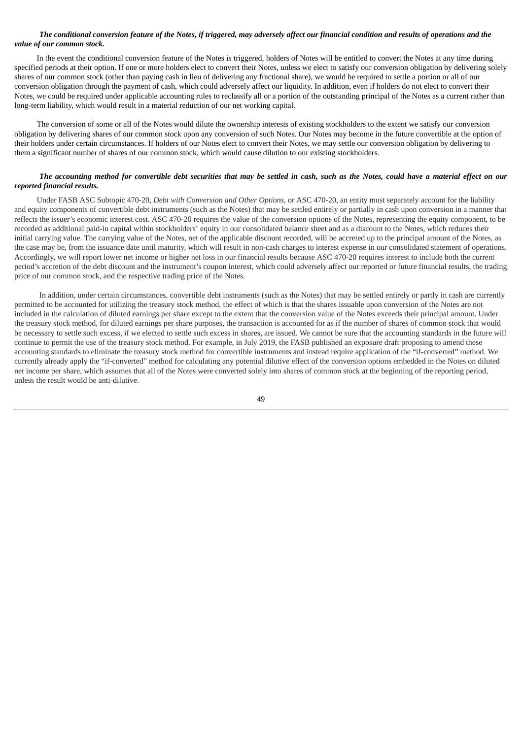## The conditional conversion feature of the Notes, if triggered, may adversely affect our financial condition and results of operations and the *value of our common stock.*

In the event the conditional conversion feature of the Notes is triggered, holders of Notes will be entitled to convert the Notes at any time during specified periods at their option. If one or more holders elect to convert their Notes, unless we elect to satisfy our conversion obligation by delivering solely shares of our common stock (other than paying cash in lieu of delivering any fractional share), we would be required to settle a portion or all of our conversion obligation through the payment of cash, which could adversely affect our liquidity. In addition, even if holders do not elect to convert their Notes, we could be required under applicable accounting rules to reclassify all or a portion of the outstanding principal of the Notes as a current rather than long-term liability, which would result in a material reduction of our net working capital.

The conversion of some or all of the Notes would dilute the ownership interests of existing stockholders to the extent we satisfy our conversion obligation by delivering shares of our common stock upon any conversion of such Notes. Our Notes may become in the future convertible at the option of their holders under certain circumstances. If holders of our Notes elect to convert their Notes, we may settle our conversion obligation by delivering to them a significant number of shares of our common stock, which would cause dilution to our existing stockholders.

## The accounting method for convertible debt securities that may be settled in cash, such as the Notes, could have a material effect on our *reported financial results.*

Under FASB ASC Subtopic 470-20, *Debt with Conversion and Other Options*, or ASC 470-20, an entity must separately account for the liability and equity components of convertible debt instruments (such as the Notes) that may be settled entirely or partially in cash upon conversion in a manner that reflects the issuer's economic interest cost. ASC 470-20 requires the value of the conversion options of the Notes, representing the equity component, to be recorded as additional paid-in capital within stockholders' equity in our consolidated balance sheet and as a discount to the Notes, which reduces their initial carrying value. The carrying value of the Notes, net of the applicable discount recorded, will be accreted up to the principal amount of the Notes, as the case may be, from the issuance date until maturity, which will result in non-cash charges to interest expense in our consolidated statement of operations. Accordingly, we will report lower net income or higher net loss in our financial results because ASC 470-20 requires interest to include both the current period's accretion of the debt discount and the instrument's coupon interest, which could adversely affect our reported or future financial results, the trading price of our common stock, and the respective trading price of the Notes.

In addition, under certain circumstances, convertible debt instruments (such as the Notes) that may be settled entirely or partly in cash are currently permitted to be accounted for utilizing the treasury stock method, the effect of which is that the shares issuable upon conversion of the Notes are not included in the calculation of diluted earnings per share except to the extent that the conversion value of the Notes exceeds their principal amount. Under the treasury stock method, for diluted earnings per share purposes, the transaction is accounted for as if the number of shares of common stock that would be necessary to settle such excess, if we elected to settle such excess in shares, are issued. We cannot be sure that the accounting standards in the future will continue to permit the use of the treasury stock method. For example, in July 2019, the FASB published an exposure draft proposing to amend these accounting standards to eliminate the treasury stock method for convertible instruments and instead require application of the "if-converted" method. We currently already apply the "if-converted" method for calculating any potential dilutive effect of the conversion options embedded in the Notes on diluted net income per share, which assumes that all of the Notes were converted solely into shares of common stock at the beginning of the reporting period, unless the result would be anti-dilutive.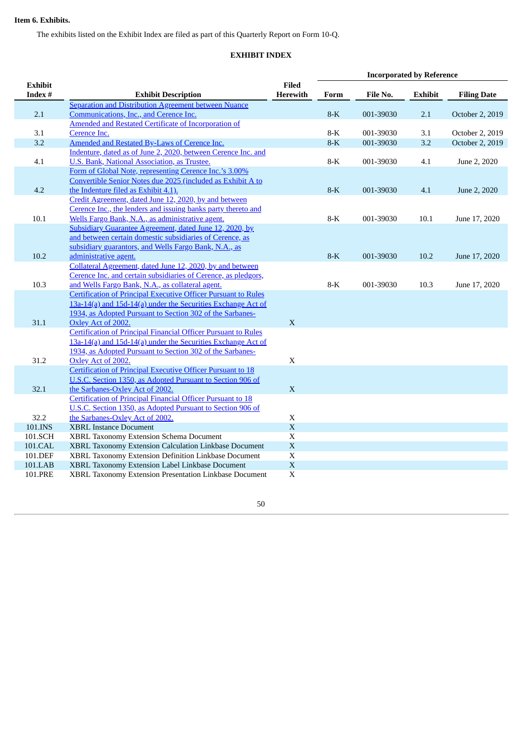<span id="page-51-0"></span>The exhibits listed on the Exhibit Index are filed as part of this Quarterly Report on Form 10-Q.

## **EXHIBIT INDEX**

|                           |                                                                                |                          | <b>Incorporated by Reference</b> |           |                |                    |
|---------------------------|--------------------------------------------------------------------------------|--------------------------|----------------------------------|-----------|----------------|--------------------|
| <b>Exhibit</b><br>Index # | <b>Exhibit Description</b>                                                     | <b>Filed</b><br>Herewith | Form                             | File No.  | <b>Exhibit</b> | <b>Filing Date</b> |
|                           | Separation and Distribution Agreement between Nuance                           |                          |                                  |           |                |                    |
| 2.1                       | Communications, Inc., and Cerence Inc.                                         |                          | $8-K$                            | 001-39030 | 2.1            | October 2, 2019    |
|                           | <b>Amended and Restated Certificate of Incorporation of</b>                    |                          |                                  |           |                |                    |
| 3.1                       | Cerence Inc.                                                                   |                          | $8-K$                            | 001-39030 | 3.1            | October 2, 2019    |
| 3.2                       | Amended and Restated By-Laws of Cerence Inc.                                   |                          | $8-K$                            | 001-39030 | 3.2            | October 2, 2019    |
|                           | Indenture, dated as of June 2, 2020, between Cerence Inc. and                  |                          |                                  |           |                |                    |
| 4.1                       | <b>U.S. Bank, National Association, as Trustee.</b>                            |                          | $8-K$                            | 001-39030 | 4.1            | June 2, 2020       |
|                           | Form of Global Note, representing Cerence Inc.'s 3.00%                         |                          |                                  |           |                |                    |
|                           | Convertible Senior Notes due 2025 (included as Exhibit A to                    |                          |                                  |           |                |                    |
| 4.2                       | the Indenture filed as Exhibit 4.1).                                           |                          | $8-K$                            | 001-39030 | 4.1            | June 2, 2020       |
|                           | Credit Agreement, dated June 12, 2020, by and between                          |                          |                                  |           |                |                    |
|                           | Cerence Inc., the lenders and issuing banks party thereto and                  |                          |                                  |           |                |                    |
| $10.1\,$                  | Wells Fargo Bank, N.A., as administrative agent.                               |                          | $8-K$                            | 001-39030 | $10.1\,$       | June 17, 2020      |
|                           | Subsidiary Guarantee Agreement, dated June 12, 2020, by                        |                          |                                  |           |                |                    |
|                           | and between certain domestic subsidiaries of Cerence, as                       |                          |                                  |           |                |                    |
| 10.2                      | subsidiary guarantors, and Wells Fargo Bank, N.A., as<br>administrative agent. |                          |                                  |           |                |                    |
|                           | Collateral Agreement, dated June 12, 2020, by and between                      |                          | $8-K$                            | 001-39030 | 10.2           | June 17, 2020      |
|                           | Cerence Inc. and certain subsidiaries of Cerence, as pledgors,                 |                          |                                  |           |                |                    |
| 10.3                      | and Wells Fargo Bank, N.A., as collateral agent.                               |                          | $8-K$                            | 001-39030 | 10.3           | June 17, 2020      |
|                           | <b>Certification of Principal Executive Officer Pursuant to Rules</b>          |                          |                                  |           |                |                    |
|                           | 13a-14(a) and 15d-14(a) under the Securities Exchange Act of                   |                          |                                  |           |                |                    |
|                           | 1934, as Adopted Pursuant to Section 302 of the Sarbanes-                      |                          |                                  |           |                |                    |
| 31.1                      | Oxley Act of 2002.                                                             | $\mathbf X$              |                                  |           |                |                    |
|                           | <b>Certification of Principal Financial Officer Pursuant to Rules</b>          |                          |                                  |           |                |                    |
|                           | 13a-14(a) and 15d-14(a) under the Securities Exchange Act of                   |                          |                                  |           |                |                    |
|                           | 1934, as Adopted Pursuant to Section 302 of the Sarbanes-                      |                          |                                  |           |                |                    |
| 31.2                      | Oxley Act of 2002.                                                             | $\mathbf X$              |                                  |           |                |                    |
|                           | <b>Certification of Principal Executive Officer Pursuant to 18</b>             |                          |                                  |           |                |                    |
|                           | U.S.C. Section 1350, as Adopted Pursuant to Section 906 of                     |                          |                                  |           |                |                    |
| 32.1                      | the Sarbanes-Oxley Act of 2002.                                                | $\mathbf X$              |                                  |           |                |                    |
|                           | Certification of Principal Financial Officer Pursuant to 18                    |                          |                                  |           |                |                    |
|                           | U.S.C. Section 1350, as Adopted Pursuant to Section 906 of                     |                          |                                  |           |                |                    |
| 32.2                      | the Sarbanes-Oxley Act of 2002.                                                | $\mathbf X$              |                                  |           |                |                    |
| 101.INS                   | <b>XBRL Instance Document</b>                                                  | $\mathbf X$              |                                  |           |                |                    |
| 101.SCH                   | XBRL Taxonomy Extension Schema Document                                        | $\mathbf X$              |                                  |           |                |                    |
| 101.CAL                   | XBRL Taxonomy Extension Calculation Linkbase Document                          | $\mathbf X$              |                                  |           |                |                    |
| 101.DEF                   | XBRL Taxonomy Extension Definition Linkbase Document                           | $\mathbf X$              |                                  |           |                |                    |
| 101.LAB                   | XBRL Taxonomy Extension Label Linkbase Document                                | $\mathbf X$              |                                  |           |                |                    |
| 101.PRE                   | XBRL Taxonomy Extension Presentation Linkbase Document                         | $\mathbf X$              |                                  |           |                |                    |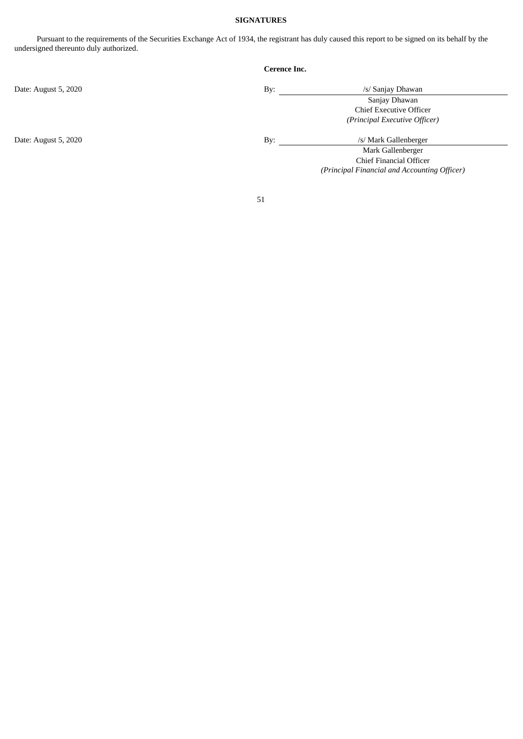## **SIGNATURES**

<span id="page-52-0"></span>Pursuant to the requirements of the Securities Exchange Act of 1934, the registrant has duly caused this report to be signed on its behalf by the undersigned thereunto duly authorized.

|                      | <b>Cerence Inc.</b> |                                              |
|----------------------|---------------------|----------------------------------------------|
| Date: August 5, 2020 | By:                 | /s/ Sanjay Dhawan                            |
|                      |                     | Sanjay Dhawan                                |
|                      |                     | <b>Chief Executive Officer</b>               |
|                      |                     | (Principal Executive Officer)                |
| Date: August 5, 2020 | By:                 | /s/ Mark Gallenberger                        |
|                      |                     | Mark Gallenberger                            |
|                      |                     | Chief Financial Officer                      |
|                      |                     | (Principal Financial and Accounting Officer) |
|                      |                     |                                              |
|                      |                     |                                              |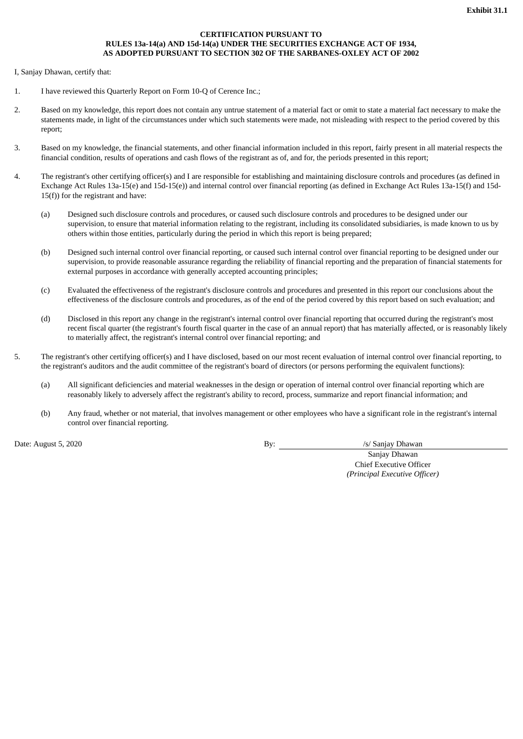## **CERTIFICATION PURSUANT TO RULES 13a-14(a) AND 15d-14(a) UNDER THE SECURITIES EXCHANGE ACT OF 1934, AS ADOPTED PURSUANT TO SECTION 302 OF THE SARBANES-OXLEY ACT OF 2002**

<span id="page-53-0"></span>I, Sanjay Dhawan, certify that:

- 1. I have reviewed this Quarterly Report on Form 10-Q of Cerence Inc.;
- 2. Based on my knowledge, this report does not contain any untrue statement of a material fact or omit to state a material fact necessary to make the statements made, in light of the circumstances under which such statements were made, not misleading with respect to the period covered by this report;
- 3. Based on my knowledge, the financial statements, and other financial information included in this report, fairly present in all material respects the financial condition, results of operations and cash flows of the registrant as of, and for, the periods presented in this report;
- 4. The registrant's other certifying officer(s) and I are responsible for establishing and maintaining disclosure controls and procedures (as defined in Exchange Act Rules 13a-15(e) and 15d-15(e)) and internal control over financial reporting (as defined in Exchange Act Rules 13a-15(f) and 15d- $15(f)$ ) for the registrant and have:
	- (a) Designed such disclosure controls and procedures, or caused such disclosure controls and procedures to be designed under our supervision, to ensure that material information relating to the registrant, including its consolidated subsidiaries, is made known to us by others within those entities, particularly during the period in which this report is being prepared;
	- (b) Designed such internal control over financial reporting, or caused such internal control over financial reporting to be designed under our supervision, to provide reasonable assurance regarding the reliability of financial reporting and the preparation of financial statements for external purposes in accordance with generally accepted accounting principles;
	- (c) Evaluated the effectiveness of the registrant's disclosure controls and procedures and presented in this report our conclusions about the effectiveness of the disclosure controls and procedures, as of the end of the period covered by this report based on such evaluation; and
	- (d) Disclosed in this report any change in the registrant's internal control over financial reporting that occurred during the registrant's most recent fiscal quarter (the registrant's fourth fiscal quarter in the case of an annual report) that has materially affected, or is reasonably likely to materially affect, the registrant's internal control over financial reporting; and
- 5. The registrant's other certifying officer(s) and I have disclosed, based on our most recent evaluation of internal control over financial reporting, to the registrant's auditors and the audit committee of the registrant's board of directors (or persons performing the equivalent functions):
	- (a) All significant deficiencies and material weaknesses in the design or operation of internal control over financial reporting which are reasonably likely to adversely affect the registrant's ability to record, process, summarize and report financial information; and
	- (b) Any fraud, whether or not material, that involves management or other employees who have a significant role in the registrant's internal control over financial reporting.

Date: August 5, 2020 By: <u>By:</u> *Is/ Sanjay Dhawan* 

Sanjay Dhawan Chief Executive Officer *(Principal Executive Officer)*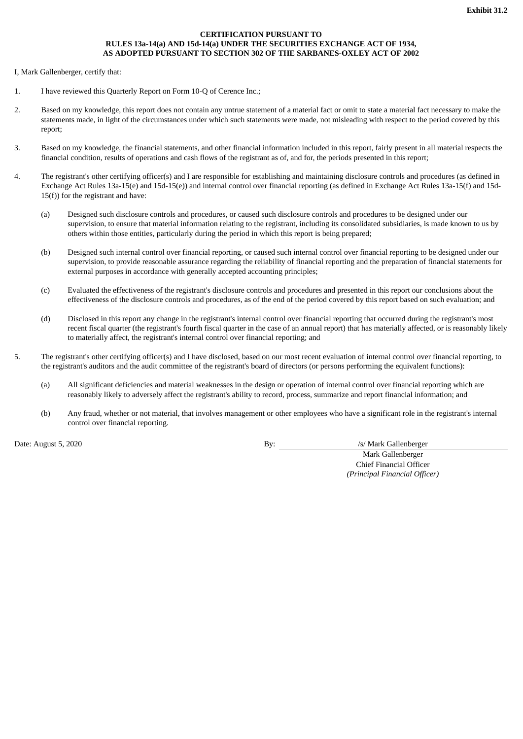## **CERTIFICATION PURSUANT TO RULES 13a-14(a) AND 15d-14(a) UNDER THE SECURITIES EXCHANGE ACT OF 1934, AS ADOPTED PURSUANT TO SECTION 302 OF THE SARBANES-OXLEY ACT OF 2002**

<span id="page-54-0"></span>I, Mark Gallenberger, certify that:

- 1. I have reviewed this Quarterly Report on Form 10-Q of Cerence Inc.;
- 2. Based on my knowledge, this report does not contain any untrue statement of a material fact or omit to state a material fact necessary to make the statements made, in light of the circumstances under which such statements were made, not misleading with respect to the period covered by this report;
- 3. Based on my knowledge, the financial statements, and other financial information included in this report, fairly present in all material respects the financial condition, results of operations and cash flows of the registrant as of, and for, the periods presented in this report;
- 4. The registrant's other certifying officer(s) and I are responsible for establishing and maintaining disclosure controls and procedures (as defined in Exchange Act Rules 13a-15(e) and 15d-15(e)) and internal control over financial reporting (as defined in Exchange Act Rules 13a-15(f) and 15d- $15(f)$ ) for the registrant and have:
	- (a) Designed such disclosure controls and procedures, or caused such disclosure controls and procedures to be designed under our supervision, to ensure that material information relating to the registrant, including its consolidated subsidiaries, is made known to us by others within those entities, particularly during the period in which this report is being prepared;
	- (b) Designed such internal control over financial reporting, or caused such internal control over financial reporting to be designed under our supervision, to provide reasonable assurance regarding the reliability of financial reporting and the preparation of financial statements for external purposes in accordance with generally accepted accounting principles;
	- (c) Evaluated the effectiveness of the registrant's disclosure controls and procedures and presented in this report our conclusions about the effectiveness of the disclosure controls and procedures, as of the end of the period covered by this report based on such evaluation; and
	- (d) Disclosed in this report any change in the registrant's internal control over financial reporting that occurred during the registrant's most recent fiscal quarter (the registrant's fourth fiscal quarter in the case of an annual report) that has materially affected, or is reasonably likely to materially affect, the registrant's internal control over financial reporting; and
- 5. The registrant's other certifying officer(s) and I have disclosed, based on our most recent evaluation of internal control over financial reporting, to the registrant's auditors and the audit committee of the registrant's board of directors (or persons performing the equivalent functions):
	- (a) All significant deficiencies and material weaknesses in the design or operation of internal control over financial reporting which are reasonably likely to adversely affect the registrant's ability to record, process, summarize and report financial information; and
	- (b) Any fraud, whether or not material, that involves management or other employees who have a significant role in the registrant's internal control over financial reporting.

Date: August 5, 2020 By: /s/ Mark Gallenberger

Mark Gallenberger Chief Financial Officer *(Principal Financial Officer)*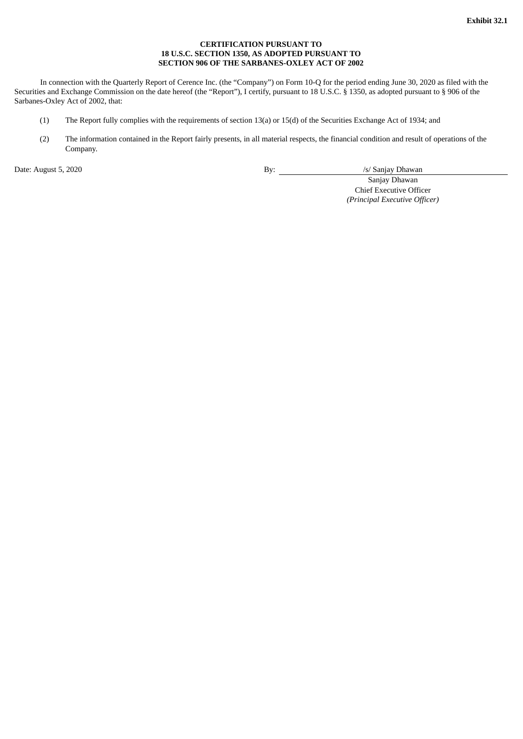## **CERTIFICATION PURSUANT TO 18 U.S.C. SECTION 1350, AS ADOPTED PURSUANT TO SECTION 906 OF THE SARBANES-OXLEY ACT OF 2002**

<span id="page-55-0"></span>In connection with the Quarterly Report of Cerence Inc. (the "Company") on Form 10-Q for the period ending June 30, 2020 as filed with the Securities and Exchange Commission on the date hereof (the "Report"), I certify, pursuant to 18 U.S.C. § 1350, as adopted pursuant to § 906 of the Sarbanes-Oxley Act of 2002, that:

- (1) The Report fully complies with the requirements of section 13(a) or 15(d) of the Securities Exchange Act of 1934; and
- (2) The information contained in the Report fairly presents, in all material respects, the financial condition and result of operations of the Company.

Date: August 5, 2020 By: */s/ Sanjay Dhawan* 

Sanjay Dhawan Chief Executive Officer *(Principal Executive Officer)*